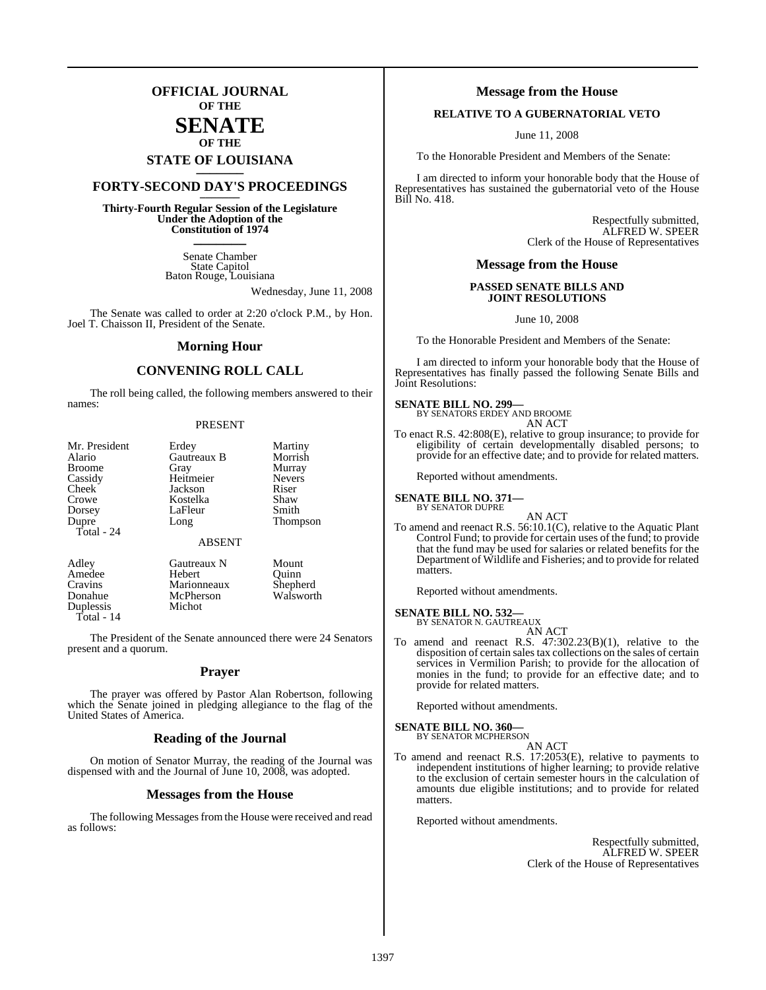## **OFFICIAL JOURNAL OF THE**

## **SENATE OF THE**

## **STATE OF LOUISIANA \_\_\_\_\_\_\_**

## **FORTY-SECOND DAY'S PROCEEDINGS \_\_\_\_\_\_\_**

**Thirty-Fourth Regular Session of the Legislature Under the Adoption of the Constitution of 1974 \_\_\_\_\_\_\_**

> Senate Chamber State Capitol Baton Rouge, Louisiana

> > Wednesday, June 11, 2008

The Senate was called to order at 2:20 o'clock P.M., by Hon. Joel T. Chaisson II, President of the Senate.

## **Morning Hour**

## **CONVENING ROLL CALL**

The roll being called, the following members answered to their names:

### PRESENT

| Mr. President<br>Alario<br><b>Broome</b><br>Cassidy<br>Cheek<br>Crowe<br>Dorsey | Erdey<br>Gautreaux B<br>Gray<br>Heitmeier<br>Jackson<br>Kostelka<br>LaFleur | Martiny<br>Morrish<br>Murray<br><b>Nevers</b><br>Riser<br>Shaw<br>Smith |
|---------------------------------------------------------------------------------|-----------------------------------------------------------------------------|-------------------------------------------------------------------------|
| Dupre<br>Total - 24                                                             | Long<br><b>ABSENT</b>                                                       | <b>Thompson</b>                                                         |
| Adley<br>Amedee<br>Cravins<br>Donahue<br><b>Duplessis</b>                       | Gautreaux N<br>Hebert<br>Marionneaux<br>McPherson<br>Michot                 | Mount<br>Ouinn<br>Shepherd<br>Walsworth                                 |

Total - 14

The President of the Senate announced there were 24 Senators present and a quorum.

## **Prayer**

The prayer was offered by Pastor Alan Robertson, following which the Senate joined in pledging allegiance to the flag of the United States of America.

## **Reading of the Journal**

On motion of Senator Murray, the reading of the Journal was dispensed with and the Journal of June 10, 2008, was adopted.

## **Messages from the House**

The following Messages from the House were received and read as follows:

## **Message from the House**

## **RELATIVE TO A GUBERNATORIAL VETO**

June 11, 2008

To the Honorable President and Members of the Senate:

I am directed to inform your honorable body that the House of Representatives has sustained the gubernatorial veto of the House Bill No. 418.

> Respectfully submitted, ALFRED W. SPEER Clerk of the House of Representatives

## **Message from the House**

## **PASSED SENATE BILLS AND JOINT RESOLUTIONS**

June 10, 2008

To the Honorable President and Members of the Senate:

I am directed to inform your honorable body that the House of Representatives has finally passed the following Senate Bills and Joint Resolutions:

## **SENATE BILL NO. 299—** BY SENATORS ERDEY AND BROOME

AN ACT

To enact R.S. 42:808(E), relative to group insurance; to provide for eligibility of certain developmentally disabled persons; to provide for an effective date; and to provide for related matters.

Reported without amendments.

## **SENATE BILL NO. 371—**



AN ACT To amend and reenact R.S. 56:10.1(C), relative to the Aquatic Plant Control Fund; to provide for certain uses of the fund; to provide that the fund may be used for salaries or related benefits for the Department of Wildlife and Fisheries; and to provide for related matters.

Reported without amendments.

## **SENATE BILL NO. 532—**

BY SENATOR N. GAUTREAUX AN ACT

To amend and reenact R.S. 47:302.23(B)(1), relative to the disposition of certain sales tax collections on the sales of certain services in Vermilion Parish; to provide for the allocation of monies in the fund; to provide for an effective date; and to provide for related matters.

Reported without amendments.

**SENATE BILL NO. 360—**<br>BY SENATOR MCPHERSON

AN ACT

To amend and reenact R.S. 17:2053(E), relative to payments to independent institutions of higher learning; to provide relative to the exclusion of certain semester hours in the calculation of amounts due eligible institutions; and to provide for related matters.

Reported without amendments.

Respectfully submitted, ALFRED W. SPEER Clerk of the House of Representatives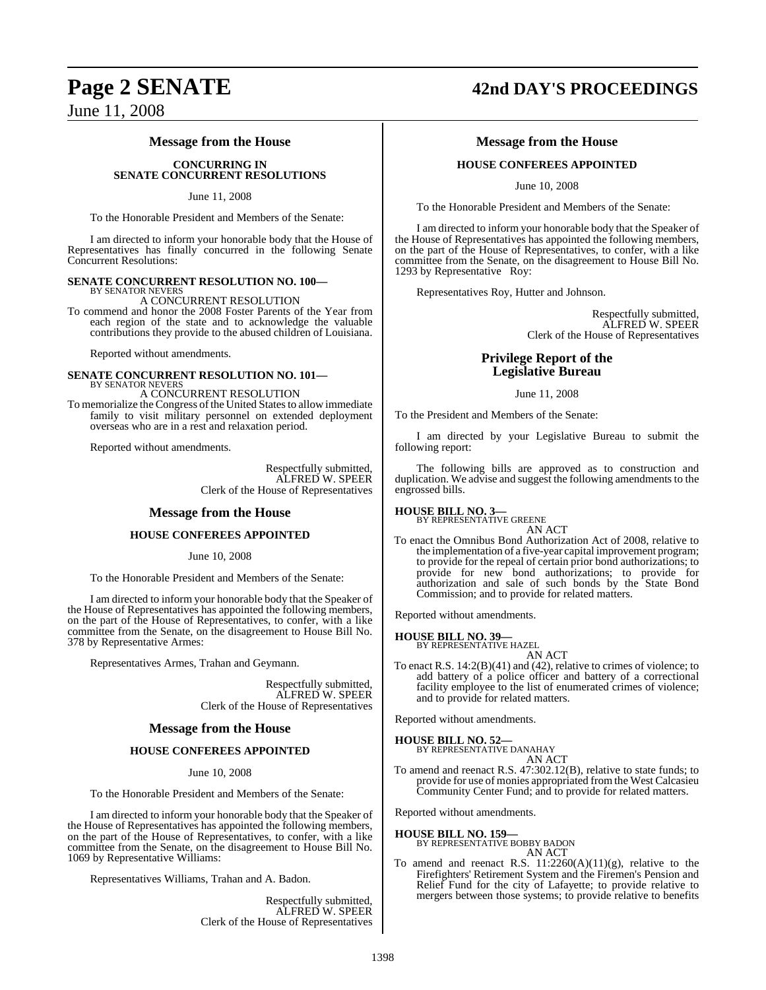## **Message from the House**

## **CONCURRING IN SENATE CONCURRENT RESOLUTIONS**

June 11, 2008

To the Honorable President and Members of the Senate:

I am directed to inform your honorable body that the House of Representatives has finally concurred in the following Senate Concurrent Resolutions:

## **SENATE CONCURRENT RESOLUTION NO. 100—** BY SENATOR NEVERS

A CONCURRENT RESOLUTION

To commend and honor the 2008 Foster Parents of the Year from each region of the state and to acknowledge the valuable contributions they provide to the abused children of Louisiana.

Reported without amendments.

### **SENATE CONCURRENT RESOLUTION NO. 101—** BY SENATOR NEVERS

A CONCURRENT RESOLUTION

To memorialize the Congress of the United States to allow immediate family to visit military personnel on extended deployment overseas who are in a rest and relaxation period.

Reported without amendments.

Respectfully submitted, ALFRED W. SPEER Clerk of the House of Representatives

## **Message from the House**

## **HOUSE CONFEREES APPOINTED**

June 10, 2008

To the Honorable President and Members of the Senate:

I am directed to inform your honorable body that the Speaker of the House of Representatives has appointed the following members, on the part of the House of Representatives, to confer, with a like committee from the Senate, on the disagreement to House Bill No. 378 by Representative Armes:

Representatives Armes, Trahan and Geymann.

Respectfully submitted, ALFRED W. SPEER Clerk of the House of Representatives

## **Message from the House**

## **HOUSE CONFEREES APPOINTED**

June 10, 2008

To the Honorable President and Members of the Senate:

I am directed to inform your honorable body that the Speaker of the House of Representatives has appointed the following members, on the part of the House of Representatives, to confer, with a like committee from the Senate, on the disagreement to House Bill No. 1069 by Representative Williams:

Representatives Williams, Trahan and A. Badon.

Respectfully submitted, ALFRED W. SPEER Clerk of the House of Representatives

## **Page 2 SENATE 42nd DAY'S PROCEEDINGS**

## **Message from the House**

## **HOUSE CONFEREES APPOINTED**

June 10, 2008

To the Honorable President and Members of the Senate:

I am directed to inform your honorable body that the Speaker of the House of Representatives has appointed the following members, on the part of the House of Representatives, to confer, with a like committee from the Senate, on the disagreement to House Bill No. 1293 by Representative Roy:

Representatives Roy, Hutter and Johnson.

Respectfully submitted, ALFRED W. SPEER Clerk of the House of Representatives

## **Privilege Report of the Legislative Bureau**

June 11, 2008

To the President and Members of the Senate:

I am directed by your Legislative Bureau to submit the following report:

The following bills are approved as to construction and duplication. We advise and suggest the following amendments to the engrossed bills.

## **HOUSE BILL NO. 3—**

BY REPRESENTATIVE GREENE AN ACT

To enact the Omnibus Bond Authorization Act of 2008, relative to the implementation of a five-year capital improvement program; to provide for the repeal of certain prior bond authorizations; to provide for new bond authorizations; to provide for authorization and sale of such bonds by the State Bond Commission; and to provide for related matters.

Reported without amendments.

## **HOUSE BILL NO. 39—**

BY REPRESENTATIVE HAZEL AN ACT

To enact R.S. 14:2(B)(41) and (42), relative to crimes of violence; to add battery of a police officer and battery of a correctional facility employee to the list of enumerated crimes of violence; and to provide for related matters.

Reported without amendments.

**HOUSE BILL NO. 52—** BY REPRESENTATIVE DANAHAY

AN ACT

To amend and reenact R.S. 47:302.12(B), relative to state funds; to provide for use of monies appropriated from the West Calcasieu Community Center Fund; and to provide for related matters.

Reported without amendments.

## **HOUSE BILL NO. 159—**

BY REPRESENTATIVE BOBBY BADON AN ACT

To amend and reenact R.S.  $11:2260(A)(11)(g)$ , relative to the Firefighters' Retirement System and the Firemen's Pension and Relief Fund for the city of Lafayette; to provide relative to mergers between those systems; to provide relative to benefits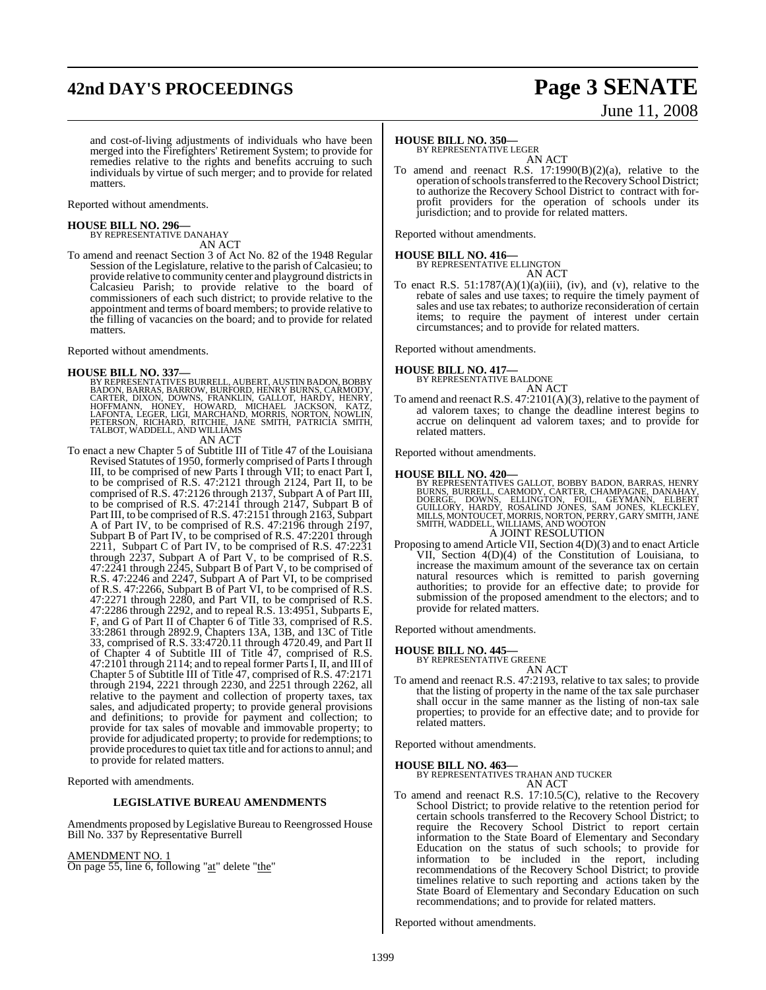## **42nd DAY'S PROCEEDINGS Page 3 SENATE**

# June 11, 2008

and cost-of-living adjustments of individuals who have been merged into the Firefighters' Retirement System; to provide for remedies relative to the rights and benefits accruing to such individuals by virtue of such merger; and to provide for related matters.

Reported without amendments.

## **HOUSE BILL NO. 296—** BY REPRESENTATIVE DANAHAY

AN ACT

To amend and reenact Section 3 of Act No. 82 of the 1948 Regular Session of the Legislature, relative to the parish of Calcasieu; to provide relative to community center and playground districts in Calcasieu Parish; to provide relative to the board of commissioners of each such district; to provide relative to the appointment and terms of board members; to provide relative to the filling of vacancies on the board; and to provide for related matters.

Reported without amendments.

**HOUSE BILL NO. 337—**<br>BY REPRESENTATIVES BURRELL, AUBERT, AUSTIN BADON, BOBBY BADON, BARRAS, BARROW, BURFORD, HENRY BURNS, CARMODY,<br>CARTER, DIXON, DOWNS, FRANKLIN, GALLOT, HARDY, HENRY,<br>HOFFMANN, HONEY, HOWARD, MICHAEL JAC

To enact a new Chapter 5 of Subtitle III of Title 47 of the Louisiana Revised Statutes of 1950, formerly comprised of Parts I through III, to be comprised of new Parts I through VII; to enact Part I, to be comprised of R.S. 47:2121 through 2124, Part II, to be comprised of R.S. 47:2126 through 2137, Subpart A of Part III, to be comprised of R.S. 47:2141 through 2147, Subpart B of Part III, to be comprised of R.S. 47:2151 through 2163, Subpart A of Part IV, to be comprised of R.S. 47:2196 through 2197, Subpart B of Part IV, to be comprised of R.S. 47:2201 through 2211, Subpart C of Part IV, to be comprised of R.S. 47:2231 through 2237, Subpart A of Part V, to be comprised of R.S. 47:2241 through 2245, Subpart B of Part V, to be comprised of R.S. 47:2246 and 2247, Subpart A of Part VI, to be comprised of R.S. 47:2266, Subpart B of Part VI, to be comprised of R.S. 47:2271 through 2280, and Part VII, to be comprised of R.S. 47:2286 through 2292, and to repeal R.S. 13:4951, Subparts E, F, and G of Part II of Chapter 6 of Title 33, comprised of R.S. 33:2861 through 2892.9, Chapters 13A, 13B, and 13C of Title 33, comprised of R.S. 33:4720.11 through 4720.49, and Part II of Chapter 4 of Subtitle III of Title 47, comprised of R.S. 47:2101 through 2114; and to repeal former PartsI, II, and III of Chapter 5 of Subtitle III of Title 47, comprised of R.S. 47:2171 through 2194, 2221 through 2230, and 2251 through 2262, all relative to the payment and collection of property taxes, tax sales, and adjudicated property; to provide general provisions and definitions; to provide for payment and collection; to provide for tax sales of movable and immovable property; to provide for adjudicated property; to provide for redemptions; to provide procedures to quiet tax title and for actions to annul; and to provide for related matters.

Reported with amendments.

## **LEGISLATIVE BUREAU AMENDMENTS**

Amendments proposed by Legislative Bureau to Reengrossed House Bill No. 337 by Representative Burrell

## AMENDMENT NO. 1

On page 55, line 6, following "at" delete "the"

## **HOUSE BILL NO. 350—**

BY REPRESENTATIVE LEGER

AN ACT To amend and reenact R.S. 17:1990(B)(2)(a), relative to the operation of schools transferred to the Recovery School District; to authorize the Recovery School District to contract with forprofit providers for the operation of schools under its jurisdiction; and to provide for related matters.

Reported without amendments.

**HOUSE BILL NO. 416—** BY REPRESENTATIVE ELLINGTON AN ACT

To enact R.S.  $51:1787(A)(1)(a)(iii)$ , (iv), and (v), relative to the rebate of sales and use taxes; to require the timely payment of sales and use tax rebates; to authorize reconsideration of certain items; to require the payment of interest under certain circumstances; and to provide for related matters.

Reported without amendments.

## **HOUSE BILL NO. 417—**

BY REPRESENTATIVE BALDONE AN ACT

To amend and reenact R.S. 47:2101(A)(3), relative to the payment of ad valorem taxes; to change the deadline interest begins to accrue on delinquent ad valorem taxes; and to provide for related matters.

Reported without amendments.

### **HOUSE BILL NO. 420—**

BY REPRESENTATIVES GALLOT, BOBBY BADON, BARRAS, HENRY<br>BURNS, BURRELL, CARMODY, CARTER, CHAMPAGNE, DANAHAY,<br>DOERGE, DOWNS, ELLINGTON, FOIL, GEYMANN, ELBERT<br>GUILLORY, HARDY, ROSALIND JONES, SAM JONES, KLECKLEY,<br>MILLS, MONTOU A JOINT RESOLUTION

Proposing to amend Article VII, Section 4(D)(3) and to enact Article VII, Section 4(D)(4) of the Constitution of Louisiana, to increase the maximum amount of the severance tax on certain natural resources which is remitted to parish governing authorities; to provide for an effective date; to provide for submission of the proposed amendment to the electors; and to provide for related matters.

Reported without amendments.

## **HOUSE BILL NO. 445—**

BY REPRESENTATIVE GREENE AN ACT

To amend and reenact R.S. 47:2193, relative to tax sales; to provide that the listing of property in the name of the tax sale purchaser shall occur in the same manner as the listing of non-tax sale properties; to provide for an effective date; and to provide for related matters.

## Reported without amendments.

## **HOUSE BILL NO. 463—**

BY REPRESENTATIVES TRAHAN AND TUCKER AN ACT

To amend and reenact R.S. 17:10.5(C), relative to the Recovery School District; to provide relative to the retention period for certain schools transferred to the Recovery School District; to require the Recovery School District to report certain information to the State Board of Elementary and Secondary Education on the status of such schools; to provide for information to be included in the report, including recommendations of the Recovery School District; to provide timelines relative to such reporting and actions taken by the State Board of Elementary and Secondary Education on such recommendations; and to provide for related matters.

Reported without amendments.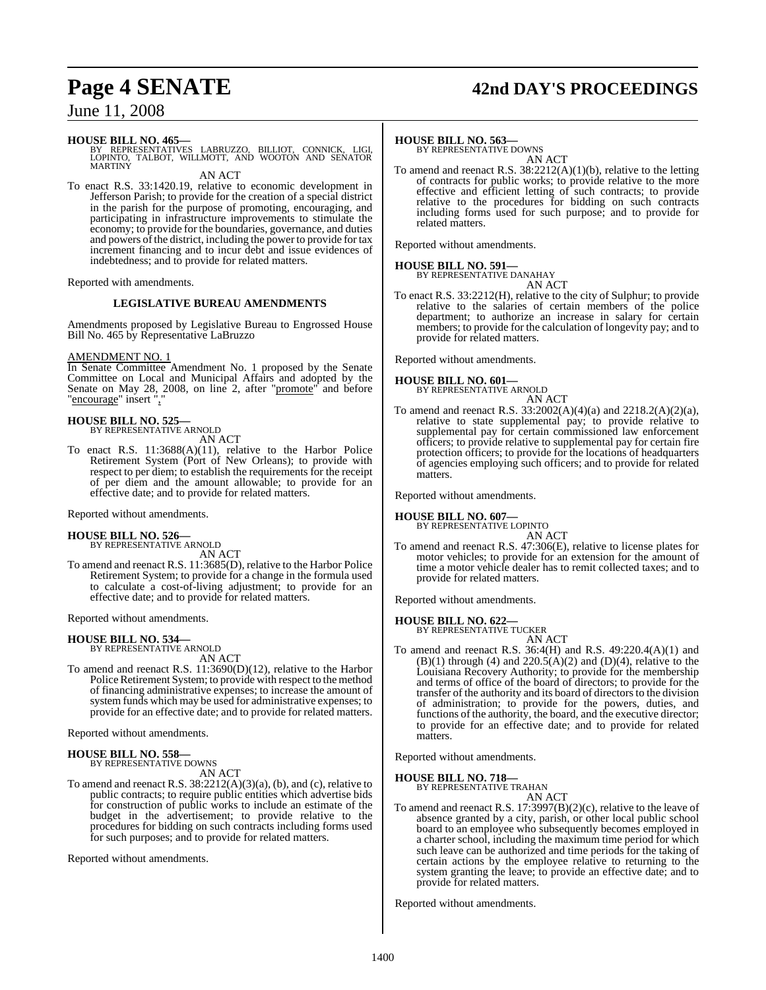## **Page 4 SENATE 42nd DAY'S PROCEEDINGS**

## June 11, 2008

## **HOUSE BILL NO. 465—**

BY REPRESENTATIVES LABRUZZO, BILLIOT, CONNICK, LIGI,<br>LOPINTO, TALBOT, WILLMOTT, AND WOOTON AND SENATOR<br>MARTINY

AN ACT

To enact R.S. 33:1420.19, relative to economic development in Jefferson Parish; to provide for the creation of a special district in the parish for the purpose of promoting, encouraging, and participating in infrastructure improvements to stimulate the economy; to provide for the boundaries, governance, and duties and powers of the district, including the power to provide for tax increment financing and to incur debt and issue evidences of indebtedness; and to provide for related matters.

Reported with amendments.

## **LEGISLATIVE BUREAU AMENDMENTS**

Amendments proposed by Legislative Bureau to Engrossed House Bill No. 465 by Representative LaBruzzo

## AMENDMENT NO. 1

In Senate Committee Amendment No. 1 proposed by the Senate Committee on Local and Municipal Affairs and adopted by the Senate on May 28, 2008, on line 2, after "promote" and before "encourage" insert ","

## **HOUSE BILL NO. 525—**

BY REPRESENTATIVE ARNOLD AN ACT

To enact R.S. 11:3688(A)(11), relative to the Harbor Police Retirement System (Port of New Orleans); to provide with respect to per diem; to establish the requirements for the receipt of per diem and the amount allowable; to provide for an effective date; and to provide for related matters.

Reported without amendments.

## **HOUSE BILL NO. 526—** BY REPRESENTATIVE ARNOLD

AN ACT

To amend and reenact R.S. 11:3685(D), relative to the Harbor Police Retirement System; to provide for a change in the formula used to calculate a cost-of-living adjustment; to provide for an effective date; and to provide for related matters.

Reported without amendments.

## **HOUSE BILL NO. 534—**

BY REPRESENTATIVE ARNOLD AN ACT

To amend and reenact R.S. 11:3690(D)(12), relative to the Harbor Police Retirement System; to provide with respect to the method of financing administrative expenses; to increase the amount of system funds which may be used for administrative expenses; to provide for an effective date; and to provide for related matters.

Reported without amendments.

### **HOUSE BILL NO. 558—** BY REPRESENTATIVE DOWNS

AN ACT

To amend and reenact R.S. 38:2212(A)(3)(a), (b), and (c), relative to public contracts; to require public entities which advertise bids for construction of public works to include an estimate of the budget in the advertisement; to provide relative to the procedures for bidding on such contracts including forms used for such purposes; and to provide for related matters.

Reported without amendments.

## **HOUSE BILL NO. 563—**

BY REPRESENTATIVE DOWNS AN ACT

To amend and reenact R.S. 38:2212(A)(1)(b), relative to the letting of contracts for public works; to provide relative to the more effective and efficient letting of such contracts; to provide relative to the procedures for bidding on such contracts including forms used for such purpose; and to provide for related matters.

Reported without amendments.

## **HOUSE BILL NO. 591—**

BY REPRESENTATIVE DANAHAY AN ACT

To enact R.S. 33:2212(H), relative to the city of Sulphur; to provide relative to the salaries of certain members of the police department; to authorize an increase in salary for certain members; to provide for the calculation of longevity pay; and to provide for related matters.

Reported without amendments.

## **HOUSE BILL NO. 601—** BY REPRESENTATIVE ARNOLD

AN ACT To amend and reenact R.S. 33:2002(A)(4)(a) and 2218.2(A)(2)(a), relative to state supplemental pay; to provide relative to supplemental pay for certain commissioned law enforcement officers; to provide relative to supplemental pay for certain fire protection officers; to provide for the locations of headquarters of agencies employing such officers; and to provide for related matters.

Reported without amendments.

## **HOUSE BILL NO. 607—** BY REPRESENTATIVE LOPINTO

AN ACT

To amend and reenact R.S. 47:306(E), relative to license plates for motor vehicles; to provide for an extension for the amount of time a motor vehicle dealer has to remit collected taxes; and to provide for related matters.

Reported without amendments.

**HOUSE BILL NO. 622—** BY REPRESENTATIVE TUCKER

AN ACT

To amend and reenact R.S. 36:4(H) and R.S. 49:220.4(A)(1) and  $(B)(1)$  through (4) and  $220.5(A)(2)$  and  $(D)(4)$ , relative to the Louisiana Recovery Authority; to provide for the membership and terms of office of the board of directors; to provide for the transfer of the authority and its board of directors to the division of administration; to provide for the powers, duties, and functions of the authority, the board, and the executive director; to provide for an effective date; and to provide for related matters.

Reported without amendments.

## **HOUSE BILL NO. 718—**

BY REPRESENTATIVE TRAHAN AN ACT

To amend and reenact R.S. 17:3997(B)(2)(c), relative to the leave of absence granted by a city, parish, or other local public school board to an employee who subsequently becomes employed in a charter school, including the maximum time period for which such leave can be authorized and time periods for the taking of certain actions by the employee relative to returning to the system granting the leave; to provide an effective date; and to provide for related matters.

Reported without amendments.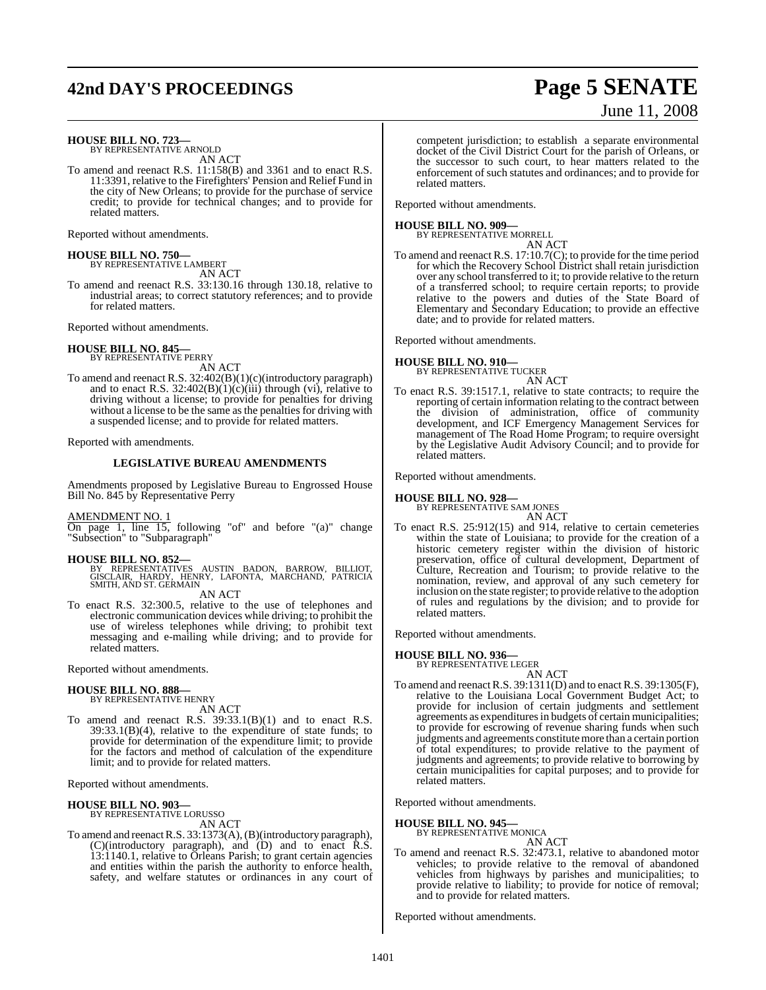## **42nd DAY'S PROCEEDINGS Page 5 SENATE**

# June 11, 2008

**HOUSE BILL NO. 723—**

BY REPRESENTATIVE ARNOLD AN ACT

To amend and reenact R.S. 11:158(B) and 3361 and to enact R.S. 11:3391, relative to the Firefighters' Pension and Relief Fund in the city of New Orleans; to provide for the purchase of service credit; to provide for technical changes; and to provide for related matters.

Reported without amendments.

## **HOUSE BILL NO. 750—** BY REPRESENTATIVE LAMBERT

AN ACT

To amend and reenact R.S. 33:130.16 through 130.18, relative to industrial areas; to correct statutory references; and to provide for related matters.

Reported without amendments.

### **HOUSE BILL NO. 845—** BY REPRESENTATIVE PERRY

AN ACT

To amend and reenact R.S. 32:402(B)(1)(c)(introductory paragraph) and to enact R.S.  $32:402(B)(1)(c)(iii)$  through (vi), relative to driving without a license; to provide for penalties for driving without a license to be the same as the penalties for driving with a suspended license; and to provide for related matters.

Reported with amendments.

## **LEGISLATIVE BUREAU AMENDMENTS**

Amendments proposed by Legislative Bureau to Engrossed House Bill No. 845 by Representative Perry

## AMENDMENT NO. 1

On page 1, line 15, following "of" and before "(a)" change "Subsection" to "Subparagraph"

## **HOUSE BILL NO. 852—**

BY REPRESENTATIVES AUSTIN BADON, BARROW, BILLIOT,<br>GISCLAIR, HARDY, HENRY, LAFONTA, MARCHAND, PATRICIA<br>SMITH,AND ST. GERMAIN AN ACT

To enact R.S. 32:300.5, relative to the use of telephones and electronic communication devices while driving; to prohibit the use of wireless telephones while driving; to prohibit text messaging and e-mailing while driving; and to provide for related matters.

Reported without amendments.

## **HOUSE BILL NO. 888—** BY REPRESENTATIVE HENRY

AN ACT

To amend and reenact R.S. 39:33.1(B)(1) and to enact R.S.  $39:33.1(B)(4)$ , relative to the expenditure of state funds; to provide for determination of the expenditure limit; to provide for the factors and method of calculation of the expenditure limit; and to provide for related matters.

Reported without amendments.

## **HOUSE BILL NO. 903—**

BY REPRESENTATIVE LORUSSO AN ACT

To amend and reenact R.S. 33:1373(A), (B)(introductory paragraph), (C)(introductory paragraph), and (D) and to enact R.S. 13:1140.1, relative to Orleans Parish; to grant certain agencies and entities within the parish the authority to enforce health, safety, and welfare statutes or ordinances in any court of competent jurisdiction; to establish a separate environmental docket of the Civil District Court for the parish of Orleans, or the successor to such court, to hear matters related to the enforcement of such statutes and ordinances; and to provide for related matters.

Reported without amendments.

## **HOUSE BILL NO. 909—** BY REPRESENTATIVE MORRELL

AN ACT To amend and reenact R.S. 17:10.7(C); to provide for the time period for which the Recovery School District shall retain jurisdiction over any school transferred to it; to provide relative to the return of a transferred school; to require certain reports; to provide relative to the powers and duties of the State Board of Elementary and Secondary Education; to provide an effective date; and to provide for related matters.

Reported without amendments.

## **HOUSE BILL NO. 910—** BY REPRESENTATIVE TUCKER

AN ACT

To enact R.S. 39:1517.1, relative to state contracts; to require the reporting of certain information relating to the contract between the division of administration, office of community development, and ICF Emergency Management Services for management of The Road Home Program; to require oversight by the Legislative Audit Advisory Council; and to provide for related matters.

Reported without amendments.

## **HOUSE BILL NO. 928—**

BY REPRESENTATIVE SAM JONES

AN ACT To enact R.S. 25:912(15) and 914, relative to certain cemeteries within the state of Louisiana; to provide for the creation of a historic cemetery register within the division of historic preservation, office of cultural development, Department of Culture, Recreation and Tourism; to provide relative to the nomination, review, and approval of any such cemetery for inclusion on the state register; to provide relative to the adoption of rules and regulations by the division; and to provide for related matters.

Reported without amendments.

## **HOUSE BILL NO. 936—**

BY REPRESENTATIVE LEGER AN ACT

To amend and reenactR.S. 39:1311(D) and to enact R.S. 39:1305(F), relative to the Louisiana Local Government Budget Act; to provide for inclusion of certain judgments and settlement agreements as expenditures in budgets of certain municipalities; to provide for escrowing of revenue sharing funds when such judgments and agreements constitute more than a certain portion of total expenditures; to provide relative to the payment of judgments and agreements; to provide relative to borrowing by certain municipalities for capital purposes; and to provide for related matters.

Reported without amendments.

## **HOUSE BILL NO. 945—**

BY REPRESENTATIVE MONICA AN ACT

To amend and reenact R.S. 32:473.1, relative to abandoned motor vehicles; to provide relative to the removal of abandoned vehicles from highways by parishes and municipalities; to provide relative to liability; to provide for notice of removal; and to provide for related matters.

Reported without amendments.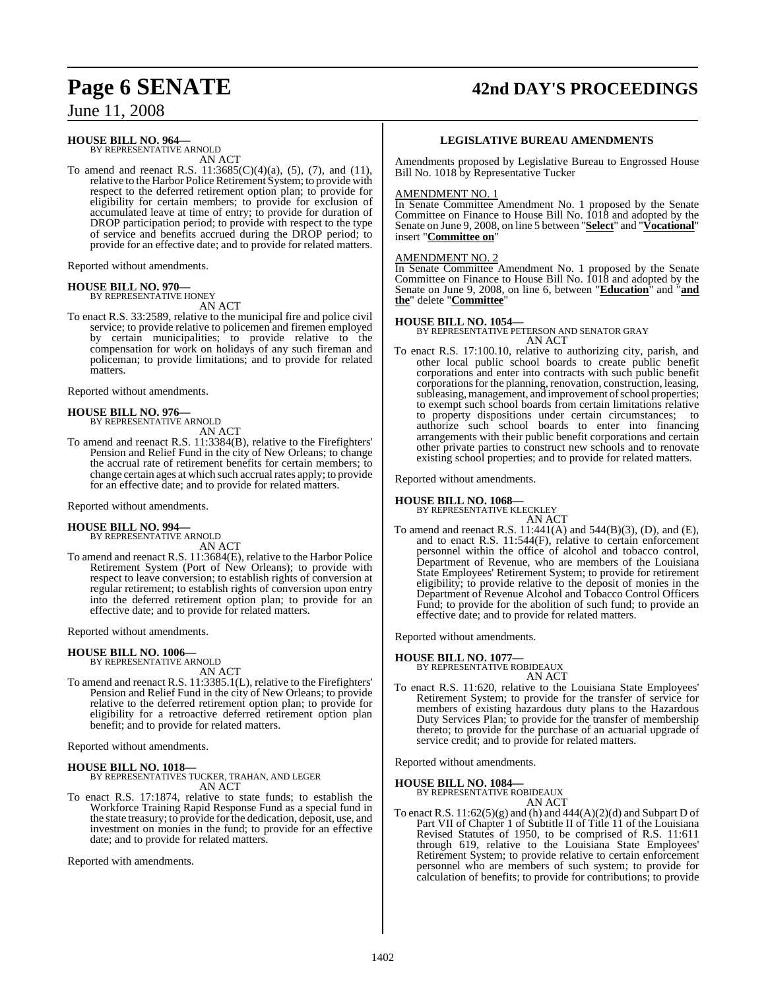## **Page 6 SENATE 42nd DAY'S PROCEEDINGS**

June 11, 2008

## **HOUSE BILL NO. 964—**

BY REPRESENTATIVE ARNOLD AN ACT

To amend and reenact R.S.  $11:3685(C)(4)(a)$ ,  $(5)$ ,  $(7)$ , and  $(11)$ , relative to the Harbor Police Retirement System; to provide with respect to the deferred retirement option plan; to provide for eligibility for certain members; to provide for exclusion of accumulated leave at time of entry; to provide for duration of DROP participation period; to provide with respect to the type of service and benefits accrued during the DROP period; to provide for an effective date; and to provide for related matters.

Reported without amendments.

### **HOUSE BILL NO. 970—** BY REPRESENTATIVE HONEY

AN ACT

To enact R.S. 33:2589, relative to the municipal fire and police civil service; to provide relative to policemen and firemen employed by certain municipalities; to provide relative to the compensation for work on holidays of any such fireman and policeman; to provide limitations; and to provide for related matters.

Reported without amendments.

## **HOUSE BILL NO. 976—** BY REPRESENTATIVE ARNOLD

AN ACT

To amend and reenact R.S. 11:3384(B), relative to the Firefighters' Pension and Relief Fund in the city of New Orleans; to change the accrual rate of retirement benefits for certain members; to change certain ages at which such accrual rates apply; to provide for an effective date; and to provide for related matters.

Reported without amendments.

## **HOUSE BILL NO. 994—**

BY REPRESENTATIVE ARNOLD AN ACT

To amend and reenact R.S. 11:3684(E), relative to the Harbor Police Retirement System (Port of New Orleans); to provide with respect to leave conversion; to establish rights of conversion at regular retirement; to establish rights of conversion upon entry into the deferred retirement option plan; to provide for an effective date; and to provide for related matters.

Reported without amendments.

## **HOUSE BILL NO. 1006—**

BY REPRESENTATIVE ARNOLD AN ACT

To amend and reenact R.S. 11:3385.1(L), relative to the Firefighters' Pension and Relief Fund in the city of New Orleans; to provide relative to the deferred retirement option plan; to provide for eligibility for a retroactive deferred retirement option plan benefit; and to provide for related matters.

Reported without amendments.

**HOUSE BILL NO. 1018—** BY REPRESENTATIVES TUCKER, TRAHAN, AND LEGER AN ACT

To enact R.S. 17:1874, relative to state funds; to establish the Workforce Training Rapid Response Fund as a special fund in the state treasury; to provide for the dedication, deposit, use, and investment on monies in the fund; to provide for an effective date; and to provide for related matters.

Reported with amendments.

## **LEGISLATIVE BUREAU AMENDMENTS**

Amendments proposed by Legislative Bureau to Engrossed House Bill No. 1018 by Representative Tucker

### AMENDMENT NO. 1

In Senate Committee Amendment No. 1 proposed by the Senate Committee on Finance to House Bill No. 1018 and adopted by the Senate on June 9, 2008, on line 5 between "**Select**" and "**Vocational**" insert "**Committee on**"

## AMENDMENT NO. 2

In Senate Committee Amendment No. 1 proposed by the Senate Committee on Finance to House Bill No. 1018 and adopted by the Senate on June 9, 2008, on line 6, between "**Education**" and "**and the**" delete "**Committee**"

**HOUSE BILL NO. 1054—** BY REPRESENTATIVE PETERSON AND SENATOR GRAY AN ACT

To enact R.S. 17:100.10, relative to authorizing city, parish, and other local public school boards to create public benefit corporations and enter into contracts with such public benefit corporations for the planning, renovation, construction, leasing, subleasing, management, and improvement of school properties; to exempt such school boards from certain limitations relative to property dispositions under certain circumstances; to authorize such school boards to enter into financing arrangements with their public benefit corporations and certain other private parties to construct new schools and to renovate existing school properties; and to provide for related matters.

Reported without amendments.

## **HOUSE BILL NO. 1068—**

BY REPRESENTATIVE KLECKLEY AN ACT

To amend and reenact R.S. 11:441(A) and 544(B)(3), (D), and (E), and to enact R.S. 11:544(F), relative to certain enforcement personnel within the office of alcohol and tobacco control, Department of Revenue, who are members of the Louisiana State Employees' Retirement System; to provide for retirement eligibility; to provide relative to the deposit of monies in the Department of Revenue Alcohol and Tobacco Control Officers Fund; to provide for the abolition of such fund; to provide an effective date; and to provide for related matters.

Reported without amendments.

## **HOUSE BILL NO. 1077—**

BY REPRESENTATIVE ROBIDEAUX AN ACT

To enact R.S. 11:620, relative to the Louisiana State Employees' Retirement System; to provide for the transfer of service for members of existing hazardous duty plans to the Hazardous Duty Services Plan; to provide for the transfer of membership thereto; to provide for the purchase of an actuarial upgrade of service credit; and to provide for related matters.

Reported without amendments.

## **HOUSE BILL NO. 1084—** BY REPRESENTATIVE ROBIDEAUX

AN ACT

To enact R.S. 11:62(5)(g) and (h) and 444(A)(2)(d) and Subpart D of Part VII of Chapter 1 of Subtitle II of Title 11 of the Louisiana Revised Statutes of 1950, to be comprised of R.S. 11:611 through 619, relative to the Louisiana State Employees' Retirement System; to provide relative to certain enforcement personnel who are members of such system; to provide for calculation of benefits; to provide for contributions; to provide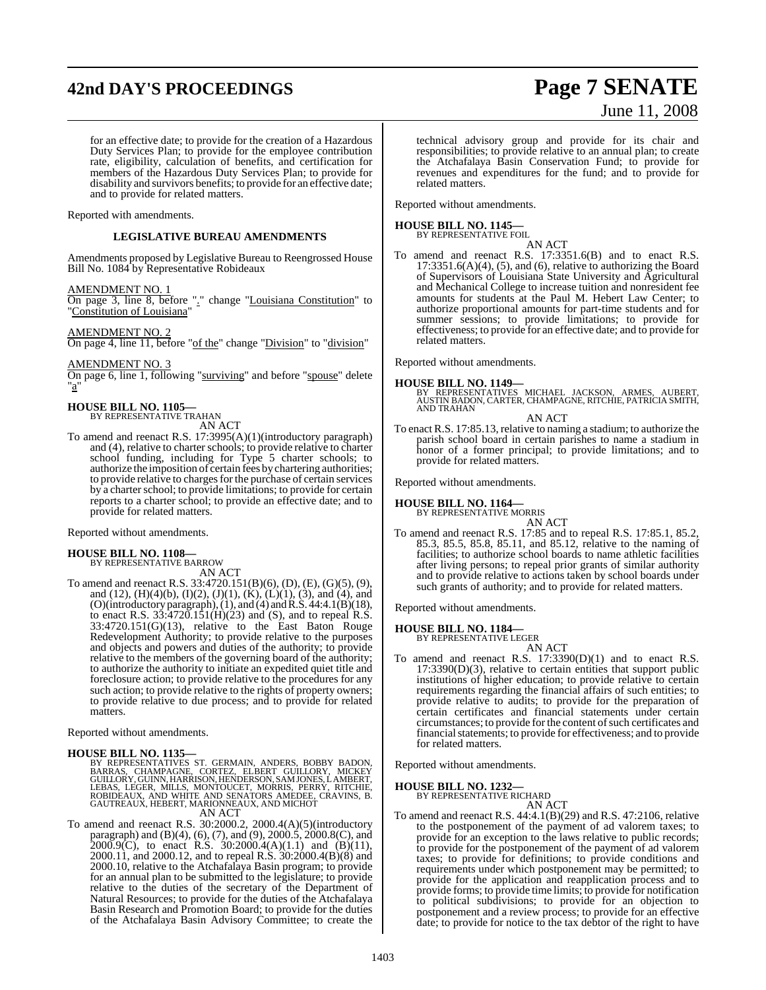## **42nd DAY'S PROCEEDINGS Page 7 SENATE**

# June 11, 2008

for an effective date; to provide for the creation of a Hazardous Duty Services Plan; to provide for the employee contribution rate, eligibility, calculation of benefits, and certification for members of the Hazardous Duty Services Plan; to provide for disability and survivors benefits; to provide for an effective date; and to provide for related matters.

Reported with amendments.

## **LEGISLATIVE BUREAU AMENDMENTS**

Amendments proposed by Legislative Bureau to Reengrossed House Bill No. 1084 by Representative Robideaux

### AMENDMENT NO. 1

On page 3, line 8, before "." change "Louisiana Constitution" to "Constitution of Louisiana"

## AMENDMENT NO. 2

On page 4, line 11, before "of the" change "Division" to "division"

AMENDMENT NO. 3 On page 6, line 1, following "surviving" and before "spouse" delete "a"

## **HOUSE BILL NO. 1105—** BY REPRESENTATIVE TRAHAN

AN ACT

To amend and reenact R.S. 17:3995(A)(1)(introductory paragraph) and (4), relative to charter schools; to provide relative to charter school funding, including for Type 5 charter schools; to authorize the imposition of certain fees by chartering authorities; to provide relative to charges for the purchase of certain services by a charter school; to provide limitations; to provide for certain reports to a charter school; to provide an effective date; and to provide for related matters.

Reported without amendments.

### **HOUSE BILL NO. 1108—** BY REPRESENTATIVE BARROW

AN ACT

To amend and reenact R.S. 33:4720.151(B)(6), (D), (E), (G)(5), (9), and (12),  $(H)(4)(b)$ ,  $(I)(2)$ ,  $(J)(1)$ ,  $(K)$ ,  $(L)(1)$ ,  $(3)$ , and  $(4)$ , and (O)(introductory paragraph),(1), and (4) and R.S. 44:4.1(B)(18), to enact R.S.  $33:4720.151(H)(23)$  and (S), and to repeal R.S. 33:4720.151(G)(13), relative to the East Baton Rouge Redevelopment Authority; to provide relative to the purposes and objects and powers and duties of the authority; to provide relative to the members of the governing board of the authority; to authorize the authority to initiate an expedited quiet title and foreclosure action; to provide relative to the procedures for any such action; to provide relative to the rights of property owners; to provide relative to due process; and to provide for related matters.

Reported without amendments.

## **HOUSE BILL NO. 1135—**

BY REPRESENTATIVES ST. GERMAIN, ANDERS, BOBBY BADON,<br>BARRAS, CHAMPAGNE, CORTEZ, ELBERT GUILLORY, MICKEY<br>GUILLORY,GUINN,HARRISON,HENDERSON,SAMJONES,LAMBERT,<br>LEBAS, LEGER, MILLS, MONTOUCET, MORRIS, PERRY, RITCHIE,<br>ROBIDEAUX,

AN ACT

To amend and reenact R.S. 30:2000.2, 2000.4(A)(5)(introductory paragraph) and (B)(4), (6), (7), and (9), 2000.5, 2000.8(C), and 2000.9(C), to enact R.S. 30:2000.4(A)(1.1) and (B)(11), 2000.11, and 2000.12, and to repeal R.S. 30:2000.4(B)(8) and 2000.10, relative to the Atchafalaya Basin program; to provide for an annual plan to be submitted to the legislature; to provide relative to the duties of the secretary of the Department of Natural Resources; to provide for the duties of the Atchafalaya Basin Research and Promotion Board; to provide for the duties of the Atchafalaya Basin Advisory Committee; to create the

technical advisory group and provide for its chair and responsibilities; to provide relative to an annual plan; to create the Atchafalaya Basin Conservation Fund; to provide for revenues and expenditures for the fund; and to provide for related matters.

Reported without amendments.

## **HOUSE BILL NO. 1145—** BY REPRESENTATIVE FOIL

AN ACT

To amend and reenact R.S. 17:3351.6(B) and to enact R.S. 17:3351.6(A)(4), (5), and (6), relative to authorizing the Board of Supervisors of Louisiana State University and Agricultural and Mechanical College to increase tuition and nonresident fee amounts for students at the Paul M. Hebert Law Center; to authorize proportional amounts for part-time students and for summer sessions; to provide limitations; to provide for effectiveness; to provide for an effective date; and to provide for related matters.

Reported without amendments.

## **HOUSE BILL NO. 1149—**

BY REPRESENTATIVES MICHAEL JACKSON, ARMES, AUBERT, AUSTIN BADON, CARTER, CHAMPAGNE, RITCHIE, PATRICIA SMITH, AND TRAHAN

AN ACT To enact R.S. 17:85.13, relative to naming a stadium; to authorize the parish school board in certain parishes to name a stadium in honor of a former principal; to provide limitations; and to provide for related matters.

Reported without amendments.

## **HOUSE BILL NO. 1164—**

BY REPRESENTATIVE MORRIS

AN ACT To amend and reenact R.S. 17:85 and to repeal R.S. 17:85.1, 85.2, 85.3, 85.5, 85.8, 85.11, and 85.12, relative to the naming of facilities; to authorize school boards to name athletic facilities after living persons; to repeal prior grants of similar authority and to provide relative to actions taken by school boards under such grants of authority; and to provide for related matters.

Reported without amendments.

## **HOUSE BILL NO. 1184—** BY REPRESENTATIVE LEGER

AN ACT To amend and reenact R.S. 17:3390(D)(1) and to enact R.S. 17:3390(D)(3), relative to certain entities that support public institutions of higher education; to provide relative to certain requirements regarding the financial affairs of such entities; to provide relative to audits; to provide for the preparation of certain certificates and financial statements under certain circumstances; to provide for the content of such certificates and financial statements; to provide for effectiveness; and to provide for related matters.

Reported without amendments.

**HOUSE BILL NO. 1232—** BY REPRESENTATIVE RICHARD

To amend and reenact R.S. 44:4.1(B)(29) and R.S. 47:2106, relative to the postponement of the payment of ad valorem taxes; to provide for an exception to the laws relative to public records; to provide for the postponement of the payment of ad valorem taxes; to provide for definitions; to provide conditions and requirements under which postponement may be permitted; to provide for the application and reapplication process and to provide forms; to provide time limits; to provide for notification to political subdivisions; to provide for an objection to postponement and a review process; to provide for an effective date; to provide for notice to the tax debtor of the right to have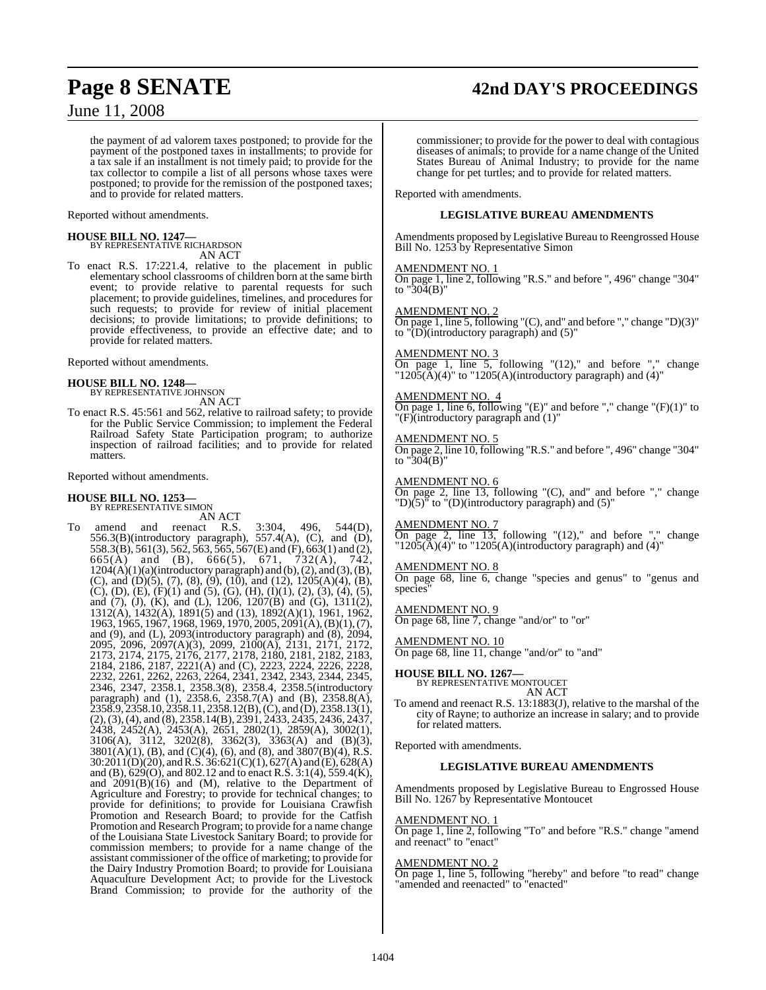## **Page 8 SENATE 42nd DAY'S PROCEEDINGS**

June 11, 2008

the payment of ad valorem taxes postponed; to provide for the payment of the postponed taxes in installments; to provide for a tax sale if an installment is not timely paid; to provide for the tax collector to compile a list of all persons whose taxes were postponed; to provide for the remission of the postponed taxes; and to provide for related matters.

Reported without amendments.

## **HOUSE BILL NO. 1247—**

BY REPRESENTATIVE RICHARDSON AN ACT

To enact R.S. 17:221.4, relative to the placement in public elementary school classrooms of children born at the same birth event; to provide relative to parental requests for such placement; to provide guidelines, timelines, and procedures for such requests; to provide for review of initial placement decisions; to provide limitations; to provide definitions; to provide effectiveness, to provide an effective date; and to provide for related matters.

Reported without amendments.

## **HOUSE BILL NO. 1248—**

BY REPRESENTATIVE JOHNSON AN ACT

To enact R.S. 45:561 and 562, relative to railroad safety; to provide for the Public Service Commission; to implement the Federal Railroad Safety State Participation program; to authorize inspection of railroad facilities; and to provide for related matters.

Reported without amendments.

## **HOUSE BILL NO. 1253—**

BY REPRESENTATIVE SIMON

AN ACT<br>and reenact R.S. To amend and reenact R.S. 3:304, 496, 544(D),  $556.3(B)$ (introductory paragraph),  $557.4(A)$ , (C), and (D), 558.3(B), 561(3), 562, 563, 565, 567(E) and (F), 663(1) and (2), 665(A) and (B), 666(5), 671, 732(A), 742,  $1204(A)(1)(a)(introductory paragraph)$  and  $(b), (2),$  and  $(3), (B),$ (C), and (D)(5), (7), (8), (9), (10), and (12), 1205(A)(4), (B),  $(C)$ ,  $(D)$ ,  $(E)$ ,  $(F)(1)$  and  $(5)$ ,  $(G)$ ,  $(H)$ ,  $(1)(1)$ ,  $(2)$ ,  $(3)$ ,  $(4)$ ,  $(5)$ , and (7), (J), (K), and (L), 1206, 1207(B) and (G), 1311(2), 1312(A), 1432(A), 1891(5) and (13), 1892(A)(1), 1961, 1962, 1963, 1965, 1967, 1968, 1969, 1970, 2005, 2091(A),(B)(1), (7), and (9), and (L), 2093(introductory paragraph) and (8), 2094, 2095, 2096, 2097(A)(3), 2099, 2100(A), 2131, 2171, 2172, 2173, 2174, 2175, 2176, 2177, 2178, 2180, 2181, 2182, 2183, 2184, 2186, 2187, 2221(A) and (C), 2223, 2224, 2226, 2228, 2232, 2261, 2262, 2263, 2264, 2341, 2342, 2343, 2344, 2345, 2346, 2347, 2358.1, 2358.3(8), 2358.4, 2358.5(introductory paragraph) and (1), 2358.6, 2358.7(A) and (B), 2358.8(A), 2358.9, 2358.10, 2358.11, 2358.12(B), (C), and (D), 2358.13(1), (2),(3),(4), and (8), 2358.14(B), 2391, 2433, 2435, 2436, 2437, 2438, 2452(A), 2453(A), 2651, 2802(1), 2859(A), 3002(1), 3106(A), 3112, 3202(8), 3362(3), 3363(A) and (B)(3),  $3801(A)(1)$ , (B), and (C)(4), (6), and (8), and  $3807(B)(4)$ , R.S. 30:2011(D)(20), andR.S. 36:621(C)(1), 627(A) and (E), 628(A) and (B), 629(O), and 802.12 and to enact R.S. 3:1(4), 559.4(K), and  $2091(B)(16)$  and (M), relative to the Department of Agriculture and Forestry; to provide for technical changes; to provide for definitions; to provide for Louisiana Crawfish Promotion and Research Board; to provide for the Catfish Promotion and Research Program; to provide for a name change of the Louisiana State Livestock Sanitary Board; to provide for commission members; to provide for a name change of the assistant commissioner of the office of marketing; to provide for the Dairy Industry Promotion Board; to provide for Louisiana Aquaculture Development Act; to provide for the Livestock Brand Commission; to provide for the authority of the

commissioner; to provide for the power to deal with contagious diseases of animals; to provide for a name change of the United States Bureau of Animal Industry; to provide for the name change for pet turtles; and to provide for related matters.

Reported with amendments.

## **LEGISLATIVE BUREAU AMENDMENTS**

Amendments proposed by Legislative Bureau to Reengrossed House Bill No. 1253 by Representative Simon

### AMENDMENT NO. 1

On page 1, line 2, following "R.S." and before ", 496" change "304" to " $304(B)$ "

## AMENDMENT NO. 2

On page 1, line 5, following "(C), and" and before "," change "D)(3)" to  $"\overrightarrow{(D)}$ (introductory paragraph) and (5)"

## AMEN<u>DMENT NO. 3</u>

On page 1, line  $5$ , following " $(12)$ ," and before "," change  $"1205(A)(4)"$  to  $"1205(A)(introducing paragraph)$  and  $(4)"$ 

## AMENDMENT NO. 4

On page 1, line 6, following " $(E)$ " and before "," change " $(F)(1)$ " to "(F)(introductory paragraph and (1)"

## AMENDMENT NO.

On page 2, line 10, following "R.S." and before ", 496" change "304" to  $"304(B)"$ 

## AMENDMENT NO. 6

On page 2, line 13, following "(C), and" and before "," change  $\text{''D}$ (5)<sup> $\text{''}$ </sup> to  $\text{''}$ (D)(introductory paragraph) and (5)"

## AMENDMENT NO. 7

On page 2, line 13, following "(12)," and before "," change  $"1205(A)(4)"$  to  $"1205(A)(introducing paragram)$  and  $(4)"$ 

## AMENDMENT NO. 8

On page 68, line 6, change "species and genus" to "genus and species

AMENDMENT NO. 9

On page 68, line 7, change "and/or" to "or"

## AMENDMENT NO. 10

On page 68, line 11, change "and/or" to "and"

## **HOUSE BILL NO. 1267—**

BY REPRESENTATIVE MONTOUCET AN ACT

To amend and reenact R.S. 13:1883(J), relative to the marshal of the city of Rayne; to authorize an increase in salary; and to provide for related matters.

Reported with amendments.

## **LEGISLATIVE BUREAU AMENDMENTS**

Amendments proposed by Legislative Bureau to Engrossed House Bill No. 1267 by Representative Montoucet

## AMENDMENT NO. 1

On page 1, line 2, following "To" and before "R.S." change "amend and reenact" to "enact"

## AMENDMENT NO. 2

On page 1, line 5, following "hereby" and before "to read" change "amended and reenacted" to "enacted"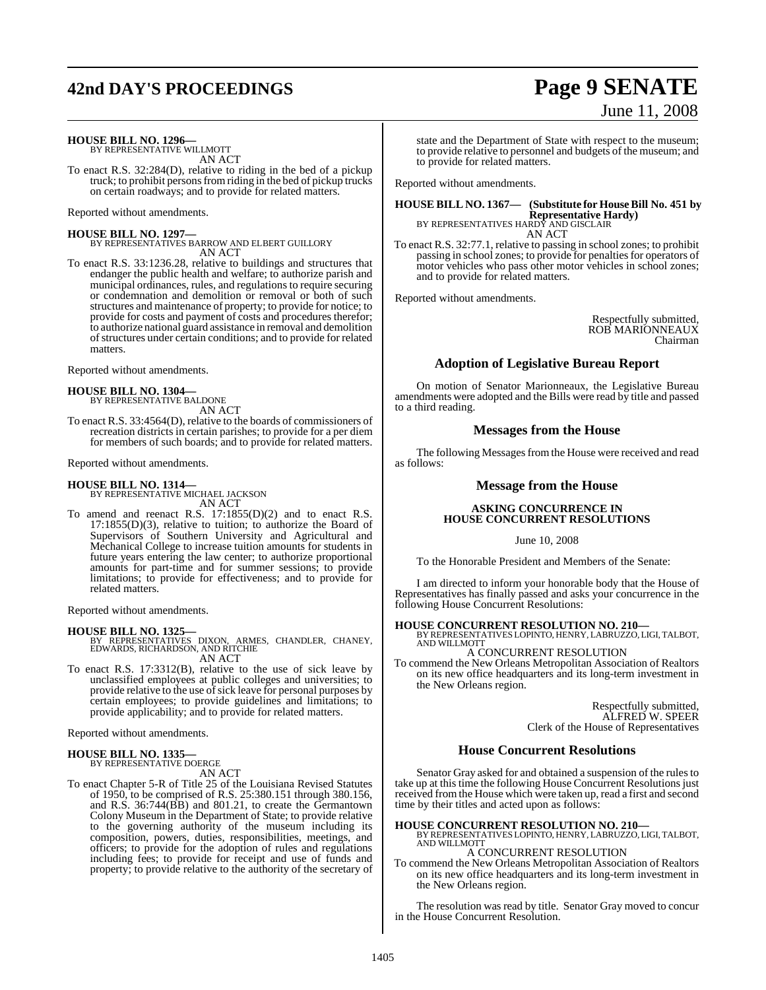## **42nd DAY'S PROCEEDINGS Page 9 SENATE**

# June 11, 2008

**HOUSE BILL NO. 1296—** BY REPRESENTATIVE WILLMOTT

AN ACT

To enact R.S. 32:284(D), relative to riding in the bed of a pickup truck; to prohibit personsfromriding in the bed of pickup trucks on certain roadways; and to provide for related matters.

Reported without amendments.

**HOUSE BILL NO. 1297—**

BY REPRESENTATIVES BARROW AND ELBERT GUILLORY AN ACT

To enact R.S. 33:1236.28, relative to buildings and structures that endanger the public health and welfare; to authorize parish and municipal ordinances, rules, and regulations to require securing or condemnation and demolition or removal or both of such structures and maintenance of property; to provide for notice; to provide for costs and payment of costs and procedures therefor; to authorize national guard assistance in removal and demolition ofstructures under certain conditions; and to provide for related matters.

Reported without amendments.

## **HOUSE BILL NO. 1304—** BY REPRESENTATIVE BALDONE

AN ACT

To enact R.S. 33:4564(D), relative to the boards of commissioners of recreation districts in certain parishes; to provide for a per diem for members of such boards; and to provide for related matters.

Reported without amendments.

## **HOUSE BILL NO. 1314—**

BY REPRESENTATIVE MICHAEL JACKSON

AN ACT To amend and reenact R.S. 17:1855(D)(2) and to enact R.S. 17:1855(D)(3), relative to tuition; to authorize the Board of Supervisors of Southern University and Agricultural and Mechanical College to increase tuition amounts for students in future years entering the law center; to authorize proportional amounts for part-time and for summer sessions; to provide limitations; to provide for effectiveness; and to provide for related matters.

Reported without amendments.

**HOUSE BILL NO. 1325—** BY REPRESENTATIVES DIXON, ARMES, CHANDLER, CHANEY, EDWARDS, RICHARDSON, AND RITCHIE AN ACT

To enact R.S. 17:3312(B), relative to the use of sick leave by unclassified employees at public colleges and universities; to provide relative to the use of sick leave for personal purposes by certain employees; to provide guidelines and limitations; to provide applicability; and to provide for related matters.

Reported without amendments.

## **HOUSE BILL NO. 1335—** BY REPRESENTATIVE DOERGE

AN ACT

To enact Chapter 5-R of Title 25 of the Louisiana Revised Statutes of 1950, to be comprised of R.S. 25:380.151 through 380.156, and R.S. 36:744(BB) and 801.21, to create the Germantown Colony Museum in the Department of State; to provide relative to the governing authority of the museum including its composition, powers, duties, responsibilities, meetings, and officers; to provide for the adoption of rules and regulations including fees; to provide for receipt and use of funds and property; to provide relative to the authority of the secretary of

state and the Department of State with respect to the museum; to provide relative to personnel and budgets of the museum; and to provide for related matters.

Reported without amendments.

## **HOUSE BILL NO. 1367— (Substitute for HouseBill No. 451 by Representative Hardy)** BY REPRESENTATIVES HARDY AND GISCLAIR

AN ACT

To enact R.S. 32:77.1, relative to passing in school zones; to prohibit passing in school zones; to provide for penalties for operators of motor vehicles who pass other motor vehicles in school zones; and to provide for related matters.

Reported without amendments.

Respectfully submitted, ROB MARIONNEAUX Chairman

## **Adoption of Legislative Bureau Report**

On motion of Senator Marionneaux, the Legislative Bureau amendments were adopted and the Bills were read by title and passed to a third reading.

## **Messages from the House**

The following Messages from the House were received and read as follows:

## **Message from the House**

## **ASKING CONCURRENCE IN HOUSE CONCURRENT RESOLUTIONS**

June 10, 2008

To the Honorable President and Members of the Senate:

I am directed to inform your honorable body that the House of Representatives has finally passed and asks your concurrence in the following House Concurrent Resolutions:

## **HOUSE CONCURRENT RESOLUTION NO. 210—** BY REPRESENTATIVES LOPINTO, HENRY, LABRUZZO, LIGI, TALBOT, AND WILLMOTT

A CONCURRENT RESOLUTION

To commend the New Orleans Metropolitan Association of Realtors on its new office headquarters and its long-term investment in the New Orleans region.

> Respectfully submitted, ALFRED W. SPEER Clerk of the House of Representatives

## **House Concurrent Resolutions**

Senator Gray asked for and obtained a suspension of the rules to take up at this time the following House Concurrent Resolutions just received from the House which were taken up, read a first and second time by their titles and acted upon as follows:

**HOUSE CONCURRENT RESOLUTION NO. 210—** BY REPRESENTATIVES LOPINTO, HENRY, LABRUZZO, LIGI, TALBOT, AND WILLMOTT

## A CONCURRENT RESOLUTION

To commend the New Orleans Metropolitan Association of Realtors on its new office headquarters and its long-term investment in the New Orleans region.

The resolution was read by title. Senator Gray moved to concur in the House Concurrent Resolution.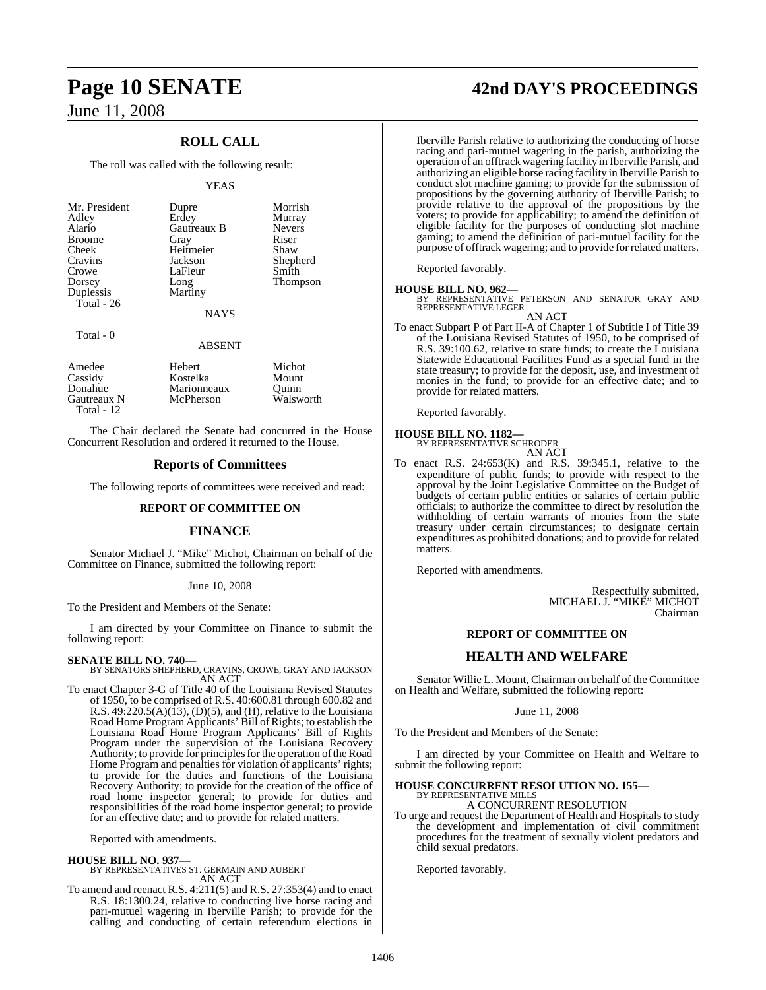## **ROLL CALL**

The roll was called with the following result:

## YEAS

| Mr. President<br>Adley<br>Alario<br><b>Broome</b><br>Cheek<br>Cravins<br>Crowe<br>Dorsey<br>Duplessis<br>Total $-26$ | Dupre<br>Erdey<br><b>Gautreaux B</b><br>Gray<br>Heitmeier<br>Jackson<br>LaFleur<br>Long<br>Martiny | Morrish<br>Murray<br><b>Nevers</b><br>Riser<br>Shaw<br>Shepherd<br>Smith<br>Thompson |
|----------------------------------------------------------------------------------------------------------------------|----------------------------------------------------------------------------------------------------|--------------------------------------------------------------------------------------|
|                                                                                                                      | <b>NAYS</b>                                                                                        |                                                                                      |

Total - 0

## ABSENT

| Hebert      | Michot    |
|-------------|-----------|
| Kostelka    | Mount     |
| Marionneaux | Ouinn     |
| McPherson   | Walsworth |
|             |           |
|             |           |

The Chair declared the Senate had concurred in the House Concurrent Resolution and ordered it returned to the House.

## **Reports of Committees**

The following reports of committees were received and read:

## **REPORT OF COMMITTEE ON**

## **FINANCE**

Senator Michael J. "Mike" Michot, Chairman on behalf of the Committee on Finance, submitted the following report:

## June 10, 2008

To the President and Members of the Senate:

I am directed by your Committee on Finance to submit the following report:

## **SENATE BILL NO. 740—**

BY SENATORS SHEPHERD, CRAVINS, CROWE, GRAY AND JACKSON AN ACT

To enact Chapter 3-G of Title 40 of the Louisiana Revised Statutes of 1950, to be comprised of R.S. 40:600.81 through 600.82 and R.S.  $49:220.5(A)(13)$ , (D)(5), and (H), relative to the Louisiana Road Home Program Applicants' Bill of Rights; to establish the Louisiana Road Home Program Applicants' Bill of Rights Program under the supervision of the Louisiana Recovery Authority; to provide for principles for the operation of the Road Home Program and penalties for violation of applicants' rights; to provide for the duties and functions of the Louisiana Recovery Authority; to provide for the creation of the office of road home inspector general; to provide for duties and responsibilities of the road home inspector general; to provide for an effective date; and to provide for related matters.

Reported with amendments.

## **HOUSE BILL NO. 937—**

BY REPRESENTATIVES ST. GERMAIN AND AUBERT AN ACT

To amend and reenact R.S. 4:211(5) and R.S. 27:353(4) and to enact R.S. 18:1300.24, relative to conducting live horse racing and pari-mutuel wagering in Iberville Parish; to provide for the calling and conducting of certain referendum elections in

## **Page 10 SENATE 42nd DAY'S PROCEEDINGS**

Iberville Parish relative to authorizing the conducting of horse racing and pari-mutuel wagering in the parish, authorizing the operation of an offtrack wagering facility in Iberville Parish, and authorizing an eligible horse racing facility in Iberville Parish to conduct slot machine gaming; to provide for the submission of propositions by the governing authority of Iberville Parish; to provide relative to the approval of the propositions by the voters; to provide for applicability; to amend the definition of eligible facility for the purposes of conducting slot machine gaming; to amend the definition of pari-mutuel facility for the purpose of offtrack wagering; and to provide for related matters.

Reported favorably.

## **HOUSE BILL NO. 962—**

BY REPRESENTATIVE PETERSON AND SENATOR GRAY AND REPRESENTATIVE LEGER AN ACT

To enact Subpart P of Part II-A of Chapter 1 of Subtitle I of Title 39 of the Louisiana Revised Statutes of 1950, to be comprised of R.S. 39:100.62, relative to state funds; to create the Louisiana Statewide Educational Facilities Fund as a special fund in the state treasury; to provide for the deposit, use, and investment of monies in the fund; to provide for an effective date; and to provide for related matters.

Reported favorably.

## **HOUSE BILL NO. 1182—**

BY REPRESENTATIVE SCHRODER AN ACT

To enact R.S. 24:653(K) and R.S. 39:345.1, relative to the expenditure of public funds; to provide with respect to the approval by the Joint Legislative Committee on the Budget of budgets of certain public entities or salaries of certain public officials; to authorize the committee to direct by resolution the withholding of certain warrants of monies from the state treasury under certain circumstances; to designate certain expenditures as prohibited donations; and to provide for related matters.

Reported with amendments.

Respectfully submitted, MICHAEL J. "MIKE" MICHOT Chairman

## **REPORT OF COMMITTEE ON**

## **HEALTH AND WELFARE**

Senator Willie L. Mount, Chairman on behalf of the Committee on Health and Welfare, submitted the following report:

June 11, 2008

To the President and Members of the Senate:

I am directed by your Committee on Health and Welfare to submit the following report:

## **HOUSE CONCURRENT RESOLUTION NO. 155—** BY REPRESENTATIVE MILLS

A CONCURRENT RESOLUTION

To urge and request the Department of Health and Hospitals to study the development and implementation of civil commitment procedures for the treatment of sexually violent predators and child sexual predators.

Reported favorably.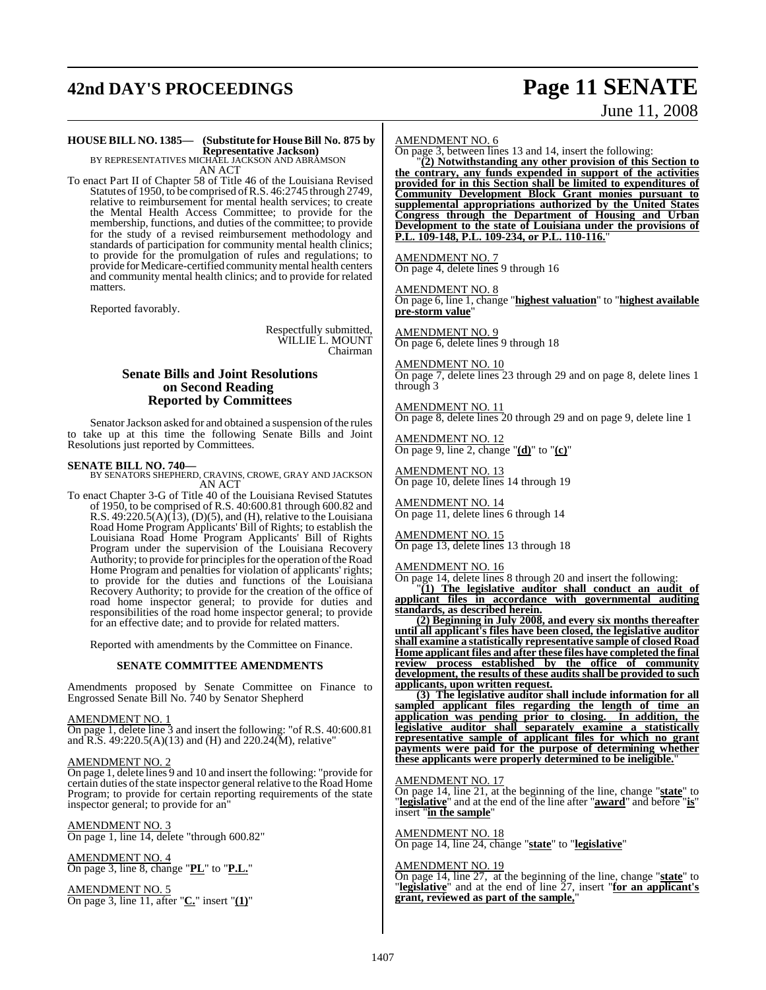## **42nd DAY'S PROCEEDINGS Page 11 SENATE**

# June 11, 2008

## **HOUSE BILL NO. 1385— (Substitute for HouseBill No. 875 by Representative Jackson)** BY REPRESENTATIVES MICHAEL JACKSON AND ABRAMSON

AN ACT

To enact Part II of Chapter 58 of Title 46 of the Louisiana Revised Statutes of 1950, to be comprised ofR.S. 46:2745 through 2749, relative to reimbursement for mental health services; to create the Mental Health Access Committee; to provide for the membership, functions, and duties of the committee; to provide for the study of a revised reimbursement methodology and standards of participation for community mental health clinics; to provide for the promulgation of rules and regulations; to provide for Medicare-certified community mental health centers and community mental health clinics; and to provide for related matters.

Reported favorably.

Respectfully submitted, WILLIE L. MOUNT Chairman

## **Senate Bills and Joint Resolutions on Second Reading Reported by Committees**

Senator Jackson asked for and obtained a suspension of the rules to take up at this time the following Senate Bills and Joint Resolutions just reported by Committees.

### **SENATE BILL NO. 740—**

BY SENATORS SHEPHERD, CRAVINS, CROWE, GRAY AND JACKSON AN ACT

To enact Chapter 3-G of Title 40 of the Louisiana Revised Statutes of 1950, to be comprised of R.S. 40:600.81 through 600.82 and R.S.  $49:220.5(A)(13)$ , (D)(5), and (H), relative to the Louisiana Road Home Program Applicants' Bill of Rights; to establish the Louisiana Road Home Program Applicants' Bill of Rights Program under the supervision of the Louisiana Recovery Authority; to provide for principles for the operation of the Road Home Program and penalties for violation of applicants' rights; to provide for the duties and functions of the Louisiana Recovery Authority; to provide for the creation of the office of road home inspector general; to provide for duties and responsibilities of the road home inspector general; to provide for an effective date; and to provide for related matters.

Reported with amendments by the Committee on Finance.

### **SENATE COMMITTEE AMENDMENTS**

Amendments proposed by Senate Committee on Finance to Engrossed Senate Bill No. 740 by Senator Shepherd

### AMENDMENT NO. 1

On page 1, delete line 3 and insert the following: "of R.S. 40:600.81 and R.S. 49:220.5(A)(13) and (H) and 220.24(M), relative"

### AMENDMENT NO. 2

On page 1, delete lines 9 and 10 and insert the following: "provide for certain duties of the state inspector general relative to the Road Home Program; to provide for certain reporting requirements of the state inspector general; to provide for an"

### AMENDMENT NO. 3 On page 1, line 14, delete "through 600.82"

AMENDMENT NO. 4 On page 3, line 8, change "**PL**" to "**P.L.**"

AMENDMENT NO. 5 On page 3, line 11, after "**C.**" insert "**(1)**"

## AMENDMENT NO. 6

On page 3, between lines 13 and 14, insert the following:

"**(2) Notwithstanding any other provision of this Section to the contrary, any funds expended in support of the activities provided for in this Section shall be limited to expenditures of Community Development Block Grant monies pursuant to supplemental appropriations authorized by the United States Congress through the Department of Housing and Urban Development to the state of Louisiana under the provisions of P.L. 109-148, P.L. 109-234, or P.L. 110-116.**"

AMENDMENT NO. 7 On page 4, delete lines 9 through 16

AMENDMENT NO. 8 On page 6, line 1, change "**highest valuation**" to "**highest available pre-storm value**"

AMENDMENT NO. 9

On page 6, delete lines 9 through 18

AMENDMENT NO. 10 On page 7, delete lines 23 through 29 and on page 8, delete lines 1 through 3

AMENDMENT NO. 11 On page 8, delete lines 20 through 29 and on page 9, delete line 1

AMENDMENT NO. 12 On page 9, line 2, change "**(d)**" to "**(c)**"

AMENDMENT NO. 13 On page 10, delete lines 14 through 19

AMEND<u>MENT NO. 14</u> On page 11, delete lines 6 through 14

AMENDMENT NO. 15 On page 13, delete lines 13 through 18

## AMENDMENT NO. 16

On page 14, delete lines 8 through 20 and insert the following:

"**(1) The legislative auditor shall conduct an audit of applicant files in accordance with governmental auditing standards, as described herein.**

**(2) Beginning in July 2008, and every six months thereafter until all applicant's files have been closed, the legislative auditor shall examine a statistically representative sample of closed Road Home applicant files and after these files have completed the final review process established by the office of community development, the results of these audits shall be provided to such applicants, upon written request.**

**(3) The legislative auditor shall include information for all sampled applicant files regarding the length of time an application was pending prior to closing. In addition, the legislative auditor shall separately examine a statistically representative sample of applicant files for which no grant payments were paid for the purpose of determining whether these applicants were properly determined to be ineligible.**"

### AMENDMENT NO. 17

On page 14, line 21, at the beginning of the line, change "**state**" to "**legislative**" and at the end of the line after "**award**" and before "**is**" insert "**in the sample**"

### AMENDMENT NO. 18

On page 14, line 24, change "**state**" to "**legislative**"

## AMENDMENT NO. 19

On page 14, line 27, at the beginning of the line, change "**state**" to "**legislative**" and at the end of line 27, insert "**for an applicant's grant, reviewed as part of the sample,**"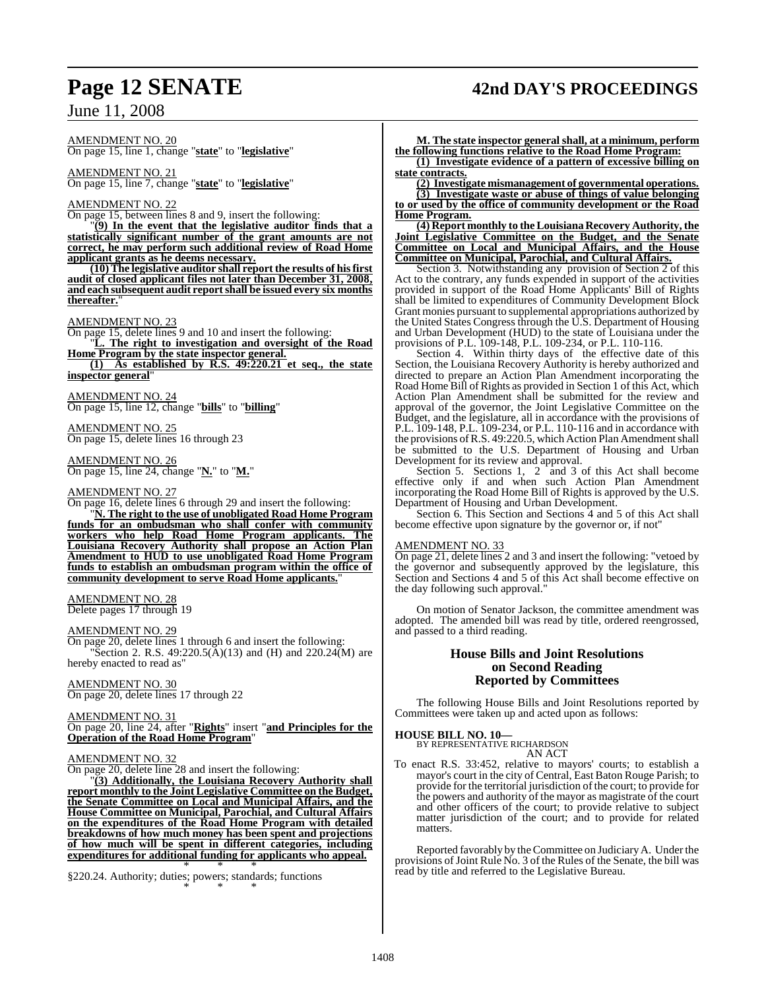## **Page 12 SENATE 42nd DAY'S PROCEEDINGS**

June 11, 2008

AMENDMENT NO. 20

On page 15, line 1, change "**state**" to "**legislative**"

AMENDMENT NO. 21 On page 15, line 7, change "**state**" to "**legislative**"

## AMENDMENT NO. 22

On page 15, between lines 8 and 9, insert the following:

"**(9) In the event that the legislative auditor finds that a statistically significant number of the grant amounts are not correct, he may perform such additional review of Road Home applicant grants as he deems necessary.**

**(10) The legislative auditor shall report the results of hisfirst audit of closed applicant files not later than December 31, 2008, and each subsequent audit reportshall be issued every six months thereafter.**"

## AMENDMENT NO. 23

On page 15, delete lines 9 and 10 and insert the following: "**L. The right to investigation and oversight of the Road**

**Home Program by the state inspector general.**

**(1) As established by R.S. 49:220.21 et seq., the state**  $inspector general$ 

AMENDMENT NO. 24 On page 15, line 12, change "**bills**" to "**billing**"

AMENDMENT NO. 25 On page 15, delete lines 16 through 23

AMENDMENT NO. 26 On page 15, line 24, change "**N.**" to "**M.**"

### AMENDMENT NO. 27

On page 16, delete lines 6 through 29 and insert the following:

"**N. The right to the use of unobligated Road Home Program funds for an ombudsman who shall confer with community workers who help Road Home Program applicants. The Louisiana Recovery Authority shall propose an Action Plan Amendment to HUD to use unobligated Road Home Program funds to establish an ombudsman program within the office of community development to serve Road Home applicants.**"

## AMENDMENT NO. 28

Delete pages 17 through 19

## AMENDMENT NO. 29

On page 20, delete lines 1 through 6 and insert the following: "Section 2. R.S.  $49:220.5(\text{\AA})(13)$  and (H) and  $220.24(\text{\AA})$  are hereby enacted to read as"

## AMENDMENT NO. 30

On page 20, delete lines 17 through 22

## AMENDMENT NO. 31

On page 20, line 24, after "**Rights**" insert "**and Principles for the Operation of the Road Home Program**"

## AMENDMENT NO. 32

On page 20, delete line 28 and insert the following:

"**(3) Additionally, the Louisiana Recovery Authority shall report monthly to the Joint Legislative Committee on the Budget, the Senate Committee on Local and Municipal Affairs, and the House Committee on Municipal, Parochial, and Cultural Affairs on the expenditures of the Road Home Program with detailed breakdowns of how much money has been spent and projections of how much will be spent in different categories, including expenditures for additional funding for applicants who appeal.**

\* \* \* §220.24. Authority; duties; powers; standards; functions \* \* \*

**M. The state inspector general shall, at a minimum, perform the following functions relative to the Road Home Program:**

**(1) Investigate evidence of a pattern of excessive billing on state contracts.**

**(2) Investigate mismanagement of governmental operations.**

**(3) Investigate waste or abuse of things of value belonging to or used by the office of community development or the Road Home Program.**

**(4) Report monthly to theLouisiana Recovery Authority, the Joint Legislative Committee on the Budget, and the Senate Committee on Local and Municipal Affairs, and the House Committee on Municipal, Parochial, and Cultural Affairs.**

Section 3. Notwithstanding any provision of Section 2 of this Act to the contrary, any funds expended in support of the activities provided in support of the Road Home Applicants' Bill of Rights shall be limited to expenditures of Community Development Block Grant monies pursuant to supplemental appropriations authorized by the United States Congress through the U.S. Department of Housing and Urban Development (HUD) to the state of Louisiana under the provisions of P.L. 109-148, P.L. 109-234, or P.L. 110-116.

Section 4. Within thirty days of the effective date of this Section, the Louisiana Recovery Authority is hereby authorized and directed to prepare an Action Plan Amendment incorporating the Road Home Bill of Rights as provided in Section 1 of this Act, which Action Plan Amendment shall be submitted for the review and approval of the governor, the Joint Legislative Committee on the Budget, and the legislature, all in accordance with the provisions of P.L. 109-148, P.L. 109-234, or P.L. 110-116 and in accordance with the provisions of R.S. 49:220.5, which Action Plan Amendment shall be submitted to the U.S. Department of Housing and Urban Development for its review and approval.

Section 5. Sections 1, 2 and 3 of this Act shall become effective only if and when such Action Plan Amendment incorporating the Road Home Bill of Rights is approved by the U.S. Department of Housing and Urban Development.

Section 6. This Section and Sections  $\overline{4}$  and  $\overline{5}$  of this Act shall become effective upon signature by the governor or, if not"

## AMENDMENT NO. 33

On page 21, delete lines 2 and 3 and insert the following: "vetoed by the governor and subsequently approved by the legislature, this Section and Sections 4 and 5 of this Act shall become effective on the day following such approval."

On motion of Senator Jackson, the committee amendment was adopted. The amended bill was read by title, ordered reengrossed, and passed to a third reading.

## **House Bills and Joint Resolutions on Second Reading Reported by Committees**

The following House Bills and Joint Resolutions reported by Committees were taken up and acted upon as follows:

## **HOUSE BILL NO. 10—**

BY REPRESENTATIVE RICHARDSON AN ACT

To enact R.S. 33:452, relative to mayors' courts; to establish a mayor's court in the city of Central, East Baton Rouge Parish; to provide for the territorial jurisdiction of the court; to provide for the powers and authority of the mayor as magistrate of the court and other officers of the court; to provide relative to subject matter jurisdiction of the court; and to provide for related matters.

Reported favorably by theCommittee on JudiciaryA. Under the provisions of Joint Rule No. 3 of the Rules of the Senate, the bill was read by title and referred to the Legislative Bureau.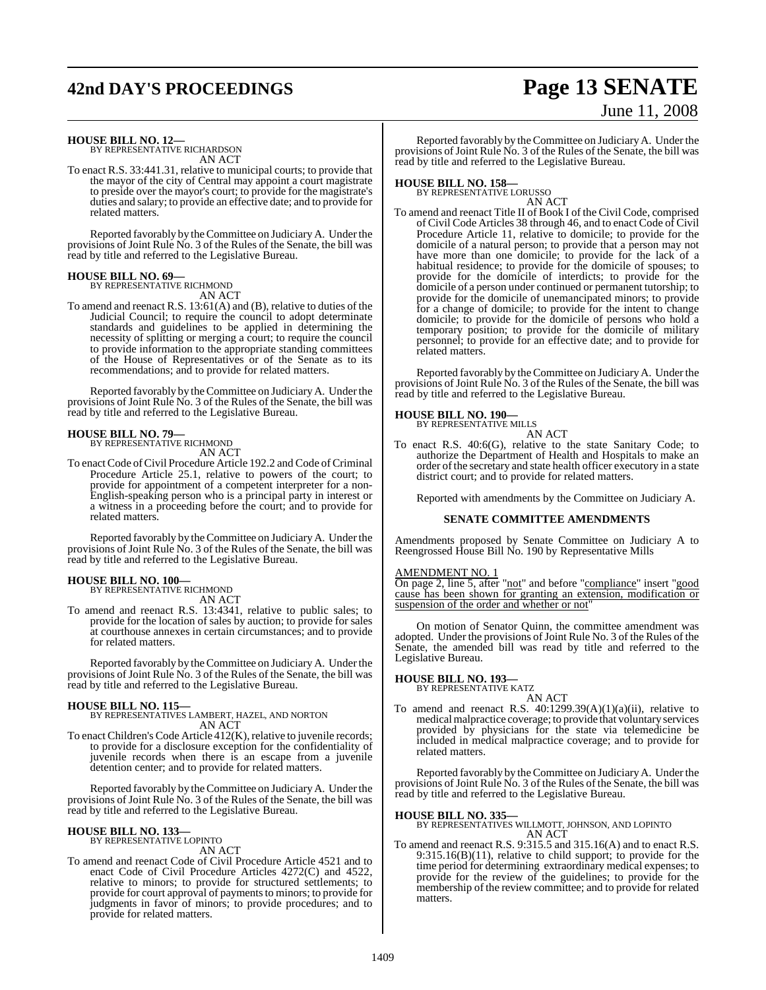## **42nd DAY'S PROCEEDINGS Page 13 SENATE**

# June 11, 2008

### **HOUSE BILL NO. 12—** BY REPRESENTATIVE RICHARDSON

AN ACT

To enact R.S. 33:441.31, relative to municipal courts; to provide that the mayor of the city of Central may appoint a court magistrate to preside over the mayor's court; to provide for the magistrate's duties and salary; to provide an effective date; and to provide for related matters.

Reported favorably by theCommittee on Judiciary A. Under the provisions of Joint Rule No. 3 of the Rules of the Senate, the bill was read by title and referred to the Legislative Bureau.

## **HOUSE BILL NO. 69—** BY REPRESENTATIVE RICHMOND

AN ACT

To amend and reenact R.S. 13:61(A) and (B), relative to duties of the Judicial Council; to require the council to adopt determinate standards and guidelines to be applied in determining the necessity of splitting or merging a court; to require the council to provide information to the appropriate standing committees of the House of Representatives or of the Senate as to its recommendations; and to provide for related matters.

Reported favorably by theCommittee on JudiciaryA. Under the provisions of Joint Rule No. 3 of the Rules of the Senate, the bill was read by title and referred to the Legislative Bureau.

## **HOUSE BILL NO. 79—**

BY REPRESENTATIVE RICHMOND

- AN ACT
- To enact Code of Civil Procedure Article 192.2 and Code of Criminal Procedure Article 25.1, relative to powers of the court; to provide for appointment of a competent interpreter for a non-English-speaking person who is a principal party in interest or a witness in a proceeding before the court; and to provide for related matters.

Reported favorably by theCommittee on JudiciaryA. Under the provisions of Joint Rule No. 3 of the Rules of the Senate, the bill was read by title and referred to the Legislative Bureau.

## **HOUSE BILL NO. 100—**

BY REPRESENTATIVE RICHMOND

AN ACT To amend and reenact R.S. 13:4341, relative to public sales; to provide for the location of sales by auction; to provide for sales at courthouse annexes in certain circumstances; and to provide for related matters.

Reported favorably by theCommittee on Judiciary A. Under the provisions of Joint Rule No. 3 of the Rules of the Senate, the bill was read by title and referred to the Legislative Bureau.

- **HOUSE BILL NO. 115—** BY REPRESENTATIVES LAMBERT, HAZEL, AND NORTON AN ACT
- To enact Children's Code Article  $412(K)$ , relative to juvenile records; to provide for a disclosure exception for the confidentiality of juvenile records when there is an escape from a juvenile detention center; and to provide for related matters.

Reported favorably by theCommittee on JudiciaryA. Under the provisions of Joint Rule No. 3 of the Rules of the Senate, the bill was read by title and referred to the Legislative Bureau.

### **HOUSE BILL NO. 133—** BY REPRESENTATIVE LOPINTO

AN ACT

To amend and reenact Code of Civil Procedure Article 4521 and to enact Code of Civil Procedure Articles 4272(C) and 4522, relative to minors; to provide for structured settlements; to provide for court approval of payments to minors; to provide for judgments in favor of minors; to provide procedures; and to provide for related matters.

Reported favorably by theCommittee on JudiciaryA. Under the provisions of Joint Rule No. 3 of the Rules of the Senate, the bill was read by title and referred to the Legislative Bureau.

## **HOUSE BILL NO. 158—** BY REPRESENTATIVE LORUSSO

AN ACT

To amend and reenact Title II of Book I of the Civil Code, comprised of Civil Code Articles 38 through 46, and to enact Code of Civil Procedure Article 11, relative to domicile; to provide for the domicile of a natural person; to provide that a person may not have more than one domicile; to provide for the lack of a habitual residence; to provide for the domicile of spouses; to provide for the domicile of interdicts; to provide for the domicile of a person under continued or permanent tutorship; to provide for the domicile of unemancipated minors; to provide for a change of domicile; to provide for the intent to change domicile; to provide for the domicile of persons who hold a temporary position; to provide for the domicile of military personnel; to provide for an effective date; and to provide for related matters.

Reported favorably by theCommittee on JudiciaryA. Under the provisions of Joint Rule No. 3 of the Rules of the Senate, the bill was read by title and referred to the Legislative Bureau.

## **HOUSE BILL NO. 190—**

BY REPRESENTATIVE MILLS AN ACT

To enact R.S. 40:6(G), relative to the state Sanitary Code; to authorize the Department of Health and Hospitals to make an order of the secretary and state health officer executory in a state district court; and to provide for related matters.

Reported with amendments by the Committee on Judiciary A.

## **SENATE COMMITTEE AMENDMENTS**

Amendments proposed by Senate Committee on Judiciary A to Reengrossed House Bill No. 190 by Representative Mills

## AMENDMENT NO. 1

On page 2, line 5, after "not" and before "compliance" insert "good cause has been shown for granting an extension, modification or suspension of the order and whether or not"

On motion of Senator Quinn, the committee amendment was adopted. Under the provisions of Joint Rule No. 3 of the Rules of the Senate, the amended bill was read by title and referred to the Legislative Bureau.

**HOUSE BILL NO. 193—** BY REPRESENTATIVE KATZ

AN ACT To amend and reenact R.S.  $40:1299.39(A)(1)(a)(ii)$ , relative to medical malpractice coverage; to provide that voluntary services provided by physicians for the state via telemedicine be included in medical malpractice coverage; and to provide for related matters.

Reported favorably by theCommittee on JudiciaryA. Under the provisions of Joint Rule No. 3 of the Rules of the Senate, the bill was read by title and referred to the Legislative Bureau.

## **HOUSE BILL NO. 335—**

BY REPRESENTATIVES WILLMOTT, JOHNSON, AND LOPINTO AN ACT

To amend and reenact R.S. 9:315.5 and 315.16(A) and to enact R.S. 9:315.16(B)(11), relative to child support; to provide for the time period for determining extraordinary medical expenses; to provide for the review of the guidelines; to provide for the membership of the review committee; and to provide for related matters.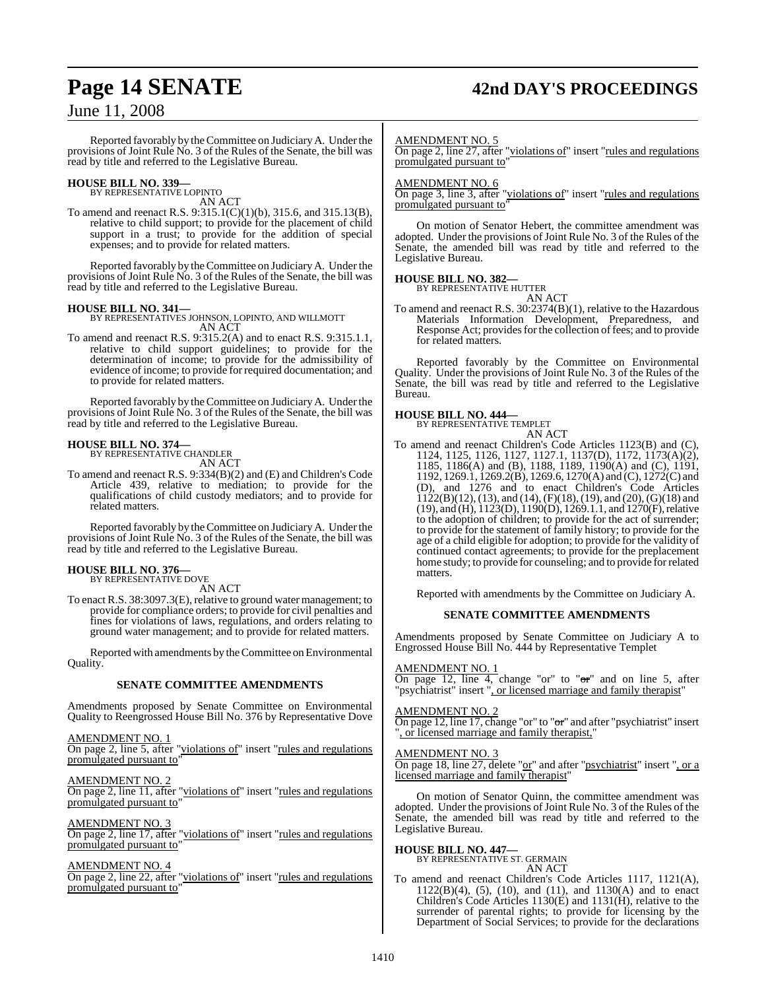## **Page 14 SENATE 42nd DAY'S PROCEEDINGS**

## June 11, 2008

Reported favorably by theCommittee on JudiciaryA. Under the provisions of Joint Rule No. 3 of the Rules of the Senate, the bill was read by title and referred to the Legislative Bureau.

## **HOUSE BILL NO. 339—** BY REPRESENTATIVE LOPINTO

AN ACT

To amend and reenact R.S. 9:315.1(C)(1)(b), 315.6, and 315.13(B), relative to child support; to provide for the placement of child support in a trust; to provide for the addition of special expenses; and to provide for related matters.

Reported favorably by theCommittee on JudiciaryA. Under the provisions of Joint Rule No. 3 of the Rules of the Senate, the bill was read by title and referred to the Legislative Bureau.

**HOUSE BILL NO. 341—** BY REPRESENTATIVES JOHNSON, LOPINTO, AND WILLMOTT AN ACT

To amend and reenact R.S. 9:315.2(A) and to enact R.S. 9:315.1.1, relative to child support guidelines; to provide for the determination of income; to provide for the admissibility of evidence of income; to provide for required documentation; and to provide for related matters.

Reported favorably by theCommittee on JudiciaryA. Under the provisions of Joint Rule No. 3 of the Rules of the Senate, the bill was read by title and referred to the Legislative Bureau.

### **HOUSE BILL NO. 374—** BY REPRESENTATIVE CHANDLER

AN ACT

To amend and reenact R.S. 9:334(B)(2) and (E) and Children's Code Article 439, relative to mediation; to provide for the qualifications of child custody mediators; and to provide for related matters.

Reported favorably by theCommittee on JudiciaryA. Under the provisions of Joint Rule No. 3 of the Rules of the Senate, the bill was read by title and referred to the Legislative Bureau.

## **HOUSE BILL NO. 376—**

BY REPRESENTATIVE DOVE AN ACT

To enact R.S. 38:3097.3(E), relative to ground water management; to provide for compliance orders; to provide for civil penalties and fines for violations of laws, regulations, and orders relating to ground water management; and to provide for related matters.

Reported with amendments by the Committee on Environmental Quality.

## **SENATE COMMITTEE AMENDMENTS**

Amendments proposed by Senate Committee on Environmental Quality to Reengrossed House Bill No. 376 by Representative Dove

AMENDMENT NO. 1 On page 2, line 5, after "violations of" insert "rules and regulations promulgated pursuant to'

AMENDMENT NO. 2 On page 2, line 11, after "violations of" insert "rules and regulations promulgated pursuant to"

## AMENDMENT NO. 3

On page 2, line 17, after "violations of" insert "rules and regulations promulgated pursuant to"

## AMENDMENT NO. 4

On page 2, line 22, after "violations of" insert "rules and regulations" promulgated pursuant to"

### AMENDMENT NO. 5

On page 2, line 27, after "violations of" insert "rules and regulations promulgated pursuant to"

## AMENDMENT NO. 6

On page 3, line 3, after "violations of" insert "rules and regulations promulgated pursuant to"

On motion of Senator Hebert, the committee amendment was adopted. Under the provisions of Joint Rule No. 3 of the Rules of the Senate, the amended bill was read by title and referred to the Legislative Bureau.

## **HOUSE BILL NO. 382—**

BY REPRESENTATIVE HUTTER AN ACT

To amend and reenact R.S. 30:2374(B)(1), relative to the Hazardous Materials Information Development, Preparedness, and Response Act; provides for the collection of fees; and to provide for related matters.

Reported favorably by the Committee on Environmental Quality. Under the provisions of Joint Rule No. 3 of the Rules of the Senate, the bill was read by title and referred to the Legislative Bureau.

**HOUSE BILL NO. 444—** BY REPRESENTATIVE TEMPLET AN ACT

To amend and reenact Children's Code Articles 1123(B) and (C), 1124, 1125, 1126, 1127, 1127.1, 1137(D), 1172, 1173(A)(2), 1185, 1186(A) and (B), 1188, 1189, 1190(A) and (C), 1191, 1192, 1269.1, 1269.2(B), 1269.6, 1270(A) and (C), 1272(C) and (D), and 1276 and to enact Children's Code Articles  $1122(B)(12)$ , (13), and (14), (F)(18), (19), and (20), (G)(18) and (19), and (H), 1123(D), 1190(D), 1269.1.1, and 1270(F), relative to the adoption of children; to provide for the act of surrender; to provide for the statement of family history; to provide for the age of a child eligible for adoption; to provide for the validity of continued contact agreements; to provide for the preplacement home study; to provide for counseling; and to provide forrelated matters.

Reported with amendments by the Committee on Judiciary A.

## **SENATE COMMITTEE AMENDMENTS**

Amendments proposed by Senate Committee on Judiciary A to Engrossed House Bill No. 444 by Representative Templet

## AMENDMENT NO. 1

On page 12, line 4, change "or" to " $\sigma r$ " and on line 5, after "psychiatrist" insert ", or licensed marriage and family therapist"

## AMENDMENT NO. 2

On page 12, line 17, change "or" to "or" and after "psychiatrist" insert ", or licensed marriage and family therapist,"

## AMEND<u>MENT NO. 3</u>

On page 18, line 27, delete "or" and after "psychiatrist" insert ", or a licensed marriage and family therapist'

On motion of Senator Quinn, the committee amendment was adopted. Under the provisions of Joint Rule No. 3 of the Rules of the Senate, the amended bill was read by title and referred to the Legislative Bureau.

## **HOUSE BILL NO. 447—** BY REPRESENTATIVE ST. GERMAIN

AN ACT

To amend and reenact Children's Code Articles 1117, 1121(A), 1122(B)(4), (5), (10), and (11), and 1130(A) and to enact Children's Code Articles 1130(E) and 1131(H), relative to the surrender of parental rights; to provide for licensing by the Department of Social Services; to provide for the declarations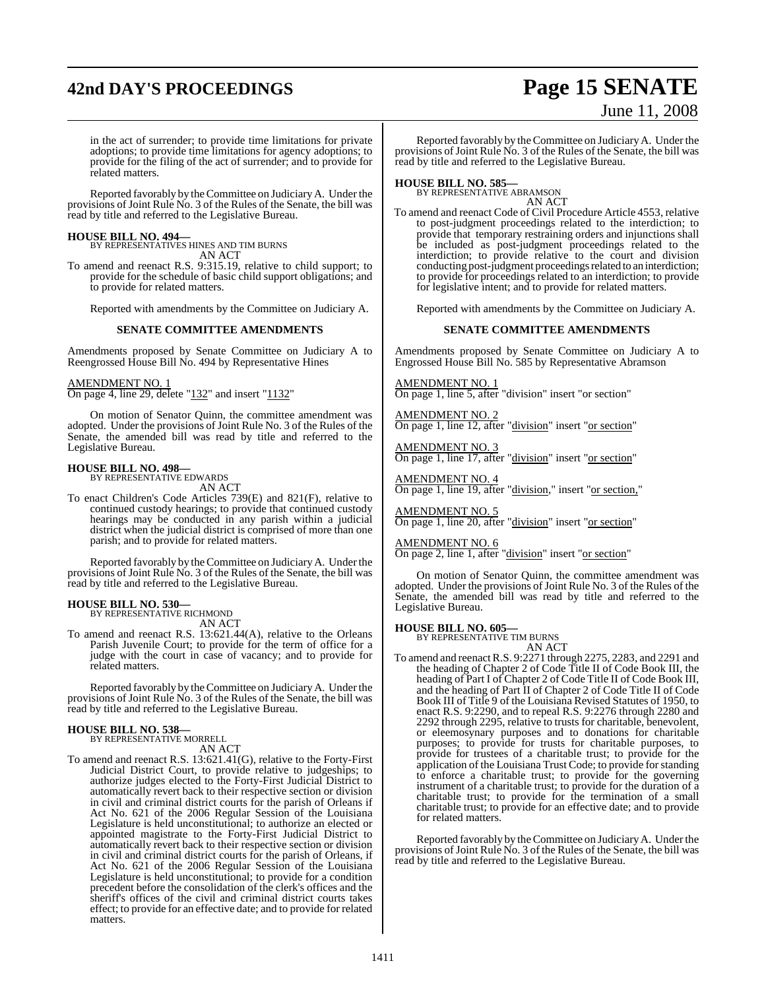## **42nd DAY'S PROCEEDINGS Page 15 SENATE**

# June 11, 2008

in the act of surrender; to provide time limitations for private adoptions; to provide time limitations for agency adoptions; to provide for the filing of the act of surrender; and to provide for related matters.

Reported favorably by theCommittee on JudiciaryA. Under the provisions of Joint Rule No. 3 of the Rules of the Senate, the bill was read by title and referred to the Legislative Bureau.

**HOUSE BILL NO. 494—** BY REPRESENTATIVES HINES AND TIM BURNS AN ACT

To amend and reenact R.S. 9:315.19, relative to child support; to provide for the schedule of basic child support obligations; and to provide for related matters.

Reported with amendments by the Committee on Judiciary A.

### **SENATE COMMITTEE AMENDMENTS**

Amendments proposed by Senate Committee on Judiciary A to Reengrossed House Bill No. 494 by Representative Hines

## AMENDMENT NO. 1

On page 4, line 29, delete "132" and insert "1132"

On motion of Senator Quinn, the committee amendment was adopted. Under the provisions of Joint Rule No. 3 of the Rules of the Senate, the amended bill was read by title and referred to the Legislative Bureau.

## **HOUSE BILL NO. 498—** BY REPRESENTATIVE EDWARDS

AN ACT

To enact Children's Code Articles 739(E) and 821(F), relative to continued custody hearings; to provide that continued custody hearings may be conducted in any parish within a judicial district when the judicial district is comprised of more than one parish; and to provide for related matters.

Reported favorably by theCommittee on JudiciaryA. Under the provisions of Joint Rule No. 3 of the Rules of the Senate, the bill was read by title and referred to the Legislative Bureau.

### **HOUSE BILL NO. 530—**

BY REPRESENTATIVE RICHMOND AN ACT

To amend and reenact R.S. 13:621.44(A), relative to the Orleans Parish Juvenile Court; to provide for the term of office for a judge with the court in case of vacancy; and to provide for related matters.

Reported favorably by theCommittee on JudiciaryA. Under the provisions of Joint Rule No. 3 of the Rules of the Senate, the bill was read by title and referred to the Legislative Bureau.

## **HOUSE BILL NO. 538—** BY REPRESENTATIVE MORRELL

AN ACT

To amend and reenact R.S. 13:621.41(G), relative to the Forty-First Judicial District Court, to provide relative to judgeships; to authorize judges elected to the Forty-First Judicial District to automatically revert back to their respective section or division in civil and criminal district courts for the parish of Orleans if Act No. 621 of the 2006 Regular Session of the Louisiana Legislature is held unconstitutional; to authorize an elected or appointed magistrate to the Forty-First Judicial District to automatically revert back to their respective section or division in civil and criminal district courts for the parish of Orleans, if Act No. 621 of the 2006 Regular Session of the Louisiana Legislature is held unconstitutional; to provide for a condition precedent before the consolidation of the clerk's offices and the sheriff's offices of the civil and criminal district courts takes effect; to provide for an effective date; and to provide for related matters.

Reported favorably by theCommittee on JudiciaryA. Under the provisions of Joint Rule No. 3 of the Rules of the Senate, the bill was read by title and referred to the Legislative Bureau.

**HOUSE BILL NO. 585—** BY REPRESENTATIVE ABRAMSON AN ACT

To amend and reenact Code of Civil Procedure Article 4553, relative to post-judgment proceedings related to the interdiction; to provide that temporary restraining orders and injunctions shall be included as post-judgment proceedings related to the interdiction; to provide relative to the court and division conducting post-judgment proceedings related to an interdiction; to provide for proceedings related to an interdiction; to provide for legislative intent; and to provide for related matters.

Reported with amendments by the Committee on Judiciary A.

### **SENATE COMMITTEE AMENDMENTS**

Amendments proposed by Senate Committee on Judiciary A to Engrossed House Bill No. 585 by Representative Abramson

AMENDMENT NO. 1 On page 1, line 5, after "division" insert "or section"

AMENDMENT NO. 2 On page 1, line 12, after "division" insert "or section"

AMENDMENT NO. 3 On page 1, line 17, after "division" insert "or section"

AMENDMENT NO. 4 On page 1, line 19, after "division," insert "or section,"

AMENDMENT NO. 5 On page 1, line 20, after "division" insert "or section"

AMENDMENT NO. 6 On page 2, line 1, after "division" insert "or section"

On motion of Senator Quinn, the committee amendment was adopted. Under the provisions of Joint Rule No. 3 of the Rules of the Senate, the amended bill was read by title and referred to the Legislative Bureau.

## **HOUSE BILL NO. 605—** BY REPRESENTATIVE TIM BURNS

AN ACT

To amend and reenactR.S. 9:2271 through 2275, 2283, and 2291 and the heading of Chapter 2 of Code Title II of Code Book III, the heading of Part I of Chapter 2 of Code Title II of Code Book III, and the heading of Part II of Chapter 2 of Code Title II of Code Book III of Title 9 of the Louisiana Revised Statutes of 1950, to enact R.S. 9:2290, and to repeal R.S. 9:2276 through 2280 and 2292 through 2295, relative to trusts for charitable, benevolent, or eleemosynary purposes and to donations for charitable purposes; to provide for trusts for charitable purposes, to provide for trustees of a charitable trust; to provide for the application of the Louisiana Trust Code; to provide forstanding to enforce a charitable trust; to provide for the governing instrument of a charitable trust; to provide for the duration of a charitable trust; to provide for the termination of a small charitable trust; to provide for an effective date; and to provide for related matters.

Reported favorably by theCommittee on JudiciaryA. Under the provisions of Joint Rule No. 3 of the Rules of the Senate, the bill was read by title and referred to the Legislative Bureau.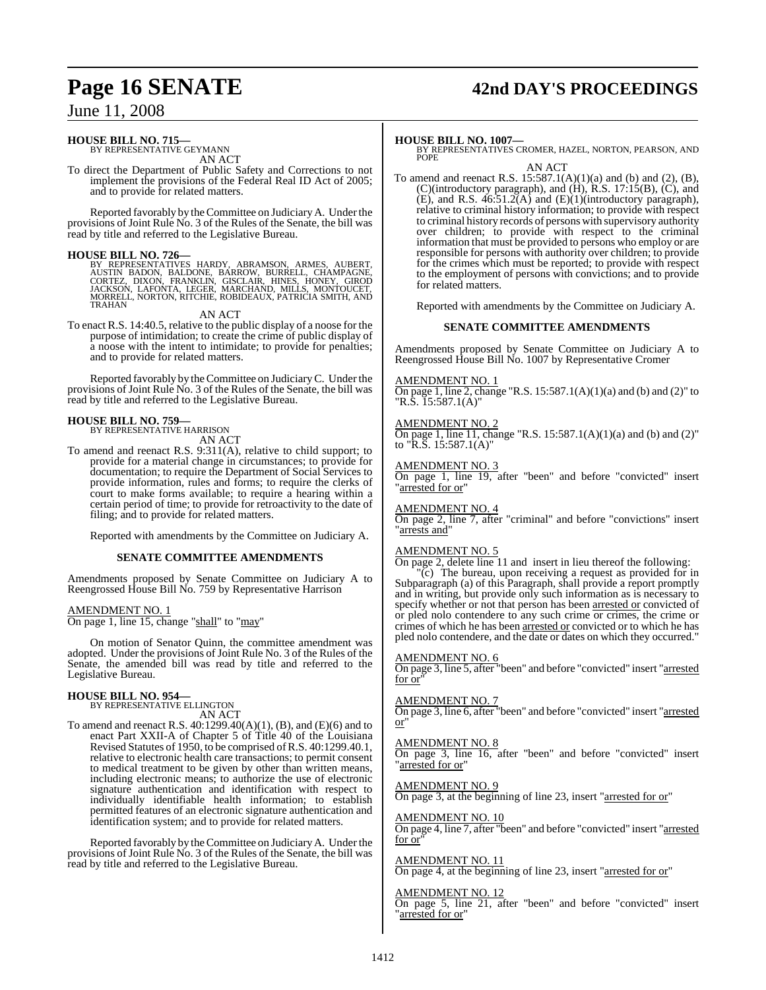## **Page 16 SENATE 42nd DAY'S PROCEEDINGS**

## June 11, 2008

## **HOUSE BILL NO. 715—**

BY REPRESENTATIVE GEYMANN AN ACT

To direct the Department of Public Safety and Corrections to not implement the provisions of the Federal Real ID Act of 2005; and to provide for related matters.

Reported favorably by theCommittee on JudiciaryA. Under the provisions of Joint Rule No. 3 of the Rules of the Senate, the bill was read by title and referred to the Legislative Bureau.

**HOUSE BILL NO. 726—**<br>BY REPRESENTATIVES HARDY, ABRAMSON, ARMES, AUBERT, AUSTIN BADON, BALDONE, BARROW, BURRELL, CHAMPAGNE,<br>CORTEZ, DIXON, FRANKLIN, GISCLAIR, HINES, HONEY, GIROD<br>JACKSON, LAFONTA, LEGER, MARCHAND, MILLS, M

AN ACT

To enact R.S. 14:40.5, relative to the public display of a noose for the purpose of intimidation; to create the crime of public display of a noose with the intent to intimidate; to provide for penalties; and to provide for related matters.

Reported favorably by theCommittee on JudiciaryC. Under the provisions of Joint Rule No. 3 of the Rules of the Senate, the bill was read by title and referred to the Legislative Bureau.

### **HOUSE BILL NO. 759—** BY REPRESENTATIVE HARRISON

AN ACT

To amend and reenact R.S. 9:311(A), relative to child support; to provide for a material change in circumstances; to provide for documentation; to require the Department of Social Services to provide information, rules and forms; to require the clerks of court to make forms available; to require a hearing within a certain period of time; to provide for retroactivity to the date of filing; and to provide for related matters.

Reported with amendments by the Committee on Judiciary A.

## **SENATE COMMITTEE AMENDMENTS**

Amendments proposed by Senate Committee on Judiciary A to Reengrossed House Bill No. 759 by Representative Harrison

## AMENDMENT NO. 1

On page 1, line 15, change "shall" to "may"

On motion of Senator Quinn, the committee amendment was adopted. Under the provisions of Joint Rule No. 3 of the Rules of the Senate, the amended bill was read by title and referred to the Legislative Bureau.

## **HOUSE BILL NO. 954—**

BY REPRESENTATIVE ELLINGTON AN ACT

To amend and reenact R.S. 40:1299.40(A)(1), (B), and (E)(6) and to enact Part XXII-A of Chapter 5 of Title 40 of the Louisiana Revised Statutes of 1950, to be comprised of R.S. 40:1299.40.1, relative to electronic health care transactions; to permit consent to medical treatment to be given by other than written means, including electronic means; to authorize the use of electronic signature authentication and identification with respect to individually identifiable health information; to establish permitted features of an electronic signature authentication and identification system; and to provide for related matters.

Reported favorably by theCommittee on JudiciaryA. Under the provisions of Joint Rule No. 3 of the Rules of the Senate, the bill was read by title and referred to the Legislative Bureau.

**HOUSE BILL NO. 1007—** BY REPRESENTATIVES CROMER, HAZEL, NORTON, PEARSON, AND POPE AN ACT

To amend and reenact R.S.  $15:587.1(A)(1)(a)$  and (b) and (2), (B), (C)(introductory paragraph), and (H), R.S. 17:15(B), (C), and (E), and R.S.  $46:51.2(A)$  and  $(E)(1)(introductory paragraph)$ , relative to criminal history information; to provide with respect to criminal history records of persons with supervisory authority over children; to provide with respect to the criminal information that must be provided to persons who employ or are responsible for persons with authority over children; to provide for the crimes which must be reported; to provide with respect to the employment of persons with convictions; and to provide for related matters.

Reported with amendments by the Committee on Judiciary A.

## **SENATE COMMITTEE AMENDMENTS**

Amendments proposed by Senate Committee on Judiciary A to Reengrossed House Bill No. 1007 by Representative Cromer

### AMENDMENT NO. 1

On page 1, line 2, change "R.S.  $15:587.1(A)(1)(a)$  and (b) and (2)" to "R.S. 15:587.1(A)"

## AMENDMENT NO. 2

On page 1, line 11, change "R.S.  $15:587.1(A)(1)(a)$  and (b) and (2)" to "R.S.  $15:587.1(A)$ "

## AMENDMENT NO. 3

On page 1, line 19, after "been" and before "convicted" insert 'arrested for or'

## AMENDMENT NO. 4

On page 2, line 7, after "criminal" and before "convictions" insert "arrests and"

## AMENDMENT NO. 5

On page 2, delete line 11 and insert in lieu thereof the following: "(c) The bureau, upon receiving a request as provided for in Subparagraph (a) of this Paragraph, shall provide a report promptly and in writing, but provide only such information as is necessary to specify whether or not that person has been arrested or convicted of or pled nolo contendere to any such crime or crimes, the crime or crimes of which he has been arrested or convicted or to which he has pled nolo contendere, and the date or dates on which they occurred."

## AMENDMENT NO. 6

On page 3, line 5, after "been" and before "convicted" insert "arrested for or

### AMENDMENT NO. 7

On page 3, line 6, after "been" and before "convicted" insert "arrested  $\overline{\text{or}}$ 

## AMENDMENT NO. 8

On page 3, line 16, after "been" and before "convicted" insert arrested for or

## AMENDMENT NO. 9

On page 3, at the beginning of line 23, insert "arrested for or"

## AMENDMENT NO. 10

On page 4, line 7, after "been" and before "convicted" insert "arrested for or

## AMENDMENT NO. 11

On page 4, at the beginning of line 23, insert "arrested for or"

## AMENDMENT NO. 12

On page 5, line 21, after "been" and before "convicted" insert 'arrested for or"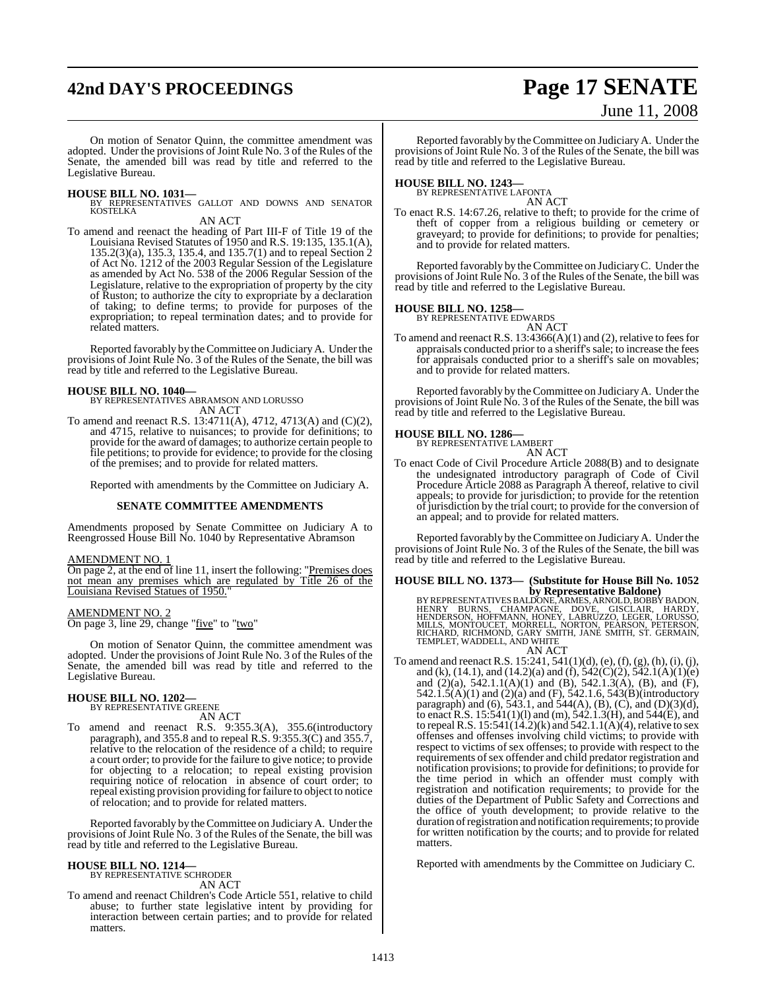## **42nd DAY'S PROCEEDINGS Page 17 SENATE**

# June 11, 2008

On motion of Senator Quinn, the committee amendment was adopted. Under the provisions of Joint Rule No. 3 of the Rules of the Senate, the amended bill was read by title and referred to the Legislative Bureau.

**HOUSE BILL NO. 1031—** BY REPRESENTATIVES GALLOT AND DOWNS AND SENATOR KOSTELKA

AN ACT

To amend and reenact the heading of Part III-F of Title 19 of the Louisiana Revised Statutes of 1950 and R.S. 19:135, 135.1(A), 135.2(3)(a), 135.3, 135.4, and 135.7(1) and to repeal Section 2 of Act No. 1212 of the 2003 Regular Session of the Legislature as amended by Act No. 538 of the 2006 Regular Session of the Legislature, relative to the expropriation of property by the city of Ruston; to authorize the city to expropriate by a declaration of taking; to define terms; to provide for purposes of the expropriation; to repeal termination dates; and to provide for related matters.

Reported favorably by theCommittee on JudiciaryA. Under the provisions of Joint Rule No. 3 of the Rules of the Senate, the bill was read by title and referred to the Legislative Bureau.

**HOUSE BILL NO. 1040—** BY REPRESENTATIVES ABRAMSON AND LORUSSO AN ACT

To amend and reenact R.S. 13:4711(A), 4712, 4713(A) and (C)(2), and 4715, relative to nuisances; to provide for definitions; to provide for the award of damages; to authorize certain people to file petitions; to provide for evidence; to provide for the closing of the premises; and to provide for related matters.

Reported with amendments by the Committee on Judiciary A.

## **SENATE COMMITTEE AMENDMENTS**

Amendments proposed by Senate Committee on Judiciary A to Reengrossed House Bill No. 1040 by Representative Abramson

### AMENDMENT NO. 1

On page 2, at the end of line 11, insert the following: "Premises does not mean any premises which are regulated by Title 26 of the Louisiana Revised Statues of 1950."

### AMENDMENT NO. 2

On page 3, line 29, change "five" to "two"

On motion of Senator Quinn, the committee amendment was adopted. Under the provisions of Joint Rule No. 3 of the Rules of the Senate, the amended bill was read by title and referred to the Legislative Bureau.

## **HOUSE BILL NO. 1202—** BY REPRESENTATIVE GREENE

AN ACT

To amend and reenact R.S. 9:355.3(A), 355.6(introductory paragraph), and 355.8 and to repeal R.S. 9:355.3(C) and 355.7, relative to the relocation of the residence of a child; to require a court order; to provide for the failure to give notice; to provide for objecting to a relocation; to repeal existing provision requiring notice of relocation in absence of court order; to repeal existing provision providing forfailure to object to notice of relocation; and to provide for related matters.

Reported favorably by theCommittee on JudiciaryA. Under the provisions of Joint Rule No. 3 of the Rules of the Senate, the bill was read by title and referred to the Legislative Bureau.

## **HOUSE BILL NO. 1214—** BY REPRESENTATIVE SCHRODER

AN ACT

To amend and reenact Children's Code Article 551, relative to child abuse; to further state legislative intent by providing for interaction between certain parties; and to provide for related matters.

Reported favorably by theCommittee on JudiciaryA. Under the provisions of Joint Rule No. 3 of the Rules of the Senate, the bill was read by title and referred to the Legislative Bureau.

## **HOUSE BILL NO. 1243—** BY REPRESENTATIVE LAFONTA

AN ACT

To enact R.S. 14:67.26, relative to theft; to provide for the crime of theft of copper from a religious building or cemetery or graveyard; to provide for definitions; to provide for penalties; and to provide for related matters.

Reported favorably by theCommittee on JudiciaryC. Under the provisions of Joint Rule No. 3 of the Rules of the Senate, the bill was read by title and referred to the Legislative Bureau.

**HOUSE BILL NO. 1258—** BY REPRESENTATIVE EDWARDS AN ACT

To amend and reenact R.S.  $13:4366(A)(1)$  and  $(2)$ , relative to fees for appraisals conducted prior to a sheriff's sale; to increase the fees for appraisals conducted prior to a sheriff's sale on movables; and to provide for related matters.

Reported favorably by theCommittee on JudiciaryA. Under the provisions of Joint Rule No. 3 of the Rules of the Senate, the bill was read by title and referred to the Legislative Bureau.

## **HOUSE BILL NO. 1286—**

BY REPRESENTATIVE LAMBERT AN ACT

To enact Code of Civil Procedure Article 2088(B) and to designate the undesignated introductory paragraph of Code of Civil Procedure Article 2088 as Paragraph A thereof, relative to civil appeals; to provide for jurisdiction; to provide for the retention of jurisdiction by the trial court; to provide for the conversion of an appeal; and to provide for related matters.

Reported favorably by theCommittee on JudiciaryA. Under the provisions of Joint Rule No. 3 of the Rules of the Senate, the bill was read by title and referred to the Legislative Bureau.

## **HOUSE BILL NO. 1373— (Substitute for House Bill No. 1052**

by Representative Baldone)<br>BY REPRESENTATIVES BALDONE, ARNOLD, BOBBY BADON,<br>HENRY BURNS, CHAMPAGNE, DOVE, GISCLAIR, HARDY,<br>HENDERSON, HOFFMANN, HONEY, LABRUZZO, LEGER, LORUSSO,<br>MILLS, MONTOUCET, MORRELL, NORTON, PEARSON, P

To amend and reenact R.S.  $15:241, 541(1)(d)$ , (e), (f), (g), (h), (i), (j), and (k), (14.1), and (14.2)(a) and (f),  $542(\text{C})(2)$ ,  $542.1(\text{A})(1)(e)$ and (2)(a), 542.1.1(A)(1) and (B), 542.1.3(A), (B), and (F), 542.1.5(A)(1) and (2)(a) and (F), 542.1.6, 543(B)(introductory paragraph) and (6), 543.1, and 544(A), (B), (C), and (D)(3)(d), to enact R.S. 15:541(1)(1) and (m), 542.1.3(H), and 544(E), and to repeal R.S.  $15:541(14.2)$ (k) and  $542.1.1$ (A)(4), relative to sex offenses and offenses involving child victims; to provide with respect to victims of sex offenses; to provide with respect to the requirements of sex offender and child predator registration and notification provisions; to provide for definitions; to provide for the time period in which an offender must comply with registration and notification requirements; to provide for the duties of the Department of Public Safety and Corrections and the office of youth development; to provide relative to the duration ofregistration and notification requirements; to provide for written notification by the courts; and to provide for related matters.

Reported with amendments by the Committee on Judiciary C.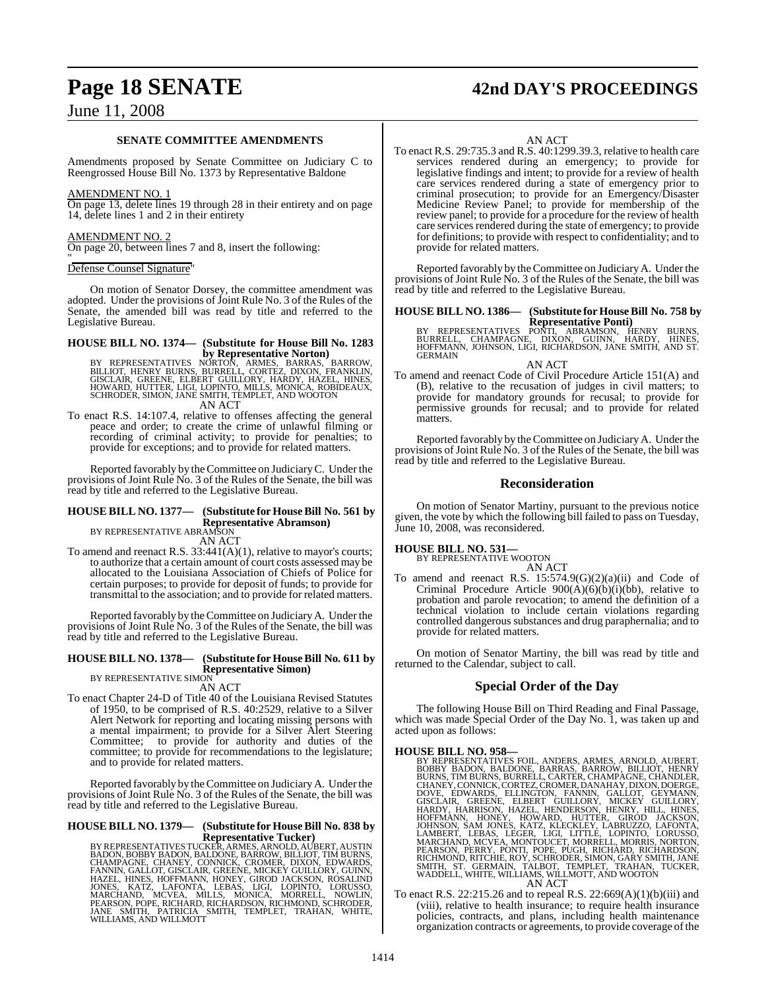## **Page 18 SENATE 42nd DAY'S PROCEEDINGS**

## June 11, 2008

## **SENATE COMMITTEE AMENDMENTS**

Amendments proposed by Senate Committee on Judiciary C to Reengrossed House Bill No. 1373 by Representative Baldone

### AMENDMENT NO. 1

On page 13, delete lines 19 through 28 in their entirety and on page 14, delete lines 1 and 2 in their entirety

### AMENDMENT NO. 2

On page 20, between lines 7 and 8, insert the following:

### $"$ Defense Counsel Signature"

On motion of Senator Dorsey, the committee amendment was adopted. Under the provisions of Joint Rule No. 3 of the Rules of the Senate, the amended bill was read by title and referred to the Legislative Bureau.

## **HOUSE BILL NO. 1374— (Substitute for House Bill No. 1283**

**by Representative Norton)**<br>BILLIOT, HENRY BURNS, BURROLI, CORTEZ, BARROS, BARROW,<br>GISCLAIR, GREENE, ELBERT GUILLORY, HARDY, HAZEL, HINES,<br>HOWARD, HUTTER, LIGI, LOPINTO, MILLS, MONICA, ROBIDEAUX,<br>SCHRODER, SIMON, JANE SMIT AN ACT

To enact R.S. 14:107.4, relative to offenses affecting the general peace and order; to create the crime of unlawful filming or recording of criminal activity; to provide for penalties; to provide for exceptions; and to provide for related matters.

Reported favorably by theCommittee on JudiciaryC. Under the provisions of Joint Rule No. 3 of the Rules of the Senate, the bill was read by title and referred to the Legislative Bureau.

## **HOUSE BILL NO. 1377— (Substitute for HouseBill No. 561 by Representative Abramson)** BY REPRESENTATIVE ABRAMSON

AN ACT

To amend and reenact R.S. 33:441(A)(1), relative to mayor's courts; to authorize that a certain amount of court costs assessed may be allocated to the Louisiana Association of Chiefs of Police for certain purposes; to provide for deposit of funds; to provide for transmittal to the association; and to provide for related matters.

Reported favorably by theCommittee on JudiciaryA. Under the provisions of Joint Rule No. 3 of the Rules of the Senate, the bill was read by title and referred to the Legislative Bureau.

### **HOUSE BILL NO. 1378— (Substitute for House Bill No. 611 by Representative Simon)** BY REPRESENTATIVE SIMON

AN ACT

To enact Chapter 24-D of Title 40 of the Louisiana Revised Statutes of 1950, to be comprised of R.S. 40:2529, relative to a Silver Alert Network for reporting and locating missing persons with a mental impairment; to provide for a Silver Alert Steering Committee; to provide for authority and duties of the committee; to provide for recommendations to the legislature; and to provide for related matters.

Reported favorably by theCommittee on JudiciaryA. Under the provisions of Joint Rule No. 3 of the Rules of the Senate, the bill was read by title and referred to the Legislative Bureau.

## **HOUSE BILL NO. 1379— (Substitute for HouseBill No. 838 by**

**Representative Tucker)**<br>BY REPRESENTATIVES TUCKER, ARMES, ARNOLD, AUBERT, AUSTIN<br>BADON, BOBBY BADON, BALDONE, BARROW, BILLIOT, TIM BURNS,<br>CHAMPAGNE, CHANEY, CONNICK, CROMER, DIXON, EDWARDS,<br>FANNIN, GALLOT, GISCLAIR, GREEN

AN ACT

To enact R.S. 29:735.3 and R.S. 40:1299.39.3, relative to health care services rendered during an emergency; to provide for legislative findings and intent; to provide for a review of health care services rendered during a state of emergency prior to criminal prosecution; to provide for an Emergency/Disaster Medicine Review Panel; to provide for membership of the review panel; to provide for a procedure for the review of health care services rendered during the state of emergency; to provide for definitions; to provide with respect to confidentiality; and to provide for related matters.

Reported favorably by theCommittee on JudiciaryA. Under the provisions of Joint Rule No. 3 of the Rules of the Senate, the bill was read by title and referred to the Legislative Bureau.

## **HOUSE BILL NO. 1386— (Substitute for HouseBill No. 758 by**

**Representative Ponti)**<br>BY REPRESENTATIVES PONTI, ABRAMSON, HENRY BURNS,<br>BURRELL, CHAMPAGNE, DIXON, GUINN, HARDY, HINES,<br>HOFFMANN, JOHNSON, LIGI, RICHARDSON, JANE SMITH, AND ST. **GERMAIN** 

AN ACT

To amend and reenact Code of Civil Procedure Article 151(A) and (B), relative to the recusation of judges in civil matters; to provide for mandatory grounds for recusal; to provide for permissive grounds for recusal; and to provide for related matters.

Reported favorably by theCommittee on Judiciary A. Under the provisions of Joint Rule No. 3 of the Rules of the Senate, the bill was read by title and referred to the Legislative Bureau.

## **Reconsideration**

On motion of Senator Martiny, pursuant to the previous notice given, the vote by which the following bill failed to pass on Tuesday, June 10, 2008, was reconsidered.

## **HOUSE BILL NO. 531—** BY REPRESENTATIVE WOOTON

AN ACT

To amend and reenact R.S.  $15:574.9(G)(2)(a)(ii)$  and Code of Criminal Procedure Article  $900(A)(6)(b)(i)(bb)$ , relative to probation and parole revocation; to amend the definition of a technical violation to include certain violations regarding controlled dangerous substances and drug paraphernalia; and to provide for related matters.

On motion of Senator Martiny, the bill was read by title and returned to the Calendar, subject to call.

## **Special Order of the Day**

The following House Bill on Third Reading and Final Passage, which was made Special Order of the Day No. 1, was taken up and acted upon as follows:

## **HOUSE BILL NO. 958—**

BY REPRESENTATIVES FOIL, ANDERS, ARMES, ARNOLD, AUBERT, BOBBY BADON, BALDONE, BARRAS, BARROW, BILLIOT, HENRY, CHANDER, CHANEX, CHANEX, CHANEX, CHANEX, CHANEX, CHANEX, CHANEX, CHANEX, CHANEX, CHANEX, CHANEX, CHANEX, CHANEX,

To enact R.S. 22:215.26 and to repeal R.S. 22:669(A)(1)(b)(iii) and (viii), relative to health insurance; to require health insurance policies, contracts, and plans, including health maintenance organization contracts or agreements, to provide coverage of the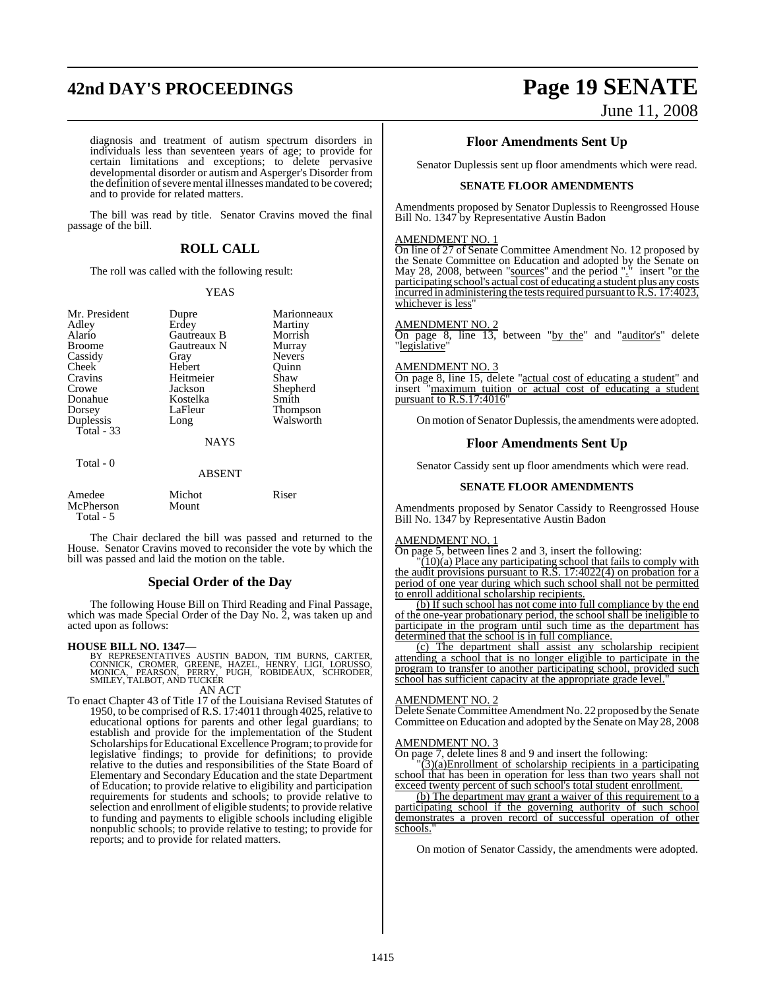## **42nd DAY'S PROCEEDINGS Page 19 SENATE**

# June 11, 2008

diagnosis and treatment of autism spectrum disorders in individuals less than seventeen years of age; to provide for certain limitations and exceptions; to delete pervasive developmental disorder or autism and Asperger's Disorder from the definition of severe mental illnesses mandated to be covered; and to provide for related matters.

The bill was read by title. Senator Cravins moved the final passage of the bill.

## **ROLL CALL**

The roll was called with the following result:

## YEAS

| Mr. President<br>Adley<br>Alario<br><b>Broome</b><br>Cassidy<br>Cheek<br>Cravins | Dupre<br>Erdey<br><b>Gautreaux B</b><br>Gautreaux N<br>Gray<br>Hebert<br>Heitmeier | Marionneaux<br>Martiny<br>Morrish<br>Murray<br><b>Nevers</b><br>Ouinn<br>Shaw |
|----------------------------------------------------------------------------------|------------------------------------------------------------------------------------|-------------------------------------------------------------------------------|
| Crowe                                                                            | Jackson                                                                            | Shepherd                                                                      |
| Donahue<br>Dorsey                                                                | Kostelka<br>LaFleur                                                                | Smith<br><b>Thompson</b>                                                      |
| Duplessis<br>Total $-33$                                                         | Long                                                                               | Walsworth                                                                     |
|                                                                                  | <b>NAYS</b>                                                                        |                                                                               |
| Total - 0                                                                        | <b>ABSENT</b>                                                                      |                                                                               |

| Amedee    | Michot | Riser |
|-----------|--------|-------|
| McPherson | Mount  |       |
| Total - 5 |        |       |

The Chair declared the bill was passed and returned to the House. Senator Cravins moved to reconsider the vote by which the bill was passed and laid the motion on the table.

## **Special Order of the Day**

The following House Bill on Third Reading and Final Passage, which was made Special Order of the Day No. 2, was taken up and acted upon as follows:

## **HOUSE BILL NO. 1347—**

BY REPRESENTATIVES AUSTIN BADON, TIM BURNS, CARTER,<br>CONNICK, CROMER, GREENE, HAZEL, HENRY, LIGI, LORUSSO,<br>MONICA, PEARSON, PERRY, PUGH, ROBIDEAUX, SCHRODER,<br>SMILEY,TALBOT,AND TUCKER AN ACT

To enact Chapter 43 of Title 17 of the Louisiana Revised Statutes of 1950, to be comprised of R.S. 17:4011 through 4025, relative to educational options for parents and other legal guardians; to establish and provide for the implementation of the Student Scholarships for Educational Excellence Program; to provide for legislative findings; to provide for definitions; to provide relative to the duties and responsibilities of the State Board of Elementary and Secondary Education and the state Department of Education; to provide relative to eligibility and participation requirements for students and schools; to provide relative to selection and enrollment of eligible students; to provide relative to funding and payments to eligible schools including eligible nonpublic schools; to provide relative to testing; to provide for reports; and to provide for related matters.

## **Floor Amendments Sent Up**

Senator Duplessis sent up floor amendments which were read.

## **SENATE FLOOR AMENDMENTS**

Amendments proposed by Senator Duplessis to Reengrossed House Bill No. 1347 by Representative Austin Badon

## AMENDMENT NO. 1

On line of 27 of Senate Committee Amendment No. 12 proposed by the Senate Committee on Education and adopted by the Senate on May 28, 2008, between "sources" and the period "." insert "or the participating school's actual cost of educating a student plus any costs incurred in administering the tests required pursuant to R.S. 17:4023, whichever is less

## AMENDMENT NO. 2

On page 8, line 13, between "by the" and "auditor's" delete "legislative"

### AMENDMENT NO. 3

On page 8, line 15, delete "actual cost of educating a student" and insert "maximum tuition or actual cost of educating a student pursuant to R.S.17:4016

On motion of Senator Duplessis, the amendments were adopted.

## **Floor Amendments Sent Up**

Senator Cassidy sent up floor amendments which were read.

## **SENATE FLOOR AMENDMENTS**

Amendments proposed by Senator Cassidy to Reengrossed House Bill No. 1347 by Representative Austin Badon

### AMENDMENT NO. 1

On page 5, between lines 2 and 3, insert the following:

"(10)(a) Place any participating school that fails to comply with the audit provisions pursuant to R.S. 17:4022(4) on probation for a period of one year during which such school shall not be permitted to enroll additional scholarship recipients.

(b) If such school has not come into full compliance by the end of the one-year probationary period, the school shall be ineligible to participate in the program until such time as the department has determined that the school is in full compliance.

(c) The department shall assist any scholarship recipient attending a school that is no longer eligible to participate in the program to transfer to another participating school, provided such school has sufficient capacity at the appropriate grade level.

### AMENDMENT NO. 2

Delete Senate Committee Amendment No. 22 proposed by the Senate Committee on Education and adopted by the Senate on May 28, 2008

### AMENDMENT NO. 3

On page 7, delete lines 8 and 9 and insert the following:

 $(3)(a)$ Enrollment of scholarship recipients in a participating school that has been in operation for less than two years shall not exceed twenty percent of such school's total student enrollment.

(b) The department may grant a waiver of this requirement to a participating school if the governing authority of such school demonstrates a proven record of successful operation of other schools.

On motion of Senator Cassidy, the amendments were adopted.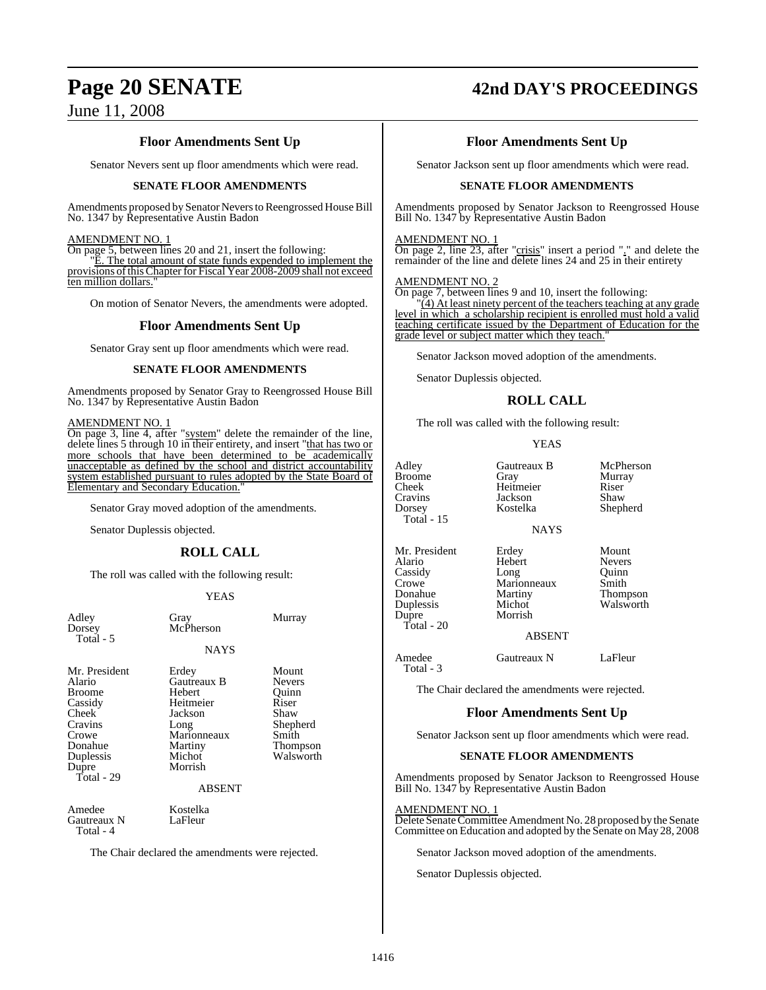## **Page 20 SENATE 42nd DAY'S PROCEEDINGS**

## **Floor Amendments Sent Up**

Senator Nevers sent up floor amendments which were read.

## **SENATE FLOOR AMENDMENTS**

Amendments proposed by Senator Nevers to Reengrossed House Bill No. 1347 by Representative Austin Badon

## AMENDMENT NO. 1

On page 5, between lines 20 and 21, insert the following:

"E. The total amount of state funds expended to implement the provisions ofthisChapter for Fiscal Year 2008-2009 shall not exceed ten million dollars."

On motion of Senator Nevers, the amendments were adopted.

## **Floor Amendments Sent Up**

Senator Gray sent up floor amendments which were read.

## **SENATE FLOOR AMENDMENTS**

Amendments proposed by Senator Gray to Reengrossed House Bill No. 1347 by Representative Austin Badon

## AMENDMENT NO. 1

On page 3, line 4, after "system" delete the remainder of the line, delete lines 5 through 10 in their entirety, and insert "that has two or more schools that have been determined to be academically unacceptable as defined by the school and district accountability system established pursuant to rules adopted by the State Board of Elementary and Secondary Education.

Senator Gray moved adoption of the amendments.

Senator Duplessis objected.

## **ROLL CALL**

The roll was called with the following result:

## YEAS

| Adley<br>Dorsey<br>Total - 5                                                                                                      | Gray<br>McPherson                                                                                                              | Murray                                                                                         |
|-----------------------------------------------------------------------------------------------------------------------------------|--------------------------------------------------------------------------------------------------------------------------------|------------------------------------------------------------------------------------------------|
|                                                                                                                                   | <b>NAYS</b>                                                                                                                    |                                                                                                |
| Mr. President<br>Alario<br><b>Broome</b><br>Cassidy<br>Cheek<br>Cravins<br>Crowe<br>Donahue<br>Duplessis<br>Dupre<br>Total - $29$ | Erdey<br>Gautreaux B<br>Hebert<br>Heitmeier<br>Jackson<br>Long<br>Marionneaux<br>Martiny<br>Michot<br>Morrish<br><b>ABSENT</b> | Mount<br><b>Nevers</b><br>Ouinn<br>Riser<br>Shaw<br>Shepherd<br>Smith<br>Thompson<br>Walsworth |
| Amedee<br>Gautreaux N<br>Total - 4                                                                                                | Kostelka<br>LaFleur                                                                                                            |                                                                                                |
| The Chair declared the amendments were rejected.                                                                                  |                                                                                                                                |                                                                                                |

**Floor Amendments Sent Up**

Senator Jackson sent up floor amendments which were read.

## **SENATE FLOOR AMENDMENTS**

Amendments proposed by Senator Jackson to Reengrossed House Bill No. 1347 by Representative Austin Badon

## AMENDMENT NO. 1

On page 2, line 23, after "crisis" insert a period "." and delete the remainder of the line and delete lines 24 and 25 in their entirety

## AMENDMENT NO. 2

On page 7, between lines 9 and 10, insert the following:

 $(4)$  At least ninety percent of the teachers teaching at any grade level in which a scholarship recipient is enrolled must hold a valid teaching certificate issued by the Department of Education for the grade level or subject matter which they teach."

Senator Jackson moved adoption of the amendments.

Senator Duplessis objected.

## **ROLL CALL**

The roll was called with the following result:

## YEAS

| Adley<br><b>Broome</b><br>Cheek<br>Cravins<br>Dorsey<br>Total - 15                         | Gautreaux B<br>Gray<br>Heitmeier<br>Jackson<br>Kostelka                | McPherson<br>Murray<br>Riser<br>Shaw<br>Shepherd                         |
|--------------------------------------------------------------------------------------------|------------------------------------------------------------------------|--------------------------------------------------------------------------|
|                                                                                            | <b>NAYS</b>                                                            |                                                                          |
| Mr. President<br>Alario<br>Cassidy<br>Crowe<br>Donahue<br>Duplessis<br>Dupre<br>Total - 20 | Erdey<br>Hebert<br>Long<br>Marionneaux<br>Martiny<br>Michot<br>Morrish | Mount<br><b>Nevers</b><br>Ouinn<br>Smith<br><b>Thompson</b><br>Walsworth |
|                                                                                            | A D CENT                                                               |                                                                          |

## ABSENT

Amedee Gautreaux N LaFleur Total - 3

The Chair declared the amendments were rejected.

## **Floor Amendments Sent Up**

Senator Jackson sent up floor amendments which were read.

## **SENATE FLOOR AMENDMENTS**

Amendments proposed by Senator Jackson to Reengrossed House Bill No. 1347 by Representative Austin Badon

## AMENDMENT NO. 1

Delete Senate Committee Amendment No. 28 proposed by the Senate Committee on Education and adopted by the Senate on May 28, 2008

Senator Jackson moved adoption of the amendments.

Senator Duplessis objected.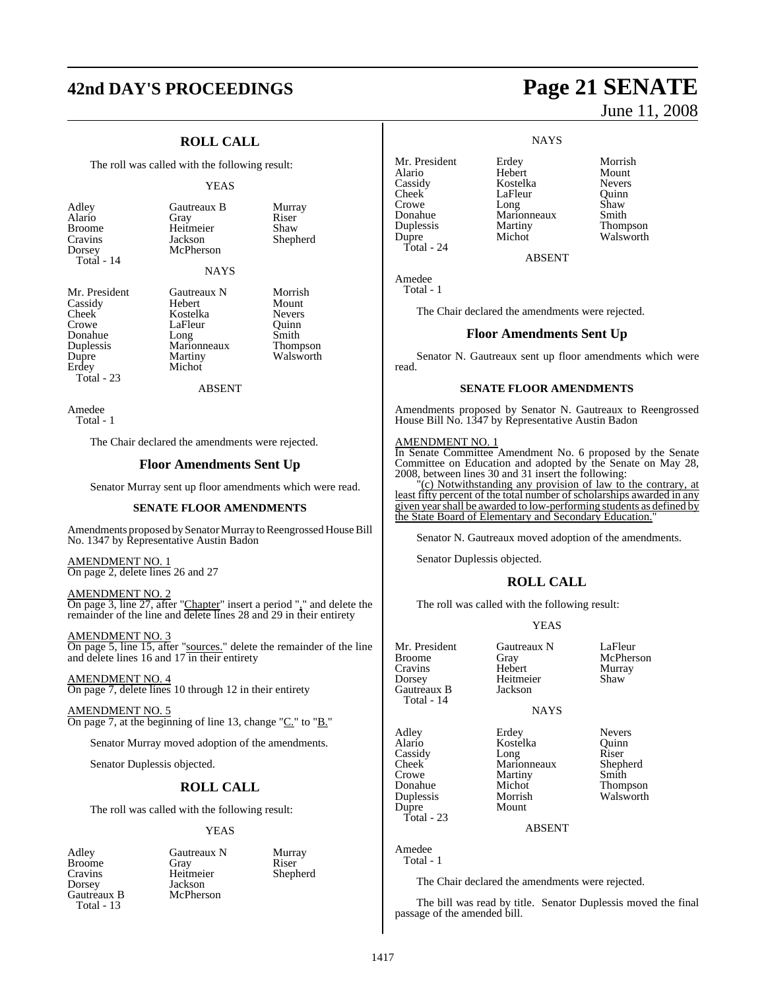## **42nd DAY'S PROCEEDINGS Page 21 SENATE**

## **ROLL CALL**

The roll was called with the following result:

## YEAS

Adley Gautreaux B Murray<br>Alario Gray Riser Alario<br>Broome Broome Heitmeier Shaw<br>Cravins Jackson Sheph Cravins Jackson Shepherd Total - 14

**McPherson** 

## **NAYS**

Duplessis Marionneaux<br>
Dupre Martiny Total - 23

Mr. President Gautreaux N Morrish<br>Cassidy Hebert Mount Cassidy Hebert Mount<br>
Cheek Kostelka Nevers Cheek Kostelka Nevers<br>Crowe LaFleur Ouinn LaFleur Quinn<br>Long Smith Donahue Long Smith<br>Duplessis Marionneaux Thompson Dupre Martiny Walsworth Michot

ABSENT

Amedee Total - 1

The Chair declared the amendments were rejected.

## **Floor Amendments Sent Up**

Senator Murray sent up floor amendments which were read.

### **SENATE FLOOR AMENDMENTS**

Amendments proposed by Senator Murray to Reengrossed House Bill No. 1347 by Representative Austin Badon

AMENDMENT NO. 1 On page 2, delete lines 26 and 27

AMENDMENT NO. 2 On page 3, line 27, after "Chapter" insert a period "," and delete the remainder of the line and delete lines 28 and 29 in their entirety

AMENDMENT NO. 3 On page 5, line 15, after "sources." delete the remainder of the line and delete lines 16 and 17 in their entirety

AMENDMENT NO. 4 On page 7, delete lines 10 through 12 in their entirety

AMENDMENT NO. 5 On page 7, at the beginning of line 13, change "C." to "B."

Senator Murray moved adoption of the amendments.

Senator Duplessis objected.

## **ROLL CALL**

The roll was called with the following result:

## YEAS

Dorsey Jackson<br>Gautreaux B McPherson Gautreaux B Total - 13

Adley Gautreaux N Murray Broome Gray Riser Heitmeier<br>Jackson

**NAYS** Mr. President Erdey Morrish<br>Alario Hebert Mount Alario Hebert Mount<br>
Cassidy Kostelka Nevers

Cassidy Kostelka Nevers LaFleur Quinn<br>Long Shaw Crowe Long Shaw Donahue Marionneaux<br>
Duplessis Martiny

Duplessis Martiny Thompson Walsworth

ABSENT

Amedee Total - 1

Total - 24

The Chair declared the amendments were rejected.

## **Floor Amendments Sent Up**

Senator N. Gautreaux sent up floor amendments which were read.

## **SENATE FLOOR AMENDMENTS**

Amendments proposed by Senator N. Gautreaux to Reengrossed House Bill No. 1347 by Representative Austin Badon

### AMENDMENT NO. 1

In Senate Committee Amendment No. 6 proposed by the Senate Committee on Education and adopted by the Senate on May 28, 2008, between lines 30 and 31 insert the following:

 $\overline{C}(c)$  Notwithstanding any provision of law to the contrary, at least fifty percent of the total number of scholarships awarded in any given yearshall be awarded to low-performing students as defined by the State Board of Elementary and Secondary Education.

Senator N. Gautreaux moved adoption of the amendments.

Senator Duplessis objected.

## **ROLL CALL**

The roll was called with the following result:

## YEAS

Mr. President Gautreaux N LaFleur<br>Broome Gray McPher Gray McPherson<br>Hebert Murray Cravins<br>Dorsey Heitmeier Shaw<br>Jackson Gautreaux B Total - 14 **NAYS** Adley Erdey Nevers Alario Rostelka Quinn<br>Cassidy Long Riser Cassidy Long Riser<br>Cheek Marionneaux Shepherd Marionneaux Crowe Martiny Smith<br>
Donahue Michot Thom Michot Thompson<br>
Morrish Walsworth

## ABSENT

Amedee Total - 1

Dupre Total - 23

Duplessis Morris<br>
Dupre Mount

The Chair declared the amendments were rejected.

The bill was read by title. Senator Duplessis moved the final passage of the amended bill.

June 11, 2008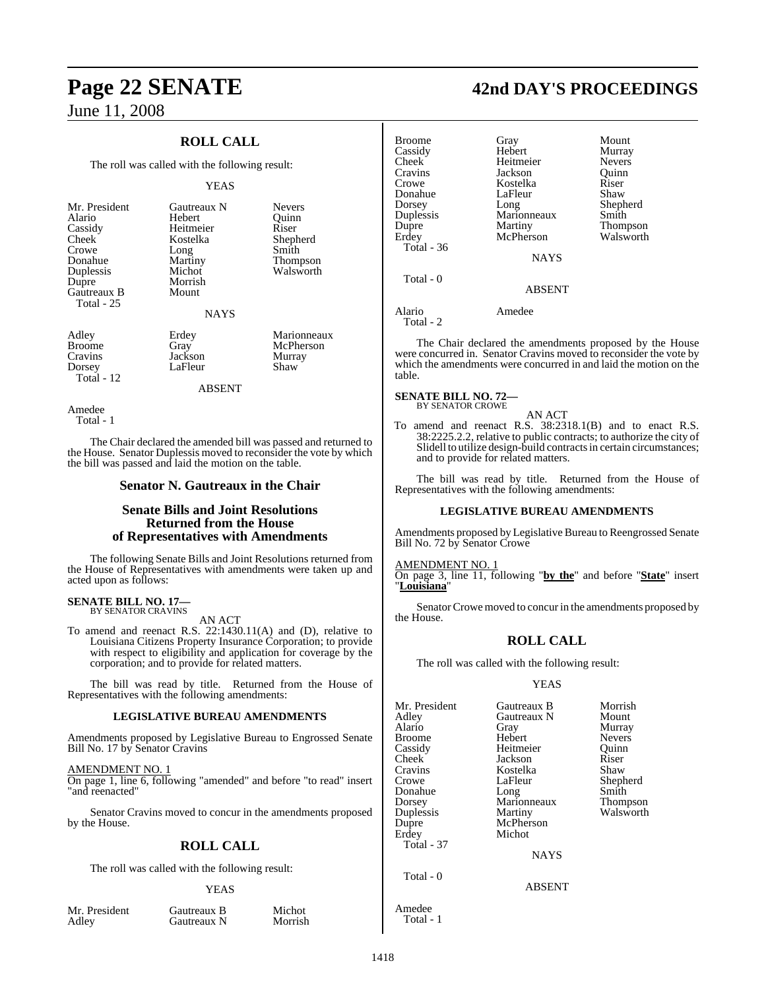## **ROLL CALL**

The roll was called with the following result:

## YEAS

| Mr. President |
|---------------|
| Alario        |
| Cassidy       |
| Cheek         |
| Crowe         |
| Donahue       |
| Duplessis     |
| Dupre         |
| Gautreaux B   |
| Total - 25    |
|               |

Gautreaux N Nevers<br>
Hebert Ouinn Hebert Heitmeier Riser<br>Kostelka Sheph Long<br>Martiny Martiny Thompson<br>Michot Walsworth Morrish Mount

## NAYS

Adley Erdey Marionneaux<br>Broome Gray McPherson Broome Gray McPherson<br>Cravins Jackson Murray Cravins Jackson Murray<br>Dorsey LaEleur Shaw

Total - 12

LaFleur

Shepherd<br>Smith

Walsworth

## ABSENT

Amedee Total - 1

The Chair declared the amended bill was passed and returned to the House. Senator Duplessis moved to reconsider the vote by which the bill was passed and laid the motion on the table.

## **Senator N. Gautreaux in the Chair**

## **Senate Bills and Joint Resolutions Returned from the House of Representatives with Amendments**

The following Senate Bills and Joint Resolutions returned from the House of Representatives with amendments were taken up and acted upon as follows:

## **SENATE BILL NO. 17—** BY SENATOR CRAVINS

AN ACT

To amend and reenact R.S. 22:1430.11(A) and (D), relative to Louisiana Citizens Property Insurance Corporation; to provide with respect to eligibility and application for coverage by the corporation; and to provide for related matters.

The bill was read by title. Returned from the House of Representatives with the following amendments:

## **LEGISLATIVE BUREAU AMENDMENTS**

Amendments proposed by Legislative Bureau to Engrossed Senate Bill No. 17 by Senator Cravins

## AMENDMENT NO. 1

On page 1, line 6, following "amended" and before "to read" insert "and reenacted"

Senator Cravins moved to concur in the amendments proposed by the House.

## **ROLL CALL**

The roll was called with the following result:

## YEAS

Mr. President Gautreaux B Michot<br>Adley Gautreaux N Morrish

Gautreaux N

## **Page 22 SENATE 42nd DAY'S PROCEEDINGS**

| Gray          | Mount           |
|---------------|-----------------|
| Hebert        | Murray          |
| Heitmeier     | <b>Nevers</b>   |
| Jackson       | Ouinn           |
| Kostelka      | Riser           |
| LaFleur       | Shaw            |
|               | Shepherd        |
| Marionneaux   | Smith           |
|               | Thompson        |
| McPherson     | Walsworth       |
|               |                 |
| <b>NAYS</b>   |                 |
|               |                 |
| <b>ABSENT</b> |                 |
| Amedee        |                 |
|               | Long<br>Martiny |

The Chair declared the amendments proposed by the House were concurred in. Senator Cravins moved to reconsider the vote by which the amendments were concurred in and laid the motion on the table.

**SENATE BILL NO. 72—** BY SENATOR CROWE

AN ACT

To amend and reenact R.S. 38:2318.1(B) and to enact R.S. 38:2225.2.2, relative to public contracts; to authorize the city of Slidell to utilize design-build contracts in certain circumstances; and to provide for related matters.

The bill was read by title. Returned from the House of Representatives with the following amendments:

## **LEGISLATIVE BUREAU AMENDMENTS**

Amendments proposed by Legislative Bureau to Reengrossed Senate Bill No. 72 by Senator Crowe

AMENDMENT NO. 1 On page 3, line 11, following "**by the**" and before "**State**" insert "**Louisiana**"

Senator Crowe moved to concur in the amendments proposed by the House.

## **ROLL CALL**

The roll was called with the following result:

## YEAS

| Mr. President<br>Adley<br>Alario<br>Broome<br>Cassidy<br>Cheek<br>Cravins<br>Crowe<br>Donahue<br>Dorsey<br>Duplessis<br>Dupre | Gautreaux B<br>Gautreaux N<br>Gray<br>Hebert<br>Heitmeier<br>Jackson<br>Kostelka<br>LaFleur<br>Long<br>Marionneaux<br>Martiny<br>McPherson | Morrish<br>Mount<br>Murray<br><b>Nevers</b><br>Quinn<br>Riser<br>Shaw<br>Shepherd<br>Smith<br>Thompson<br>Walsworth |
|-------------------------------------------------------------------------------------------------------------------------------|--------------------------------------------------------------------------------------------------------------------------------------------|---------------------------------------------------------------------------------------------------------------------|
| Erdey                                                                                                                         | Michot                                                                                                                                     |                                                                                                                     |
| <b>Total - 37</b>                                                                                                             |                                                                                                                                            |                                                                                                                     |
|                                                                                                                               | <b>NAYS</b>                                                                                                                                |                                                                                                                     |
| Total $-0$                                                                                                                    | <b>ABSENT</b>                                                                                                                              |                                                                                                                     |
| Amedee                                                                                                                        |                                                                                                                                            |                                                                                                                     |

Total - 1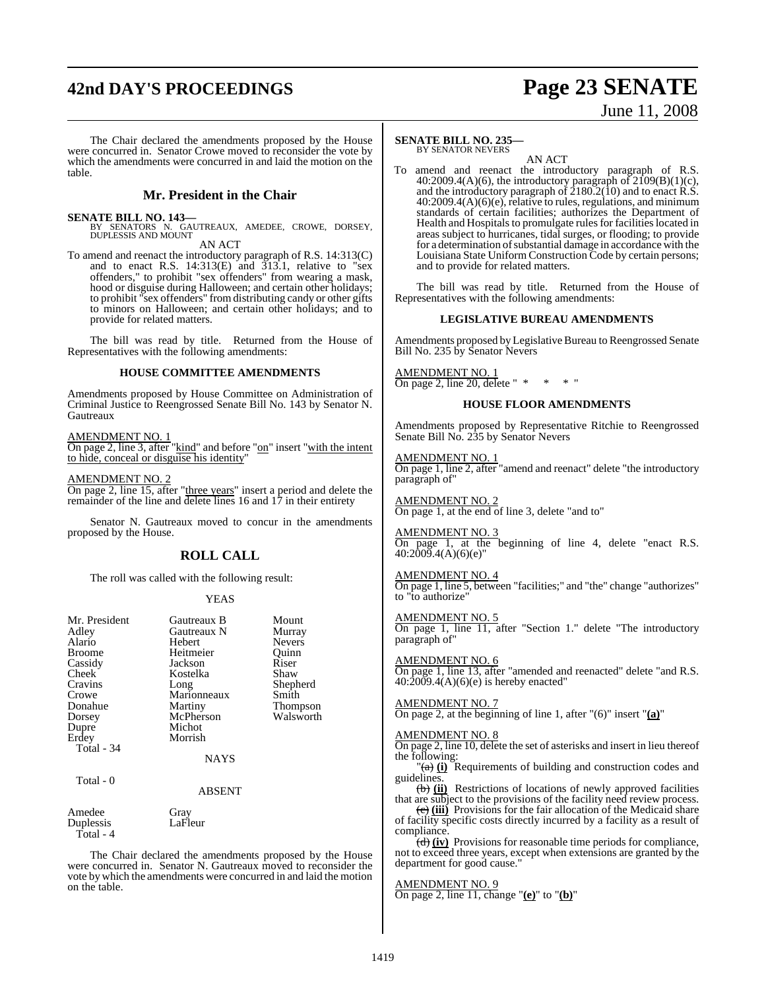## **42nd DAY'S PROCEEDINGS Page 23 SENATE**

# June 11, 2008

The Chair declared the amendments proposed by the House were concurred in. Senator Crowe moved to reconsider the vote by which the amendments were concurred in and laid the motion on the table.

## **Mr. President in the Chair**

**SENATE BILL NO. 143—**<br>
BY SENATORS N. GAUTREAUX, AMEDEE, CROWE, DORSEY,<br>
DUPLESSIS AND MOUNT

AN ACT

To amend and reenact the introductory paragraph of R.S. 14:313(C) and to enact R.S. 14:313(E) and 313.1, relative to "sex offenders," to prohibit "sex offenders" from wearing a mask, hood or disguise during Halloween; and certain other holidays; to prohibit "sex offenders" fromdistributing candy or other gifts to minors on Halloween; and certain other holidays; and to provide for related matters.

The bill was read by title. Returned from the House of Representatives with the following amendments:

## **HOUSE COMMITTEE AMENDMENTS**

Amendments proposed by House Committee on Administration of Criminal Justice to Reengrossed Senate Bill No. 143 by Senator N. **Gautreaux** 

AMENDMENT NO. 1

On page 2, line 3, after "kind" and before "on" insert "with the intent to hide, conceal or disguise his identity"

AMENDMENT NO. 2

On page 2, line 15, after "three years" insert a period and delete the remainder of the line and delete lines 16 and 17 in their entirety

Senator N. Gautreaux moved to concur in the amendments proposed by the House.

## **ROLL CALL**

The roll was called with the following result:

## YEAS

| Mr. President<br>Adley<br>Alario<br>Broome<br>Cassidy<br><b>Cheek</b><br>Cravins<br>Crowe<br>Donahue<br>Dorsey<br>Dupre<br>Erdey | Gautreaux B<br>Gautreaux N<br>Hebert<br>Heitmeier<br>Jackson<br>Kostelka<br>Long<br>Marionneaux<br>Martiny<br>McPherson<br>Michot<br>Morrish | Mount<br>Murray<br><b>Nevers</b><br>Ouinn<br>Riser<br>Shaw<br>Shepherd<br>Smith<br>Thompson<br>Walsworth |
|----------------------------------------------------------------------------------------------------------------------------------|----------------------------------------------------------------------------------------------------------------------------------------------|----------------------------------------------------------------------------------------------------------|
| Total - 34<br>Total - 0                                                                                                          | <b>NAYS</b><br><b>ABSENT</b>                                                                                                                 |                                                                                                          |
| Amedee                                                                                                                           | Gray                                                                                                                                         |                                                                                                          |

Duplessis LaFleur Total - 4

The Chair declared the amendments proposed by the House were concurred in. Senator N. Gautreaux moved to reconsider the vote by which the amendments were concurred in and laid the motion on the table.

### **SENATE BILL NO. 235—** BY SENATOR NEVERS

AN ACT

To amend and reenact the introductory paragraph of R.S. 40:2009.4(A)(6), the introductory paragraph of  $2109(B)(1)(c)$ , and the introductory paragraph of  $\tilde{2}180.2(10)$  and to enact R.S. 40:2009.4(A)(6)(e), relative to rules, regulations, and minimum standards of certain facilities; authorizes the Department of Health and Hospitals to promulgate rules for facilities located in areas subject to hurricanes, tidal surges, or flooding; to provide for a determination of substantial damage in accordance with the Louisiana State Uniform Construction Code by certain persons; and to provide for related matters.

The bill was read by title. Returned from the House of Representatives with the following amendments:

## **LEGISLATIVE BUREAU AMENDMENTS**

Amendments proposed by Legislative Bureau to Reengrossed Senate Bill No. 235 by Senator Nevers

AMENDMENT NO. 1 On page 2, line 20, delete "  $* * * "$ 

## **HOUSE FLOOR AMENDMENTS**

Amendments proposed by Representative Ritchie to Reengrossed Senate Bill No. 235 by Senator Nevers

AMENDMENT NO. 1 On page 1, line 2, after "amend and reenact" delete "the introductory paragraph of"

AMENDMENT NO. 2 On page 1, at the end of line 3, delete "and to"

AMENDMENT NO. 3 On page 1, at the beginning of line 4, delete "enact R.S. 40:2009.4(A)(6)(e)"

AMENDMENT NO. 4

On page 1, line 5, between "facilities;" and "the" change "authorizes" to "to authorize"

AMENDMENT NO. 5 On page 1, line 11, after "Section 1." delete "The introductory paragraph of"

AMENDMENT NO. 6 On page 1, line 13, after "amended and reenacted" delete "and R.S.  $40:2009.4(A)(6)(e)$  is hereby enacted"

## AMENDMENT NO. 7

On page 2, at the beginning of line 1, after "(6)" insert "**(a)**"

AMENDMENT NO. 8 On page 2, line 10, delete the set of asterisks and insert in lieu thereof the following:

 $\sigma$ (i) Requirements of building and construction codes and guidelines.

(b) **(ii)** Restrictions of locations of newly approved facilities that are subject to the provisions of the facility need review process.

(c) **(iii)** Provisions for the fair allocation of the Medicaid share of facility specific costs directly incurred by a facility as a result of compliance.

(d) **(iv)** Provisions for reasonable time periods for compliance, not to exceed three years, except when extensions are granted by the department for good cause."

## AMENDMENT NO. 9

On page 2, line 11, change "**(e)**" to "**(b)**"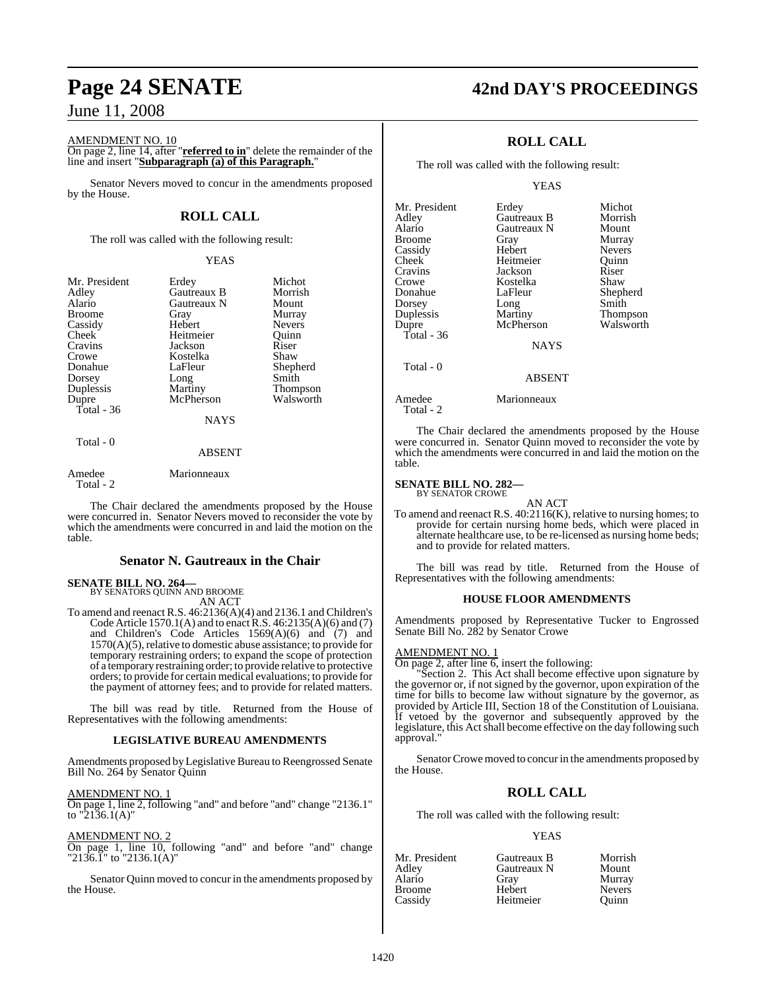AMENDMENT NO. 10

On page 2, line 14, after "**referred to in**" delete the remainder of the line and insert "**Subparagraph (a) of this Paragraph.**"

Senator Nevers moved to concur in the amendments proposed by the House.

## **ROLL CALL**

The roll was called with the following result:

## YEAS

| Mr. President | Erdey         | Michot          |
|---------------|---------------|-----------------|
| Adley         | Gautreaux B   | Morrish         |
| Alario        | Gautreaux N   | Mount           |
| <b>Broome</b> | Gray          | Murray          |
| Cassidy       | Hebert        | <b>Nevers</b>   |
| Cheek         | Heitmeier     | Ouinn           |
| Cravins       | Jackson       | Riser           |
| Crowe         | Kostelka      | Shaw            |
| Donahue       | LaFleur       | Shepherd        |
| Dorsey        | Long          | Smith           |
| Duplessis     | Martiny       | <b>Thompson</b> |
| Dupre         | McPherson     | Walsworth       |
| Total - $36$  |               |                 |
|               | <b>NAYS</b>   |                 |
| Total - 0     |               |                 |
|               | <b>ABSENT</b> |                 |
|               |               |                 |

Amedee Marionneaux Total - 2

The Chair declared the amendments proposed by the House were concurred in. Senator Nevers moved to reconsider the vote by which the amendments were concurred in and laid the motion on the table.

## **Senator N. Gautreaux in the Chair**

## **SENATE BILL NO. 264—** BY SENATORS QUINN AND BROOME

AN ACT

To amend and reenact R.S. 46:2136(A)(4) and 2136.1 and Children's Code Article 1570.1(A) and to enactR.S. 46:2135(A)(6) and (7) and Children's Code Articles 1569(A)(6) and (7) and  $1570(A)(5)$ , relative to domestic abuse assistance; to provide for temporary restraining orders; to expand the scope of protection of a temporary restraining order; to provide relative to protective orders; to provide for certain medical evaluations; to provide for the payment of attorney fees; and to provide for related matters.

The bill was read by title. Returned from the House of Representatives with the following amendments:

## **LEGISLATIVE BUREAU AMENDMENTS**

Amendments proposed by Legislative Bureau to Reengrossed Senate Bill No. 264 by Senator Quinn

### AMENDMENT NO. 1

On page 1, line 2, following "and" and before "and" change "2136.1" to "2136.1(A)"

## AMENDMENT NO. 2

On page 1, line 10, following "and" and before "and" change "2136.1" to "2136.1(A)"

Senator Quinn moved to concur in the amendments proposed by the House.

## **Page 24 SENATE 42nd DAY'S PROCEEDINGS**

## **ROLL CALL**

The roll was called with the following result:

### YEAS

| Mr. President | Erdey         | Michot          |
|---------------|---------------|-----------------|
| Adley         | Gautreaux B   | Morrish         |
| Alario        | Gautreaux N   | Mount           |
| Broome        | Gray          | Murray          |
| Cassidy       | Hebert        | <b>Nevers</b>   |
| Cheek         | Heitmeier     | Quinn           |
| Cravins       | Jackson       | Riser           |
| Crowe         | Kostelka      | Shaw            |
| Donahue       | LaFleur       | Shepherd        |
| Dorsey        | Long          | Smith           |
| Duplessis     | Martiny       | <b>Thompson</b> |
| Dupre         | McPherson     | Walsworth       |
| Total - 36    |               |                 |
|               | <b>NAYS</b>   |                 |
| Total - 0     |               |                 |
|               | <b>ABSENT</b> |                 |
|               |               |                 |

Amedee Marionneaux

Total - 2

The Chair declared the amendments proposed by the House were concurred in. Senator Quinn moved to reconsider the vote by which the amendments were concurred in and laid the motion on the table.

### **SENATE BILL NO. 282—** BY SENATOR CROWE

AN ACT To amend and reenact R.S. 40:2116(K), relative to nursing homes; to provide for certain nursing home beds, which were placed in alternate healthcare use, to be re-licensed as nursing home beds; and to provide for related matters.

The bill was read by title. Returned from the House of Representatives with the following amendments:

## **HOUSE FLOOR AMENDMENTS**

Amendments proposed by Representative Tucker to Engrossed Senate Bill No. 282 by Senator Crowe

## AMENDMENT NO. 1

On page 2, after line 6, insert the following:

"Section 2. This Act shall become effective upon signature by the governor or, if not signed by the governor, upon expiration of the time for bills to become law without signature by the governor, as provided by Article III, Section 18 of the Constitution of Louisiana. If vetoed by the governor and subsequently approved by the legislature, this Act shall become effective on the day following such approval.

Senator Crowe moved to concur in the amendments proposed by the House.

## **ROLL CALL**

The roll was called with the following result:

## YEAS

| Mr. President | Gautreaux B | Morrish       |
|---------------|-------------|---------------|
| Adley         | Gautreaux N | Mount         |
| Alario        | Grav        | Murray        |
| Broome        | Hebert      | <b>Nevers</b> |
| Cassidy       | Heitmeier   | Ouinn         |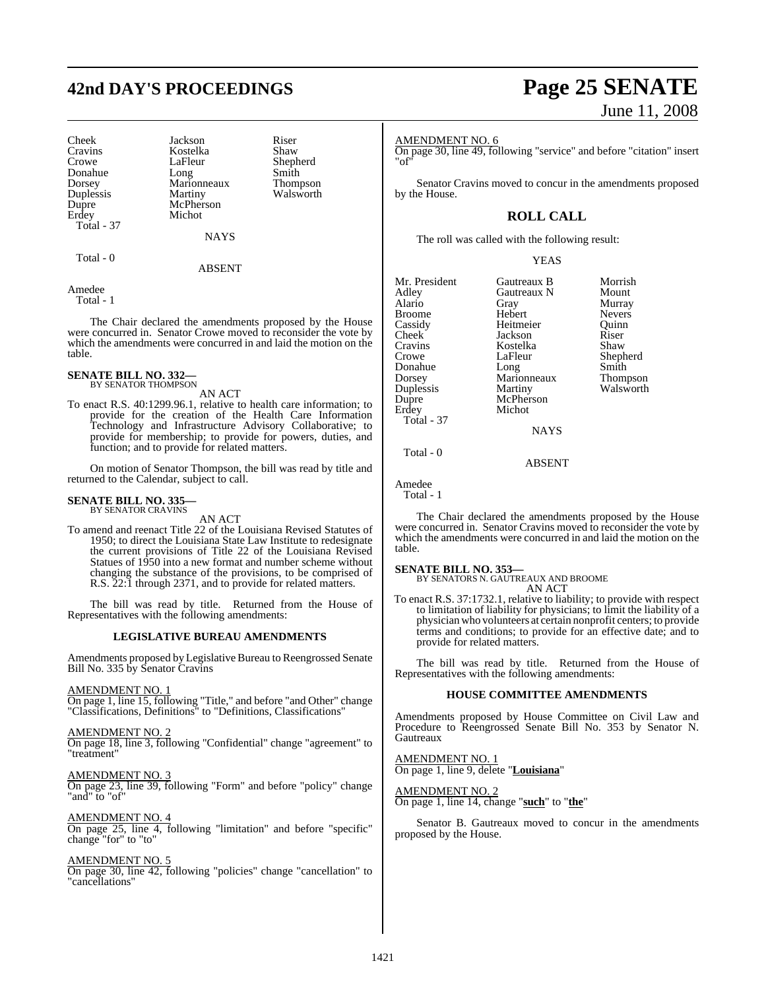## **42nd DAY'S PROCEEDINGS Page 25 SENATE**

Cravins Kostelka<br>Crowe LaFleur Dorsey Marionneaux<br>
Duplessis Martiny Dupre McPherson<br>
Frdev Michot Total - 37

Cheek Jackson Riser<br>Cravins Kostelka Shaw LaFleur Shepherd<br>Long Smith Donahue Long Smith<br>Dorsey Marionneaux Thompson Duplessis Martiny Walsworth Michot

**NAYS** 

Total - 0

ABSENT

Amedee Total - 1

The Chair declared the amendments proposed by the House were concurred in. Senator Crowe moved to reconsider the vote by which the amendments were concurred in and laid the motion on the table.

### **SENATE BILL NO. 332—** BY SENATOR THOMPSON

AN ACT

To enact R.S. 40:1299.96.1, relative to health care information; to provide for the creation of the Health Care Information Technology and Infrastructure Advisory Collaborative; to provide for membership; to provide for powers, duties, and function; and to provide for related matters.

On motion of Senator Thompson, the bill was read by title and returned to the Calendar, subject to call.

### **SENATE BILL NO. 335—** BY SENATOR CRAVINS

AN ACT

To amend and reenact Title 22 of the Louisiana Revised Statutes of 1950; to direct the Louisiana State Law Institute to redesignate the current provisions of Title 22 of the Louisiana Revised Statues of 1950 into a new format and number scheme without changing the substance of the provisions, to be comprised of R.S. 22:1 through 2371, and to provide for related matters.

The bill was read by title. Returned from the House of Representatives with the following amendments:

## **LEGISLATIVE BUREAU AMENDMENTS**

Amendments proposed by Legislative Bureau to Reengrossed Senate Bill No. 335 by Senator Cravins

## AMENDMENT NO. 1

On page 1, line 15, following "Title," and before "and Other" change "Classifications, Definitions" to "Definitions, Classifications"

## AMENDMENT NO. 2

On page 18, line 3, following "Confidential" change "agreement" to "treatment"

### AMENDMENT NO. 3

On page 23, line 39, following "Form" and before "policy" change "and" to "of"

## AMENDMENT NO. 4

On page 25, line 4, following "limitation" and before "specific" change "for" to "to"

## AMENDMENT NO. 5

On page 30, line 42, following "policies" change "cancellation" to "cancellations"

# June 11, 2008

## AMENDMENT NO. 6

On page 30, line 49, following "service" and before "citation" insert "of"

Senator Cravins moved to concur in the amendments proposed by the House.

## **ROLL CALL**

The roll was called with the following result:

### YEAS

Mr. President Gautreaux B Morrish<br>Adley Gautreaux N Mount Adley Gautreaux N<br>Alario Gray Broome Hebert Nevers<br>
Cassidy Heitmeier Quinn Cassidy Heitmeier Quinn<br>
Cheek Jackson Riser Cheek Jackson Riser<br>Cravins Kostelka Shaw Cravins Kostelka<br>Crowe LaFleur Crowe LaFleur Shepherd<br>Donahue Long Smith Dorsey Marionneaux Thompson<br>
Duplessis Martiny Walsworth Duplessis Martiny Walsworth Erdey Michot Total - 37

Gray Murray<br>Hebert Nevers Long McPherson NAYS

ABSENT

Amedee

Total - 0

Total - 1

The Chair declared the amendments proposed by the House were concurred in. Senator Cravins moved to reconsider the vote by which the amendments were concurred in and laid the motion on the table.

## **SENATE BILL NO. 353—**

BY SENATORS N. GAUTREAUX AND BROOME

- AN ACT
- To enact R.S. 37:1732.1, relative to liability; to provide with respect to limitation of liability for physicians; to limit the liability of a physician who volunteers at certain nonprofit centers; to provide terms and conditions; to provide for an effective date; and to provide for related matters.

The bill was read by title. Returned from the House of Representatives with the following amendments:

## **HOUSE COMMITTEE AMENDMENTS**

Amendments proposed by House Committee on Civil Law and Procedure to Reengrossed Senate Bill No. 353 by Senator N. Gautreaux

AMENDMENT NO. 1 On page 1, line 9, delete "**Louisiana**"

AMENDMENT NO. 2 On page 1, line 14, change "**such**" to "**the**"

Senator B. Gautreaux moved to concur in the amendments proposed by the House.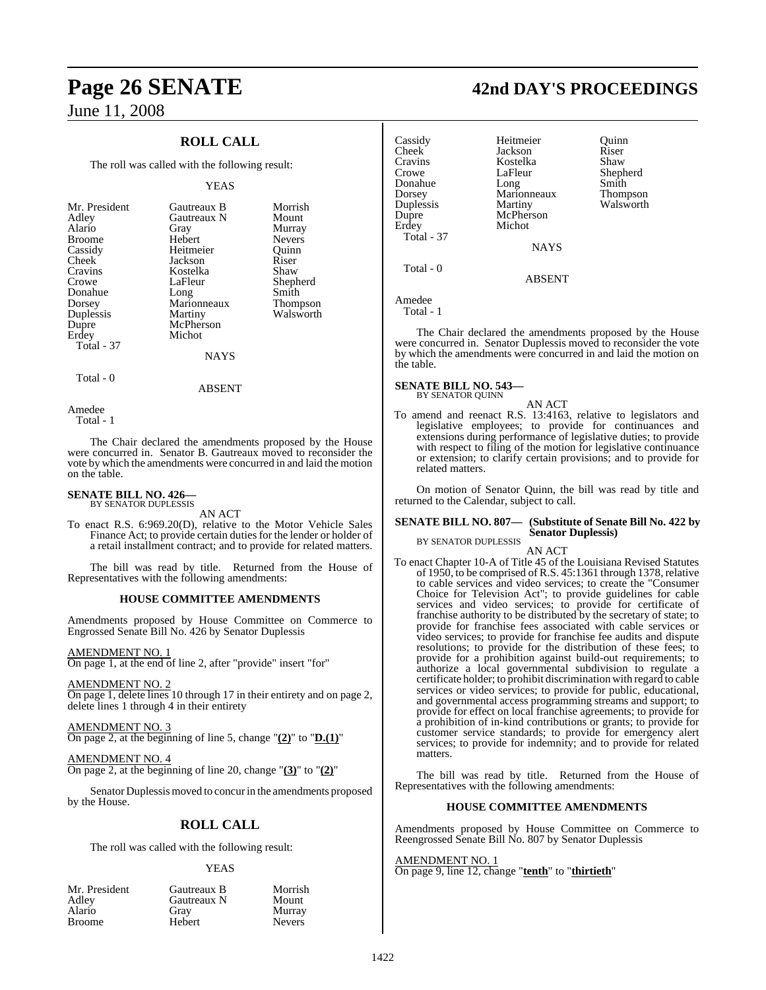## **Page 26 SENATE**

June 11, 2008

## **ROLL CALL**

The roll was called with the following result:

## YEAS

|             | Morrish                    |
|-------------|----------------------------|
|             | Mount                      |
| Gray        | Murray                     |
| Hebert      | <b>Nevers</b>              |
| Heitmeier   | Ouinn                      |
| Jackson     | Riser                      |
| Kostelka    | Shaw                       |
| LaFleur     | Shepherd                   |
| Long        | Smith                      |
| Marionneaux | <b>Thompson</b>            |
| Martiny     | Walsworth                  |
| McPherson   |                            |
| Michot      |                            |
|             |                            |
| NAYS        |                            |
|             | Gautreaux B<br>Gautreaux N |

ABSENT

Amedee Total - 1

Total - 0

The Chair declared the amendments proposed by the House were concurred in. Senator B. Gautreaux moved to reconsider the vote by which the amendments were concurred in and laid the motion on the table.

### **SENATE BILL NO. 426—** BY SENATOR DUPLESSIS

AN ACT

To enact R.S. 6:969.20(D), relative to the Motor Vehicle Sales Finance Act; to provide certain duties for the lender or holder of a retail installment contract; and to provide for related matters.

The bill was read by title. Returned from the House of Representatives with the following amendments:

## **HOUSE COMMITTEE AMENDMENTS**

Amendments proposed by House Committee on Commerce to Engrossed Senate Bill No. 426 by Senator Duplessis

## AMENDMENT NO. 1

On page 1, at the end of line 2, after "provide" insert "for"

## AMENDMENT NO. 2

On page 1, delete lines 10 through 17 in their entirety and on page 2, delete lines 1 through 4 in their entirety

## AMENDMENT NO. 3

On page 2, at the beginning of line 5, change "**(2)**" to "**D.(1)**"

## AMENDMENT NO. 4

On page 2, at the beginning of line 20, change "**(3)**" to "**(2)**"

Senator Duplessis moved to concur in the amendments proposed by the House.

## **ROLL CALL**

The roll was called with the following result:

## YEAS

Nevers

|        |               | Mr. President |
|--------|---------------|---------------|
| Adley  |               |               |
| Alario |               |               |
|        | <b>Broome</b> |               |

Gautreaux B Morrish<br>Gautreaux N Mount **Gautreaux N** Gray Murray<br>Hebert Nevers

|  |  |  | 42nd DAY'S PROCEEDINGS |
|--|--|--|------------------------|
|--|--|--|------------------------|

Cassidy Heitmeier Quinn Cheek Jackson Riser<br>Cravins Kostelka Shaw Cravins Kostelka<br>Crowe LaFleur Donahue Dorsey Marionneaux Thompson Duplessis Martiny Walsworth<br>Duppe McPherson McPherson Erdey Michot Total - 37 **NAYS**  Total - 0 ABSENT

LaFleur Shepherd<br>Long Smith

Amedee Total - 1

The Chair declared the amendments proposed by the House were concurred in. Senator Duplessis moved to reconsider the vote by which the amendments were concurred in and laid the motion on the table.

### **SENATE BILL NO. 543—** BY SENATOR QUINN

AN ACT

To amend and reenact R.S. 13:4163, relative to legislators and legislative employees; to provide for continuances and extensions during performance of legislative duties; to provide with respect to filing of the motion for legislative continuance or extension; to clarify certain provisions; and to provide for related matters.

On motion of Senator Quinn, the bill was read by title and returned to the Calendar, subject to call.

## **SENATE BILL NO. 807— (Substitute of Senate Bill No. 422 by Senator Duplessis)**

BY SENATOR DUPLESSIS AN ACT

To enact Chapter 10-A of Title 45 of the Louisiana Revised Statutes of 1950, to be comprised of R.S. 45:1361 through 1378, relative to cable services and video services; to create the "Consumer Choice for Television Act"; to provide guidelines for cable services and video services; to provide for certificate of franchise authority to be distributed by the secretary of state; to provide for franchise fees associated with cable services or video services; to provide for franchise fee audits and dispute resolutions; to provide for the distribution of these fees; to provide for a prohibition against build-out requirements; to authorize a local governmental subdivision to regulate a certificate holder; to prohibit discrimination with regard to cable services or video services; to provide for public, educational, and governmental access programming streams and support; to provide for effect on local franchise agreements; to provide for a prohibition of in-kind contributions or grants; to provide for customer service standards; to provide for emergency alert services; to provide for indemnity; and to provide for related matters.

The bill was read by title. Returned from the House of Representatives with the following amendments:

## **HOUSE COMMITTEE AMENDMENTS**

Amendments proposed by House Committee on Commerce to Reengrossed Senate Bill No. 807 by Senator Duplessis

### AMENDMENT NO. 1 On page 9, line 12, change "**tenth**" to "**thirtieth**"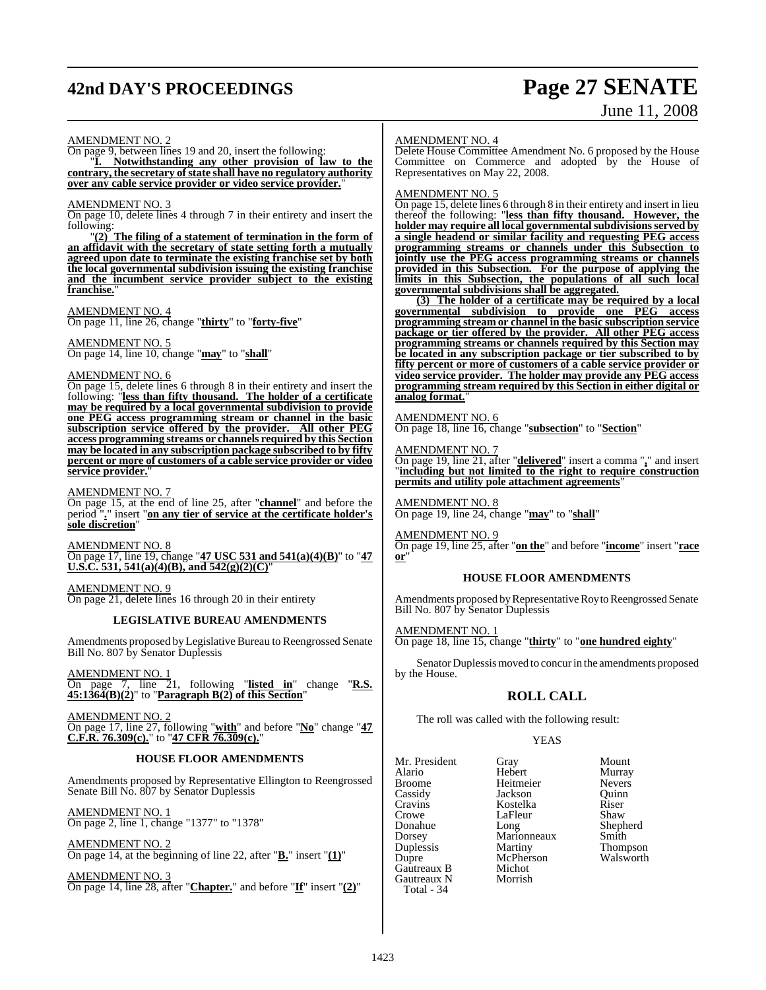## **42nd DAY'S PROCEEDINGS Page 27 SENATE**

# June 11, 2008

### AMENDMENT NO. 2

On page 9, between lines 19 and 20, insert the following: "**I. Notwithstanding any other provision of law to the contrary, the secretary ofstate shall have no regulatory authority over any cable service provider or video service provider.**"

## AMENDMENT NO. 3

On page 10, delete lines 4 through 7 in their entirety and insert the following:

"**(2) The filing of a statement of termination in the form of an affidavit with the secretary of state setting forth a mutually agreed upon date to terminate the existing franchise set by both the local governmental subdivision issuing the existing franchise and the incumbent service provider subject to the existing** franchise.

## AMENDMENT NO. 4

On page 11, line 26, change "**thirty**" to "**forty-five**"

### AMENDMENT NO. 5

On page 14, line 10, change "**may**" to "**shall**"

### AMENDMENT NO. 6

On page 15, delete lines 6 through 8 in their entirety and insert the following: "**less than fifty thousand. The holder of a certificate may be required by a local governmental subdivision to provide one PEG access programming stream or channel in the basic subscription service offered by the provider. All other PEG access programming streams or channels required by this Section may be located in any subscription package subscribed to by fifty percent or more of customers of a cable service provider or video service provider.**"

## AMENDMENT NO. 7

On page 15, at the end of line 25, after "**channel**" and before the period "**.**" insert "**on any tier of service at the certificate holder's sole discretion**"

AMENDMENT NO. 8 On page 17, line 19, change "**47 USC 531 and 541(a)(4)(B)**" to "**47 U.S.C. 531, 541(a)(4)(B), and 542(g)(2)(C)**"

AMENDMENT NO. 9 On page 21, delete lines 16 through 20 in their entirety

## **LEGISLATIVE BUREAU AMENDMENTS**

Amendments proposed by Legislative Bureau to Reengrossed Senate Bill No. 807 by Senator Duplessis

AMENDMENT NO. 1 On page 7, line 21, following "**listed in**" change "**R.S. 45:1364(B)(2)**" to "**Paragraph B(2) of this Section**"

AMENDMENT NO. 2 On page 17, line 27, following "**with**" and before "**No**" change "**47 C.F.R. 76.309(c).**" to "**47 CFR 76.309(c).**"

## **HOUSE FLOOR AMENDMENTS**

Amendments proposed by Representative Ellington to Reengrossed Senate Bill No. 807 by Senator Duplessis

AMENDMENT NO. 1 On page 2, line 1, change "1377" to "1378"

AMENDMENT NO. 2 On page 14, at the beginning of line 22, after "**B.**" insert "**(1)**"

AMENDMENT NO. 3 On page 14, line 28, after "**Chapter.**" and before "**If**" insert "**(2)**"

### AMENDMENT NO. 4

Delete House Committee Amendment No. 6 proposed by the House Committee on Commerce and adopted by the House of Representatives on May 22, 2008.

### AMENDMENT NO. 5

On page 15, delete lines 6 through 8 in their entirety and insert in lieu thereof the following: "**less than fifty thousand. However, the holder may require all local governmentalsubdivisionsserved by a single headend or similar facility and requesting PEG access programming streams or channels under this Subsection to jointly use the PEG access programming streams or channels provided in this Subsection. For the purpose of applying the limits in this Subsection, the populations of all such local governmental subdivisions shall be aggregated.**

**(3) The holder of a certificate may be required by a local governmental subdivision to provide one PEG access programming stream or channel in the basic subscription service package or tier offered by the provider. All other PEG access programming streams or channels required by this Section may be located in any subscription package or tier subscribed to by fifty percent or more of customers of a cable service provider or video service provider. The holder may provide any PEG access programming stream required by this Section in either digital or analog format.**"

## AMENDMENT NO. 6

On page 18, line 16, change "**subsection**" to "**Section**"

## AMEN<u>DMENT NO. 7</u>

On page 19, line 21, after "**delivered**" insert a comma "**,**" and insert "**including but not limited to the right to require construction permits and utility pole attachment agreements**"

AMENDMENT NO. 8 On page 19, line 24, change "**may**" to "**shall**"

AMENDMENT NO. 9 On page 19, line 25, after "**on the**" and before "**income**" insert "**race or**"

## **HOUSE FLOOR AMENDMENTS**

Amendments proposed by Representative Roy to Reengrossed Senate Bill No. 807 by Senator Duplessis

AMENDMENT NO. 1

On page 18, line 15, change "**thirty**" to "**one hundred eighty**"

Senator Duplessis moved to concur in the amendments proposed by the House.

## **ROLL CALL**

The roll was called with the following result:

Heitmeier

McPherson<br>Michot

## YEAS

Mr. President Gray Mount Alario Hebert Murray Cassidy Jackson Quinn Cravins Kostelka Riser Crowe LaFleur<br>Donahue Long Donahue Long Shepherd Dorsey Marionneaux<br>
Duplessis Martiny Duplessis Martiny Thompson Gautreaux B Michot<br>Gautreaux N Morrish Gautreaux N Total - 34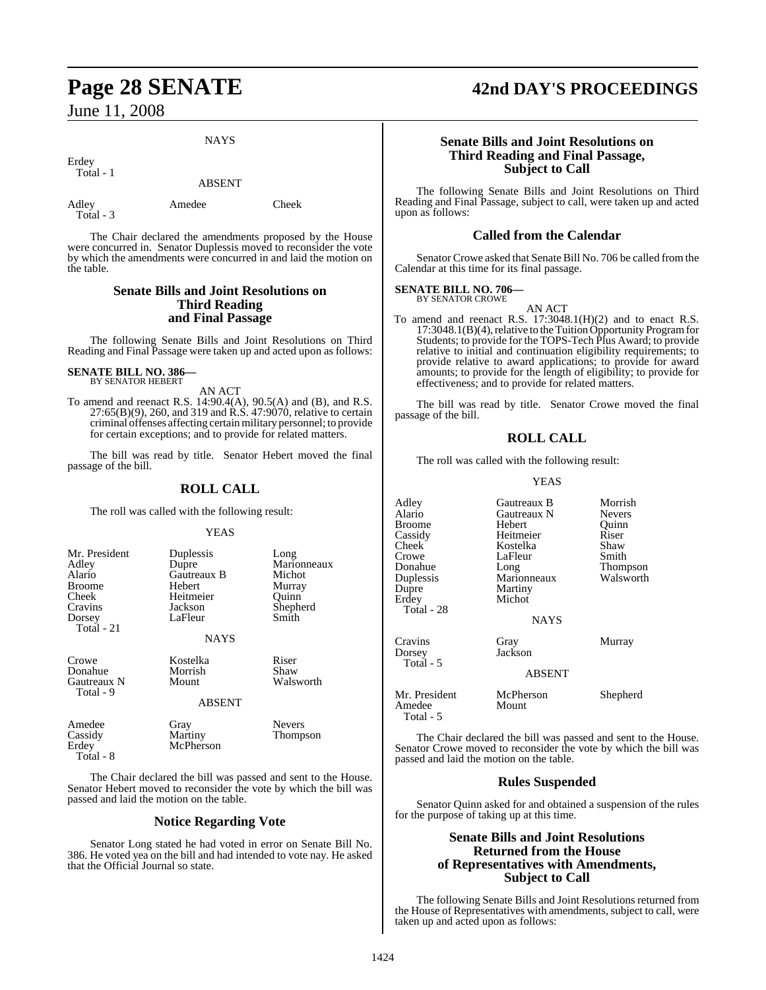**NAYS** 

Erdey Total - 1

ABSENT

Adley Amedee Cheek Total - 3

The Chair declared the amendments proposed by the House were concurred in. Senator Duplessis moved to reconsider the vote by which the amendments were concurred in and laid the motion on the table.

## **Senate Bills and Joint Resolutions on Third Reading and Final Passage**

The following Senate Bills and Joint Resolutions on Third Reading and Final Passage were taken up and acted upon as follows:

### **SENATE BILL NO. 386—** BY SENATOR HEBERT

Total - 8

AN ACT

To amend and reenact R.S. 14:90.4(A), 90.5(A) and (B), and R.S. 27:65(B)(9), 260, and 319 and R.S. 47:9070, relative to certain criminal offenses affecting certain military personnel; to provide for certain exceptions; and to provide for related matters.

The bill was read by title. Senator Hebert moved the final passage of the bill.

## **ROLL CALL**

The roll was called with the following result:

## YEAS

| Mr. President<br>Adley<br>Alario<br>Broome<br>Cheek<br>Cravins<br>Dorsey | Duplessis<br>Dupre<br>Gautreaux B<br>Hebert<br>Heitmeier<br>Jackson<br>LaFleur | Long<br>Marionneaux<br>Michot<br>Murray<br>Ouinn<br>Shepherd<br>Smith |
|--------------------------------------------------------------------------|--------------------------------------------------------------------------------|-----------------------------------------------------------------------|
| Total - 21                                                               |                                                                                |                                                                       |
|                                                                          | <b>NAYS</b>                                                                    |                                                                       |
| Crowe<br>Donahue<br>Gautreaux N<br>Total - 9                             | Kostelka<br>Morrish<br>Mount                                                   | Riser<br>Shaw<br>Walsworth                                            |
|                                                                          | <b>ABSENT</b>                                                                  |                                                                       |
| Amedee<br>Cassidy<br>Erdey                                               | Gray<br>Martiny<br>McPherson                                                   | <b>Nevers</b><br>Thompson                                             |

The Chair declared the bill was passed and sent to the House. Senator Hebert moved to reconsider the vote by which the bill was passed and laid the motion on the table.

## **Notice Regarding Vote**

Senator Long stated he had voted in error on Senate Bill No. 386. He voted yea on the bill and had intended to vote nay. He asked that the Official Journal so state.

## **Page 28 SENATE 42nd DAY'S PROCEEDINGS**

## **Senate Bills and Joint Resolutions on Third Reading and Final Passage, Subject to Call**

The following Senate Bills and Joint Resolutions on Third Reading and Final Passage, subject to call, were taken up and acted upon as follows:

## **Called from the Calendar**

Senator Crowe asked that Senate Bill No. 706 be called fromthe Calendar at this time for its final passage.

### **SENATE BILL NO. 706—** BY SENATOR CROWE

AN ACT

To amend and reenact R.S. 17:3048.1(H)(2) and to enact R.S. 17:3048.1(B)(4), relative to the Tuition Opportunity Program for Students; to provide for the TOPS-Tech Plus Award; to provide relative to initial and continuation eligibility requirements; to provide relative to award applications; to provide for award amounts; to provide for the length of eligibility; to provide for effectiveness; and to provide for related matters.

The bill was read by title. Senator Crowe moved the final passage of the bill.

## **ROLL CALL**

The roll was called with the following result:

## YEAS

| Adley<br>Alario<br>Broome<br>Cassidy<br>Cheek<br>Crowe<br>Donahue<br>Duplessis<br>Dupre<br>Erdey<br>Total - 28 | Gautreaux B<br>Gautreaux N<br>Hebert<br>Heitmeier<br>Kostelka<br>LaFleur<br>Long<br>Marionneaux<br>Martiny<br>Michot<br><b>NAYS</b> | Morrish<br><b>Nevers</b><br>Quinn<br>Riser<br>Shaw<br>Smith<br>Thompson<br>Walsworth |
|----------------------------------------------------------------------------------------------------------------|-------------------------------------------------------------------------------------------------------------------------------------|--------------------------------------------------------------------------------------|
| Cravins<br>Dorsey<br>Total - 5                                                                                 | Gray<br>Jackson<br><b>ABSENT</b>                                                                                                    | Murray                                                                               |
| Mr. President<br>Amedee<br>Total - 5                                                                           | McPherson<br>Mount                                                                                                                  | Shepherd                                                                             |

The Chair declared the bill was passed and sent to the House. Senator Crowe moved to reconsider the vote by which the bill was passed and laid the motion on the table.

## **Rules Suspended**

Senator Quinn asked for and obtained a suspension of the rules for the purpose of taking up at this time.

## **Senate Bills and Joint Resolutions Returned from the House of Representatives with Amendments, Subject to Call**

The following Senate Bills and Joint Resolutions returned from the House of Representatives with amendments, subject to call, were taken up and acted upon as follows: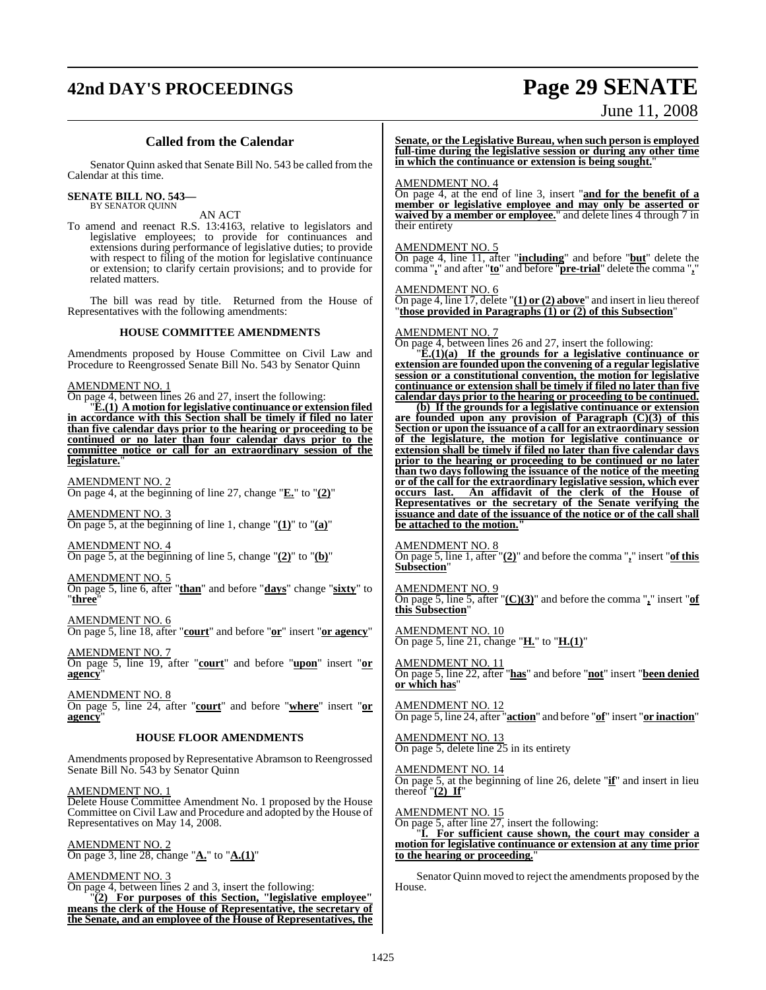## **42nd DAY'S PROCEEDINGS Page 29 SENATE**

# June 11, 2008

## **Called from the Calendar**

Senator Quinn asked that Senate Bill No. 543 be called from the Calendar at this time.

## **SENATE BILL NO. 543—**

BY SENATOR QUINN

AN ACT

To amend and reenact R.S. 13:4163, relative to legislators and legislative employees; to provide for continuances and extensions during performance of legislative duties; to provide with respect to filing of the motion for legislative continuance or extension; to clarify certain provisions; and to provide for related matters.

The bill was read by title. Returned from the House of Representatives with the following amendments:

## **HOUSE COMMITTEE AMENDMENTS**

Amendments proposed by House Committee on Civil Law and Procedure to Reengrossed Senate Bill No. 543 by Senator Quinn

## AMENDMENT NO. 1

On page 4, between lines 26 and 27, insert the following:

"**E.(1) A motion for legislative continuance or extension filed in accordance with this Section shall be timely if filed no later than five calendar days prior to the hearing or proceeding to be continued or no later than four calendar days prior to the committee notice or call for an extraordinary session of the legislature.**"

AMENDMENT NO. 2 On page 4, at the beginning of line 27, change "**E.**" to "**(2)**"

AMENDMENT NO. 3 On page 5, at the beginning of line 1, change "**(1)**" to "**(a)**"

AMENDMENT NO. 4 On page 5, at the beginning of line 5, change "**(2)**" to "**(b)**"

AMENDMENT NO. 5

On page 5, line 6, after "**than**" and before "**days**" change "**sixty**" to "**three**"

AMENDMENT NO. 6 On page 5, line 18, after "**court**" and before "**or**" insert "**or agency**"

AMENDMENT NO. 7 On page 5, line 19, after "**court**" and before "**upon**" insert "**or agency**"

AMENDMENT NO. 8 On page 5, line 24, after "**court**" and before "**where**" insert "**or agency**"

## **HOUSE FLOOR AMENDMENTS**

Amendments proposed by Representative Abramson to Reengrossed Senate Bill No. 543 by Senator Quinn

AMENDMENT NO. 1

Delete House Committee Amendment No. 1 proposed by the House Committee on Civil Law and Procedure and adopted by the House of Representatives on May 14, 2008.

AMENDMENT NO. 2 On page 3, line 28, change "**A.**" to "**A.(1)**"

AMENDMENT NO. 3 On page 4, between lines 2 and 3, insert the following: "**(2) For purposes of this Section, "legislative employee" means the clerk of the House of Representative, the secretary of the Senate, and an employee of the House of Representatives, the** **Senate, or the Legislative Bureau, when such person is employed full-time during the legislative session or during any other time in which the continuance or extension is being sought.**"

### AMENDMENT NO. 4

On page 4, at the end of line 3, insert "**and for the benefit of a member or legislative employee and may only be asserted or waived by a member or employee.**" and delete lines 4 through 7 in their entirety

## AMENDMENT NO. 5

On page 4, line 11, after "**including**" and before "**but**" delete the comma "**,**" and after "**to**" and before "**pre-trial**" delete the comma "**,**"

AMENDMENT NO. 6

On page 4, line 17, delete "**(1) or (2) above**" and insert in lieu thereof "**those provided in Paragraphs (1) or (2) of this Subsection**"

## AMENDMENT NO. 7

On page 4, between lines 26 and 27, insert the following:

"**E.(1)(a) If the grounds for a legislative continuance or extension are founded upon the convening of a regular legislative session or a constitutional convention, the motion for legislative continuance or extension shall be timely if filed no later than five calendar days prior to the hearing or proceeding to be continued.**

**(b) If the grounds for a legislative continuance or extension are founded upon any provision of Paragraph (C)(3) of this Section or upon the issuance of a call for an extraordinary session of the legislature, the motion for legislative continuance or extension shall be timely if filed no later than five calendar days prior to the hearing or proceeding to be continued or no later than two days following the issuance of the notice of the meeting or of the call for the extraordinary legislative session, which ever occurs last. An affidavit of the clerk of the House of Representatives or the secretary of the Senate verifying the issuance and date of the issuance of the notice or of the call shall be attached to the motion."**

AMENDMENT NO. 8

On page 5, line 1, after "**(2)**" and before the comma "**,**" insert "**of this Subsection**"

AMENDMENT NO. 9 On page 5, line 5, after "**(C)(3)**" and before the comma "**,**" insert "**of this Subsection**"

AMENDMENT NO. 10 On page 5, line 21, change "**H.**" to "**H.(1)**"

AMENDMENT NO. 11 On page 5, line 22, after "**has**" and before "**not**" insert "**been denied or which has**"

AMENDMENT NO. 12 On page 5, line 24, after "**action**" and before "**of**" insert "**or inaction**"

AMENDMENT NO. 13 On page 5, delete line 25 in its entirety

AMENDMENT NO. 14

On page 5, at the beginning of line 26, delete "**if**" and insert in lieu thereof  $"(2)$  If"

AMENDMENT NO. 15

On page 5, after line  $\overline{27}$ , insert the following:

"**I. For sufficient cause shown, the court may consider a motion for legislative continuance or extension at any time prior to the hearing or proceeding.**"

Senator Quinn moved to reject the amendments proposed by the House.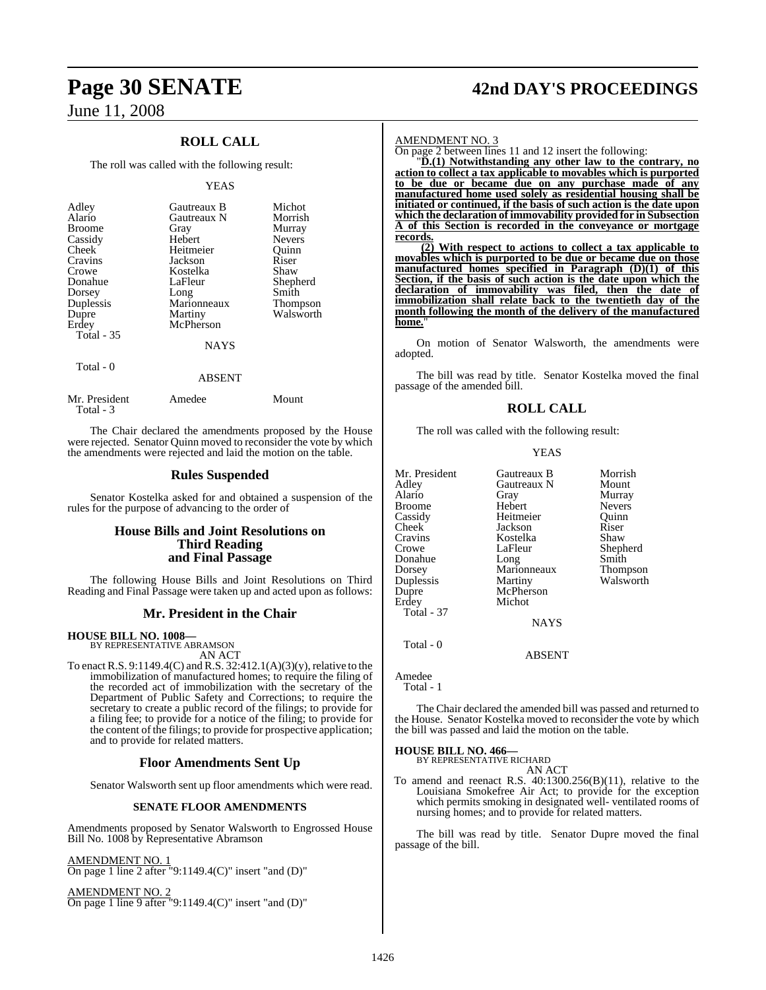## **ROLL CALL**

The roll was called with the following result:

## YEAS

| Adley<br>Alario<br><b>Broome</b><br>Cassidy<br>Cheek<br>Cravins<br>Crowe<br>Donahue<br>Dorsey<br>Duplessis<br>Dupre<br>Erdey<br>Total - 35 | Gautreaux B<br>Gautreaux N<br>Gray<br>Hebert<br>Heitmeier<br>Jackson<br>Kostelka<br>LaFleur<br>Long<br>Marionneaux<br>Martiny<br>McPherson<br><b>NAYS</b> | Michot<br>Morrish<br>Murray<br><b>Nevers</b><br>Ouinn<br>Riser<br>Shaw<br>Shepherd<br>Smith<br>Thompson<br>Walsworth |
|--------------------------------------------------------------------------------------------------------------------------------------------|-----------------------------------------------------------------------------------------------------------------------------------------------------------|----------------------------------------------------------------------------------------------------------------------|
| Total - 0                                                                                                                                  | <b>ABSENT</b>                                                                                                                                             |                                                                                                                      |

| Mr. President<br>Total - 3 | Amedee | Mount |
|----------------------------|--------|-------|
|                            |        |       |

The Chair declared the amendments proposed by the House were rejected. Senator Quinn moved to reconsider the vote by which the amendments were rejected and laid the motion on the table.

## **Rules Suspended**

Senator Kostelka asked for and obtained a suspension of the rules for the purpose of advancing to the order of

## **House Bills and Joint Resolutions on Third Reading and Final Passage**

The following House Bills and Joint Resolutions on Third Reading and Final Passage were taken up and acted upon as follows:

## **Mr. President in the Chair**

## **HOUSE BILL NO. 1008—**

BY REPRESENTATIVE ABRAMSON AN ACT

To enact R.S.  $9:1149.4(C)$  and R.S.  $32:412.1(A)(3)(y)$ , relative to the immobilization of manufactured homes; to require the filing of the recorded act of immobilization with the secretary of the Department of Public Safety and Corrections; to require the secretary to create a public record of the filings; to provide for a filing fee; to provide for a notice of the filing; to provide for the content of the filings; to provide for prospective application; and to provide for related matters.

## **Floor Amendments Sent Up**

Senator Walsworth sent up floor amendments which were read.

## **SENATE FLOOR AMENDMENTS**

Amendments proposed by Senator Walsworth to Engrossed House Bill No. 1008 by Representative Abramson

## AMENDMENT NO. 1

On page 1 line 2 after "9:1149.4 $(C)$ " insert "and  $(D)$ "

AMENDMENT NO. 2 On page 1 line 9 after "9:1149.4(C)" insert "and (D)"

## **Page 30 SENATE 42nd DAY'S PROCEEDINGS**

### AMENDMENT NO. 3

On page 2 between lines 11 and 12 insert the following:

"**D.(1) Notwithstanding any other law to the contrary, no action to collect a tax applicable to movables which is purported to be due or became due on any purchase made of any manufactured home used solely as residential housing shall be initiated or continued, if the basis of such action is the date upon which the declaration of immovability provided for in Subsection A of this Section is recorded in the conveyance or mortgage records.**

**(2) With respect to actions to collect a tax applicable to movables which is purported to be due or became due on those manufactured homes specified in Paragraph (D)(1) of this Section, if the basis of such action is the date upon which the declaration of immovability was filed, then the date of immobilization shall relate back to the twentieth day of the month following the month of the delivery of the manufactured** home.

On motion of Senator Walsworth, the amendments were adopted.

The bill was read by title. Senator Kostelka moved the final passage of the amended bill.

## **ROLL CALL**

The roll was called with the following result:

YEAS

| Mr. President     | Gautreaux B | Morrish       |
|-------------------|-------------|---------------|
| Adley             | Gautreaux N | Mount         |
| Alario            |             |               |
|                   | Gray        | Murray        |
| Broome            | Hebert      | <b>Nevers</b> |
| Cassidy           | Heitmeier   | Quinn         |
| Cheek             | Jackson     | Riser         |
| Cravins           | Kostelka    | Shaw          |
| Crowe             | LaFleur     | Shepherd      |
| Donahue           | Long        | Smith         |
| Dorsey            | Marionneaux | Thompson      |
| Duplessis         | Martiny     | Walsworth     |
| Dupre             | McPherson   |               |
| Erdey             | Michot      |               |
| <b>Total - 37</b> |             |               |
|                   | <b>NAYS</b> |               |
|                   |             |               |

Amedee

Total - 1

Total - 0

The Chair declared the amended bill was passed and returned to the House. Senator Kostelka moved to reconsider the vote by which the bill was passed and laid the motion on the table.

ABSENT

## **HOUSE BILL NO. 466—** BY REPRESENTATIVE RICHARD

AN ACT

To amend and reenact R.S. 40:1300.256(B)(11), relative to the Louisiana Smokefree Air Act; to provide for the exception which permits smoking in designated well- ventilated rooms of nursing homes; and to provide for related matters.

The bill was read by title. Senator Dupre moved the final passage of the bill.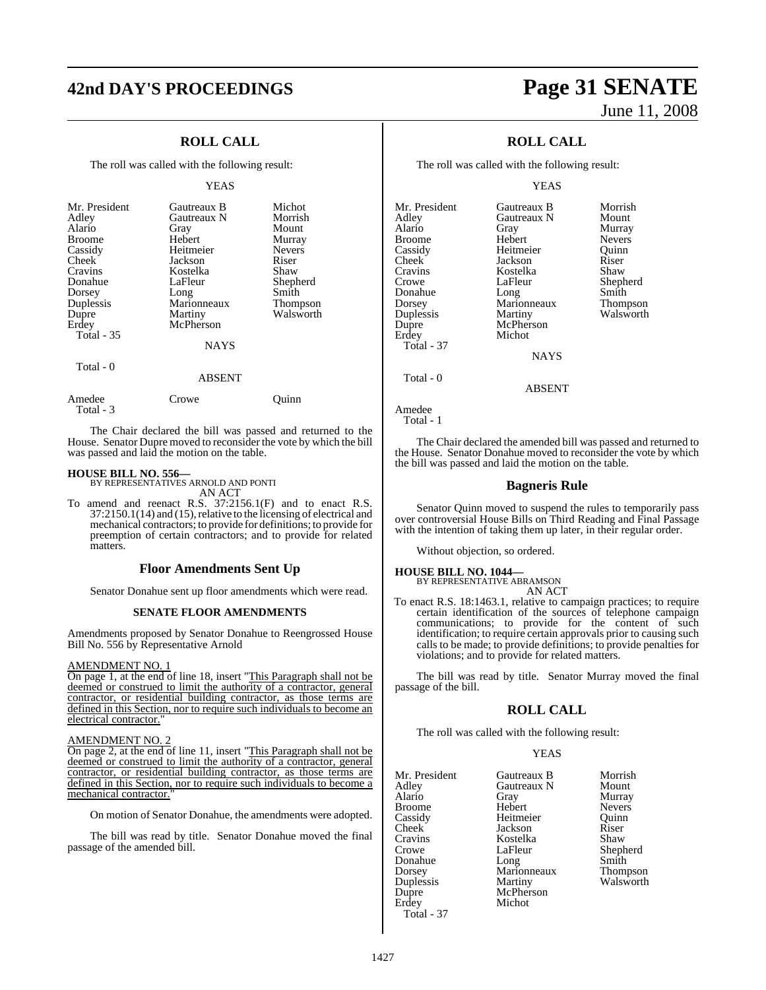## **42nd DAY'S PROCEEDINGS Page 31 SENATE**

## **ROLL CALL**

The roll was called with the following result:

### YEAS

| Mr. President<br>Adley<br>Alario<br><b>Broome</b><br>Cassidy<br>Cheek<br>Cravins<br>Donahue<br>Dorsey<br>Duplessis<br>Dupre<br>Erdey<br><b>Total - 35</b> | Gautreaux B<br>Gautreaux N<br>Gray<br>Hebert<br>Heitmeier<br>Jackson<br>Kostelka<br>LaFleur<br>Long<br>Marionneaux<br>Martiny<br>McPherson<br><b>NAYS</b> | Michot<br>Morrish<br>Mount<br>Murray<br><b>Nevers</b><br>Riser<br>Shaw<br>Shepherd<br>Smith<br><b>Thompson</b><br>Walsworth |
|-----------------------------------------------------------------------------------------------------------------------------------------------------------|-----------------------------------------------------------------------------------------------------------------------------------------------------------|-----------------------------------------------------------------------------------------------------------------------------|
| Total - 0                                                                                                                                                 | <b>ABSENT</b>                                                                                                                                             |                                                                                                                             |
| Amedee                                                                                                                                                    | Crowe                                                                                                                                                     | uinn                                                                                                                        |

Total - 3

The Chair declared the bill was passed and returned to the House. Senator Dupre moved to reconsider the vote by which the bill was passed and laid the motion on the table.

**HOUSE BILL NO. 556—** BY REPRESENTATIVES ARNOLD AND PONTI AN ACT

To amend and reenact R.S. 37:2156.1(F) and to enact R.S.  $37:2150.1(14)$  and  $(15)$ , relative to the licensing of electrical and mechanical contractors; to provide for definitions; to provide for preemption of certain contractors; and to provide for related matters.

## **Floor Amendments Sent Up**

Senator Donahue sent up floor amendments which were read.

### **SENATE FLOOR AMENDMENTS**

Amendments proposed by Senator Donahue to Reengrossed House Bill No. 556 by Representative Arnold

### AMENDMENT NO. 1

On page 1, at the end of line 18, insert "This Paragraph shall not be deemed or construed to limit the authority of a contractor, general contractor, or residential building contractor, as those terms are defined in this Section, nor to require such individuals to become an electrical contractor.

### AMENDMENT NO. 2

On page 2, at the end of line 11, insert "This Paragraph shall not be deemed or construed to limit the authority of a contractor, general contractor, or residential building contractor, as those terms are defined in this Section, nor to require such individuals to become a mechanical contractor.

On motion of Senator Donahue, the amendments were adopted.

The bill was read by title. Senator Donahue moved the final passage of the amended bill.

# June 11, 2008

## **ROLL CALL**

The roll was called with the following result:

## YEAS

| Mr. President     | Gautreaux B | Morrish       |
|-------------------|-------------|---------------|
| Adley             | Gautreaux N | Mount         |
| Alario            | Gray        | Murray        |
| <b>Broome</b>     | Hebert      | <b>Nevers</b> |
| Cassidy           | Heitmeier   | Ouinn         |
| Cheek             | Jackson     | Riser         |
| Cravins           | Kostelka    | Shaw          |
| Crowe             | LaFleur     | Shepherd      |
| Donahue           | Long        | Smith         |
| Dorsey            | Marionneaux | Thompson      |
| Duplessis         | Martiny     | Walsworth     |
| Dupre             | McPherson   |               |
| Erdey             | Michot      |               |
| <b>Total - 37</b> |             |               |
|                   | <b>NAYS</b> |               |
| Total - 0         |             |               |

ABSENT

```
Amedee
```
Total - 1

The Chair declared the amended bill was passed and returned to the House. Senator Donahue moved to reconsider the vote by which the bill was passed and laid the motion on the table.

## **Bagneris Rule**

Senator Quinn moved to suspend the rules to temporarily pass over controversial House Bills on Third Reading and Final Passage with the intention of taking them up later, in their regular order.

Without objection, so ordered.

## **HOUSE BILL NO. 1044—** BY REPRESENTATIVE ABRAMSON

AN ACT

To enact R.S. 18:1463.1, relative to campaign practices; to require certain identification of the sources of telephone campaign communications; to provide for the content of such identification; to require certain approvals prior to causing such calls to be made; to provide definitions; to provide penalties for violations; and to provide for related matters.

The bill was read by title. Senator Murray moved the final passage of the bill.

## **ROLL CALL**

The roll was called with the following result:

## YEAS

| Mr. President     | Gautreaux B | Morri |
|-------------------|-------------|-------|
| Adley             | Gautreaux N | Moun  |
| Alario            | Gray        | Murra |
| <b>Broome</b>     | Hebert      | Never |
| Cassidy           | Heitmeier   | Quinn |
| Cheek             | Jackson     | Riser |
| Cravins           | Kostelka    | Shaw  |
| Crowe             | LaFleur     | Sheph |
| Donahue           | Long        | Smith |
| Dorsey            | Marionneaux | Thom  |
| Duplessis         | Martiny     | Walsy |
| Dupre             | McPherson   |       |
| Erdey             | Michot      |       |
| <b>Total - 37</b> |             |       |

treaux B Morrish<br>
treaux N Mount <sup>7</sup> Murray<br>Pert Gray Mevers ert Nevers<br>
meier Ouinn Quinn<br>Riser leur Shepherd<br>g Smith onneaux Thompson tiny Walsworth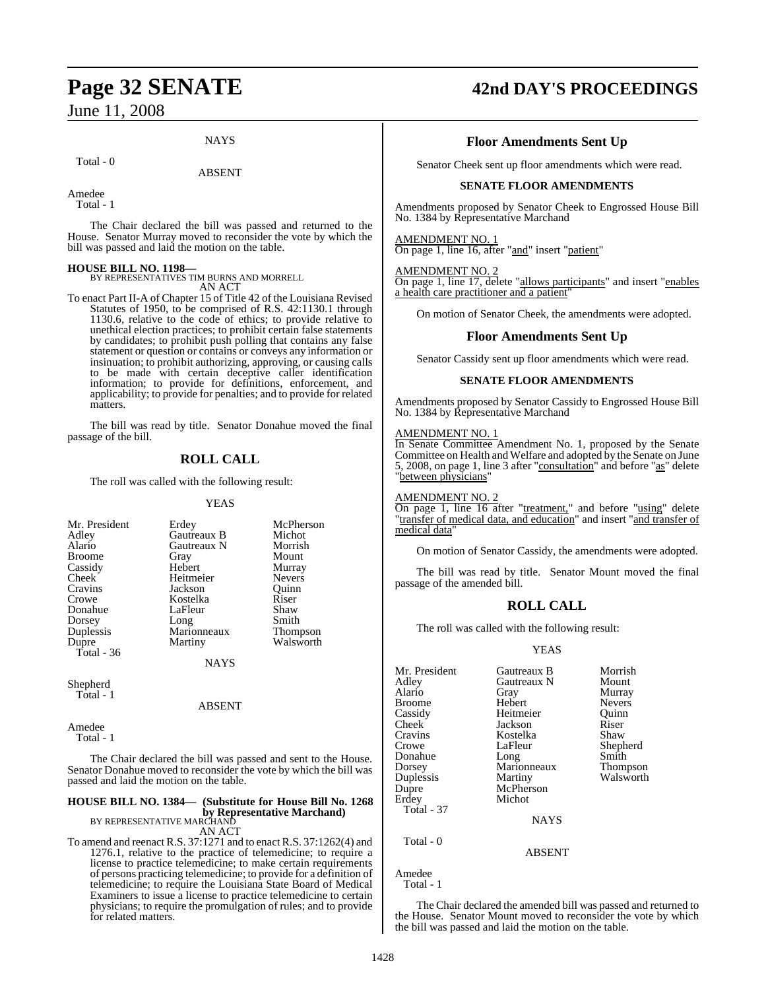## **NAYS**

Total - 0

## ABSENT

Amedee

Total - 1

The Chair declared the bill was passed and returned to the House. Senator Murray moved to reconsider the vote by which the bill was passed and laid the motion on the table.

**HOUSE BILL NO. 1198—** BY REPRESENTATIVES TIM BURNS AND MORRELL

AN ACT

To enact Part II-A of Chapter 15 of Title 42 of the Louisiana Revised Statutes of 1950, to be comprised of R.S. 42:1130.1 through 1130.6, relative to the code of ethics; to provide relative to unethical election practices; to prohibit certain false statements by candidates; to prohibit push polling that contains any false statement or question or contains or conveys any information or insinuation; to prohibit authorizing, approving, or causing calls to be made with certain deceptive caller identification information; to provide for definitions, enforcement, and applicability; to provide for penalties; and to provide for related matters.

The bill was read by title. Senator Donahue moved the final passage of the bill.

## **ROLL CALL**

The roll was called with the following result:

## **YEAS**

| Mr. President        | Erdey               | McPherson       |
|----------------------|---------------------|-----------------|
| Adley                | Gautreaux B         | Michot          |
| Alario               | Gautreaux N         | Morrish         |
| <b>Broome</b>        | Gray                | Mount           |
| Cassidy              | Hebert              | Murray          |
| Cheek                | Heitmeier           | <b>Nevers</b>   |
| Cravins              | Jackson             | Ouinn           |
| Crowe                | Kostelka            | Riser           |
| Donahue              | LaFleur             | Shaw            |
| Dorsey               |                     | Smith           |
| Duplessis            | Long<br>Marionneaux | <b>Thompson</b> |
| Dupre                | Martiny             | Walsworth       |
| Total - 36           |                     |                 |
|                      | <b>NAYS</b>         |                 |
| $\sim$ $\sim$ $\sim$ |                     |                 |

Shepherd Total - 1

ABSENT

Amedee Total - 1

The Chair declared the bill was passed and sent to the House. Senator Donahue moved to reconsider the vote by which the bill was passed and laid the motion on the table.

## **HOUSE BILL NO. 1384— (Substitute for House Bill No. 1268 by Representative Marchand)**<br>BY REPRESENTATIVE MARCHAND

AN ACT

To amend and reenact R.S. 37:1271 and to enact R.S. 37:1262(4) and 1276.1, relative to the practice of telemedicine; to require a license to practice telemedicine; to make certain requirements of persons practicing telemedicine; to provide for a definition of telemedicine; to require the Louisiana State Board of Medical Examiners to issue a license to practice telemedicine to certain physicians; to require the promulgation of rules; and to provide for related matters.

## **Page 32 SENATE 42nd DAY'S PROCEEDINGS**

## **Floor Amendments Sent Up**

Senator Cheek sent up floor amendments which were read.

## **SENATE FLOOR AMENDMENTS**

Amendments proposed by Senator Cheek to Engrossed House Bill No. 1384 by Representative Marchand

## AMENDMENT NO. 1

On page 1, line 16, after "and" insert "patient"

## AMENDMENT NO. 2

On page 1, line 17, delete "allows participants" and insert "enables a health care practitioner and a patient

On motion of Senator Cheek, the amendments were adopted.

## **Floor Amendments Sent Up**

Senator Cassidy sent up floor amendments which were read.

## **SENATE FLOOR AMENDMENTS**

Amendments proposed by Senator Cassidy to Engrossed House Bill No. 1384 by Representative Marchand

## AMENDMENT NO. 1

In Senate Committee Amendment No. 1, proposed by the Senate Committee on Health and Welfare and adopted by the Senate on June 5, 2008, on page 1, line 3 after "consultation" and before "as" delete "between physicians"

## AMENDMENT NO. 2

On page 1, line 16 after "treatment," and before "using" delete "transfer of medical data, and education" and insert "and transfer of medical data"

On motion of Senator Cassidy, the amendments were adopted.

The bill was read by title. Senator Mount moved the final passage of the amended bill.

## **ROLL CALL**

The roll was called with the following result:

## YEAS

| Mr. President | Gautreaux B | Morrish       |
|---------------|-------------|---------------|
| Adley         | Gautreaux N | Mount         |
| Alario        | Gray        | Murray        |
| <b>Broome</b> | Hebert      | <b>Nevers</b> |
| Cassidy       | Heitmeier   | Ouinn         |
| Cheek         | Jackson     | Riser         |
| Cravins       | Kostelka    | Shaw          |
| Crowe         | LaFleur     | Shepherd      |
| Donahue       | Long        | Smith         |
| Dorsey        | Marionneaux | Thompson      |
| Duplessis     | Martiny     | Walsworth     |
| Dupre         | McPherson   |               |
| Erdey         | Michot      |               |
| Total - 37    |             |               |
|               | <b>NAYS</b> |               |
| Total - 0     |             |               |

Amedee Total - 1

The Chair declared the amended bill was passed and returned to the House. Senator Mount moved to reconsider the vote by which the bill was passed and laid the motion on the table.

ABSENT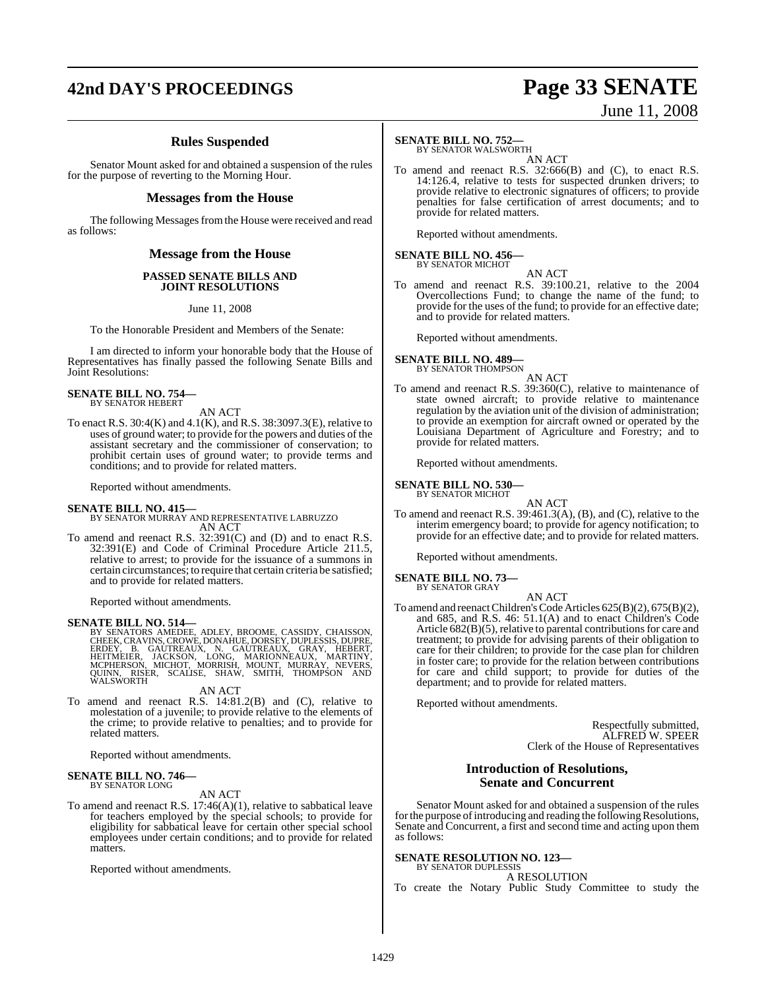## **42nd DAY'S PROCEEDINGS Page 33 SENATE**

# June 11, 2008

## **Rules Suspended**

Senator Mount asked for and obtained a suspension of the rules for the purpose of reverting to the Morning Hour.

## **Messages from the House**

The following Messages from the House were received and read as follows:

## **Message from the House**

### **PASSED SENATE BILLS AND JOINT RESOLUTIONS**

June 11, 2008

To the Honorable President and Members of the Senate:

I am directed to inform your honorable body that the House of Representatives has finally passed the following Senate Bills and Joint Resolutions:

## **SENATE BILL NO. 754—** BY SENATOR HEBERT

AN ACT

To enact R.S. 30:4(K) and 4.1(K), and R.S. 38:3097.3(E), relative to uses of ground water; to provide for the powers and duties of the assistant secretary and the commissioner of conservation; to prohibit certain uses of ground water; to provide terms and conditions; and to provide for related matters.

Reported without amendments.

## **SENATE BILL NO. 415—**

BY SENATOR MURRAY AND REPRESENTATIVE LABRUZZO AN ACT

To amend and reenact R.S. 32:391(C) and (D) and to enact R.S. 32:391(E) and Code of Criminal Procedure Article 211.5, relative to arrest; to provide for the issuance of a summons in certain circumstances; to require that certain criteria be satisfied; and to provide for related matters.

Reported without amendments.

SENATE BILL NO. 514—<br>BY SENATORS AMEDEE, ADLEY, BROOME, CASSIDY, CHAISSON, CHEEK, CRAVINS, CROWE, DONAHUE, DORSEY, DUPLESSIS, DUPRE,<br>ERDEY, B. GAUTREAUX, N. GAUTREAUX, GRAY, HEBERT,<br>HEITMEIER, JACKSON, LONG, MARIONNEAUX, M

AN ACT

To amend and reenact R.S. 14:81.2(B) and (C), relative to molestation of a juvenile; to provide relative to the elements of the crime; to provide relative to penalties; and to provide for related matters.

Reported without amendments.

### **SENATE BILL NO. 746—** BY SENATOR LONG

AN ACT

To amend and reenact R.S. 17:46(A)(1), relative to sabbatical leave for teachers employed by the special schools; to provide for eligibility for sabbatical leave for certain other special school employees under certain conditions; and to provide for related matters.

Reported without amendments.

## **SENATE BILL NO. 752—**

BY SENATOR WALSWORTH AN ACT

To amend and reenact R.S. 32:666(B) and (C), to enact R.S. 14:126.4, relative to tests for suspected drunken drivers; to provide relative to electronic signatures of officers; to provide penalties for false certification of arrest documents; and to provide for related matters.

Reported without amendments.

## **SENATE BILL NO. 456—** BY SENATOR MICHOT

AN ACT To amend and reenact R.S. 39:100.21, relative to the 2004 Overcollections Fund; to change the name of the fund; to provide for the uses of the fund; to provide for an effective date; and to provide for related matters.

Reported without amendments.

## **SENATE BILL NO. 489—**<br>BY SENATOR THOMPSON

AN ACT

To amend and reenact R.S. 39:360(C), relative to maintenance of state owned aircraft; to provide relative to maintenance regulation by the aviation unit of the division of administration; to provide an exemption for aircraft owned or operated by the Louisiana Department of Agriculture and Forestry; and to provide for related matters.

Reported without amendments.

### **SENATE BILL NO. 530—** BY SENATOR MICHOT

AN ACT To amend and reenact R.S. 39:461.3(A), (B), and (C), relative to the interim emergency board; to provide for agency notification; to provide for an effective date; and to provide for related matters.

Reported without amendments.

## **SENATE BILL NO. 73—**

BY SENATOR GRAY AN ACT

To amend and reenact Children's Code Articles 625(B)(2), 675(B)(2), and 685, and R.S. 46: 51.1(A) and to enact Children's Code Article  $682(B)(5)$ , relative to parental contributions for care and treatment; to provide for advising parents of their obligation to care for their children; to provide for the case plan for children in foster care; to provide for the relation between contributions for care and child support; to provide for duties of the department; and to provide for related matters.

Reported without amendments.

Respectfully submitted, ALFRED W. SPEER Clerk of the House of Representatives

## **Introduction of Resolutions, Senate and Concurrent**

Senator Mount asked for and obtained a suspension of the rules for the purpose of introducing and reading the following Resolutions, Senate and Concurrent, a first and second time and acting upon them as follows:

## **SENATE RESOLUTION NO. 123—**

BY SENATOR DUPLESSIS A RESOLUTION

To create the Notary Public Study Committee to study the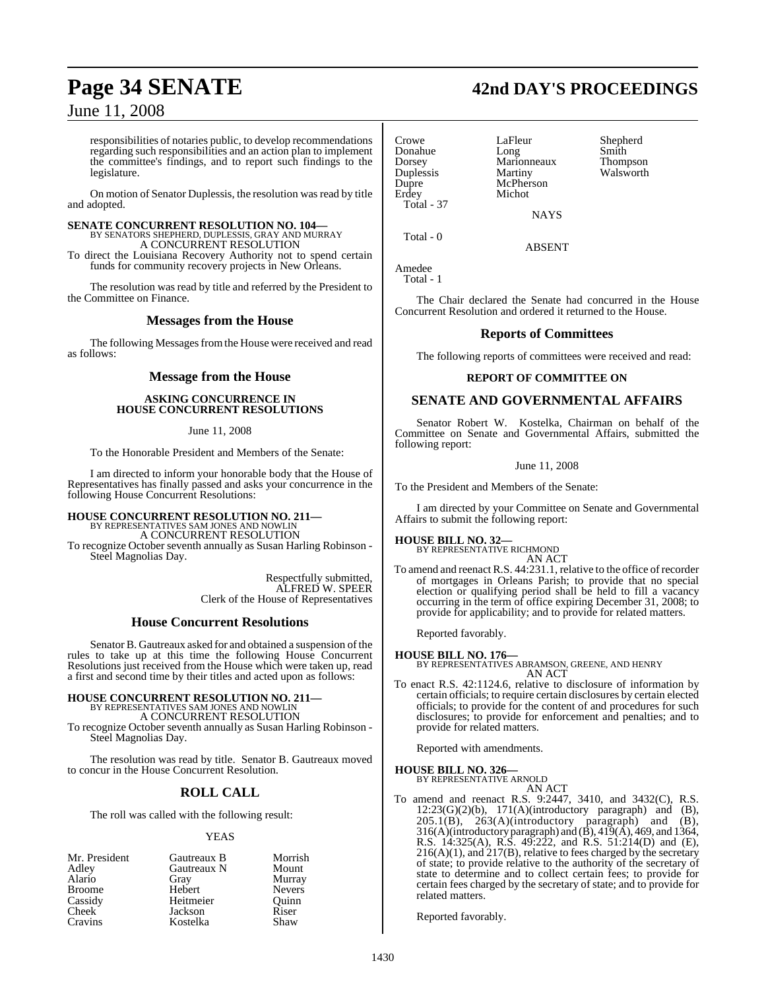responsibilities of notaries public, to develop recommendations regarding such responsibilities and an action plan to implement the committee's findings, and to report such findings to the legislature.

On motion of Senator Duplessis, the resolution was read by title and adopted.

**SENATE CONCURRENT RESOLUTION NO. 104—** BY SENATORS SHEPHERD, DUPLESSIS, GRAY AND MURRAY A CONCURRENT RESOLUTION

To direct the Louisiana Recovery Authority not to spend certain funds for community recovery projects in New Orleans.

The resolution was read by title and referred by the President to the Committee on Finance.

## **Messages from the House**

The following Messages from the House were received and read as follows:

## **Message from the House**

## **ASKING CONCURRENCE IN HOUSE CONCURRENT RESOLUTIONS**

June 11, 2008

To the Honorable President and Members of the Senate:

I am directed to inform your honorable body that the House of Representatives has finally passed and asks your concurrence in the following House Concurrent Resolutions:

## **HOUSE CONCURRENT RESOLUTION NO. 211—** BY REPRESENTATIVES SAM JONES AND NOWLIN

A CONCURRENT RESOLUTION

To recognize October seventh annually as Susan Harling Robinson - Steel Magnolias Day.

> Respectfully submitted, ALFRED W. SPEER Clerk of the House of Representatives

## **House Concurrent Resolutions**

Senator B. Gautreaux asked for and obtained a suspension of the rules to take up at this time the following House Concurrent Resolutions just received from the House which were taken up, read a first and second time by their titles and acted upon as follows:

## **HOUSE CONCURRENT RESOLUTION NO. 211—** BY REPRESENTATIVES SAM JONES AND NOWLIN

A CONCURRENT RESOLUTION

To recognize October seventh annually as Susan Harling Robinson - Steel Magnolias Day.

The resolution was read by title. Senator B. Gautreaux moved to concur in the House Concurrent Resolution.

## **ROLL CALL**

The roll was called with the following result:

## YEAS

| Mr. President | Gautreaux B | Morrish       |
|---------------|-------------|---------------|
| Adley         | Gautreaux N | Mount         |
| Alario        | Gray        | Murray        |
| <b>Broome</b> | Hebert      | <b>Nevers</b> |
| Cassidy       | Heitmeier   | Quinn         |
| <b>Cheek</b>  | Jackson     | Riser         |
| Cravins       | Kostelka    | Shaw          |

Crowe LaFleur Shepherd<br>
Donahue Long Smith Duplessis<br>Dupre Erdey Michot Total - 37

Donahue Long Smith Marionneaux Thompson<br>Martiny Walsworth McPherson **NAYS** 

Total - 0

Amedee

Total - 1

The Chair declared the Senate had concurred in the House Concurrent Resolution and ordered it returned to the House.

ABSENT

## **Reports of Committees**

The following reports of committees were received and read:

## **REPORT OF COMMITTEE ON**

## **SENATE AND GOVERNMENTAL AFFAIRS**

Senator Robert W. Kostelka, Chairman on behalf of the Committee on Senate and Governmental Affairs, submitted the following report:

## June 11, 2008

To the President and Members of the Senate:

I am directed by your Committee on Senate and Governmental Affairs to submit the following report:

**HOUSE BILL NO. 32—** BY REPRESENTATIVE RICHMOND

AN ACT To amend and reenact R.S. 44:231.1, relative to the office ofrecorder of mortgages in Orleans Parish; to provide that no special election or qualifying period shall be held to fill a vacancy occurring in the term of office expiring December 31, 2008; to provide for applicability; and to provide for related matters.

Reported favorably.

**HOUSE BILL NO. 176—** BY REPRESENTATIVES ABRAMSON, GREENE, AND HENRY

AN ACT To enact R.S. 42:1124.6, relative to disclosure of information by certain officials; to require certain disclosures by certain elected officials; to provide for the content of and procedures for such disclosures; to provide for enforcement and penalties; and to provide for related matters.

Reported with amendments.

**HOUSE BILL NO. 326—** BY REPRESENTATIVE ARNOLD

## AN ACT

To amend and reenact R.S. 9:2447, 3410, and 3432(C), R.S.  $12:23(G)(2)(b)$ ,  $171(A)(introductory paragraph)$  and  $(B)$ ,  $205.1(B)$ ,  $263(A)$ (introductory paragraph) and (B), 316(A)(introductory paragraph) and  $(\hat{B})$ , 419(A), 469, and 1364, R.S. 14:325(A), R.S. 49:222, and R.S. 51:214(D) and (E),  $216(A)(1)$ , and  $217(B)$ , relative to fees charged by the secretary of state; to provide relative to the authority of the secretary of state to determine and to collect certain fees; to provide for certain fees charged by the secretary of state; and to provide for related matters.

Reported favorably.

## **Page 34 SENATE 42nd DAY'S PROCEEDINGS**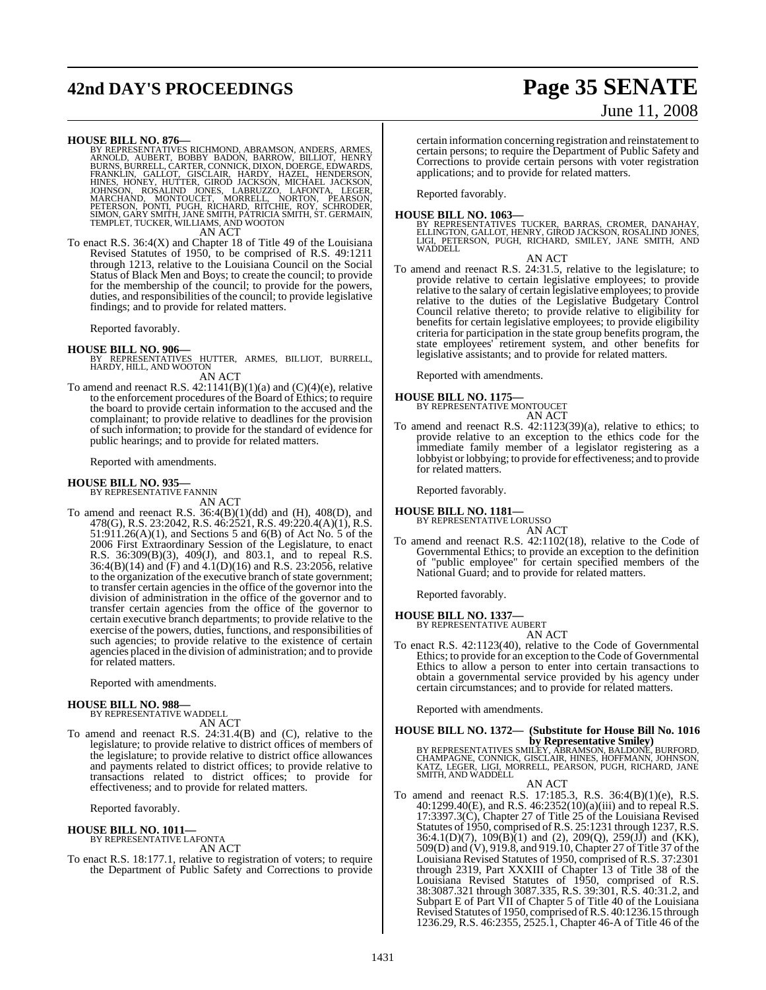## **42nd DAY'S PROCEEDINGS Page 35 SENATE**

# June 11, 2008

**HOUSE BILL NO. 876—**<br>BY REPRESENTATIVES RICHMOND, ABRAMSON, ANDERS, ARMES, ARNOLD, AUBERT, BOBBY BADON, BARROW, BILLIOT, HENRY<br>BURNS, BURRELL, CARTER, CONNICK, DIXON, DOERGE, EDWARDS, FRANKLIN, GALLOT, GISCLAIR, HARDY, HA

AN ACT

To enact R.S. 36:4(X) and Chapter 18 of Title 49 of the Louisiana Revised Statutes of 1950, to be comprised of R.S. 49:1211 through 1213, relative to the Louisiana Council on the Social Status of Black Men and Boys; to create the council; to provide for the membership of the council; to provide for the powers, duties, and responsibilities of the council; to provide legislative findings; and to provide for related matters.

Reported favorably.

**HOUSE BILL NO. 906—** BY REPRESENTATIVES HUTTER, ARMES, BILLIOT, BURRELL, HARDY, HILL, AND WOOTON

AN ACT

To amend and reenact R.S. 42:1141(B)(1)(a) and (C)(4)(e), relative to the enforcement procedures of the Board of Ethics; to require the board to provide certain information to the accused and the complainant; to provide relative to deadlines for the provision of such information; to provide for the standard of evidence for public hearings; and to provide for related matters.

Reported with amendments.

## **HOUSE BILL NO. 935—** BY REPRESENTATIVE FANNIN

AN ACT

To amend and reenact R.S. 36:4(B)(1)(dd) and (H), 408(D), and 478(G), R.S. 23:2042, R.S. 46:2521, R.S. 49:220.4(A)(1), R.S.  $51:911.26(A)(1)$ , and Sections 5 and  $6(B)$  of Act No. 5 of the 2006 First Extraordinary Session of the Legislature, to enact R.S. 36:309(B)(3), 409(J), and 803.1, and to repeal R.S. 36:4(B)(14) and (F) and 4.1(D)(16) and R.S. 23:2056, relative to the organization of the executive branch of state government; to transfer certain agencies in the office of the governor into the division of administration in the office of the governor and to transfer certain agencies from the office of the governor to certain executive branch departments; to provide relative to the exercise of the powers, duties, functions, and responsibilities of such agencies; to provide relative to the existence of certain agencies placed in the division of administration; and to provide for related matters.

Reported with amendments.

## **HOUSE BILL NO. 988—** BY REPRESENTATIVE WADDELL

AN ACT

To amend and reenact R.S. 24:31.4(B) and (C), relative to the legislature; to provide relative to district offices of members of the legislature; to provide relative to district office allowances and payments related to district offices; to provide relative to transactions related to district offices; to provide for effectiveness; and to provide for related matters.

Reported favorably.

## **HOUSE BILL NO. 1011—**

BY REPRESENTATIVE LAFONTA AN ACT

To enact R.S. 18:177.1, relative to registration of voters; to require the Department of Public Safety and Corrections to provide

certain information concerning registration and reinstatement to certain persons; to require the Department of Public Safety and Corrections to provide certain persons with voter registration applications; and to provide for related matters.

Reported favorably.

## **HOUSE BILL NO. 1063—**

BY REPRESENTATIVES TUCKER, BARRAS, CROMER, DANAHAY,<br>ELLINGTON, GALLOT, HENRY, GIROD JACKSON, ROSALIND JONES,<br>LIGI, PETERSON, PUGH, RICHARD, SMILEY, JANE SMITH, AND<br>WADDELL

AN ACT

To amend and reenact R.S. 24:31.5, relative to the legislature; to provide relative to certain legislative employees; to provide relative to the salary of certain legislative employees; to provide relative to the duties of the Legislative Budgetary Control Council relative thereto; to provide relative to eligibility for benefits for certain legislative employees; to provide eligibility criteria for participation in the state group benefits program, the state employees' retirement system, and other benefits for legislative assistants; and to provide for related matters.

Reported with amendments.

## **HOUSE BILL NO. 1175—** BY REPRESENTATIVE MONTOUCET

AN ACT

To amend and reenact R.S. 42:1123(39)(a), relative to ethics; to provide relative to an exception to the ethics code for the immediate family member of a legislator registering as a lobbyist or lobbying; to provide for effectiveness; and to provide for related matters.

Reported favorably.

**HOUSE BILL NO. 1181—** BY REPRESENTATIVE LORUSSO AN ACT

To amend and reenact R.S. 42:1102(18), relative to the Code of Governmental Ethics; to provide an exception to the definition of "public employee" for certain specified members of the National Guard; and to provide for related matters.

Reported favorably.

**HOUSE BILL NO. 1337—** BY REPRESENTATIVE AUBERT

AN ACT

To enact R.S. 42:1123(40), relative to the Code of Governmental Ethics; to provide for an exception to the Code of Governmental Ethics to allow a person to enter into certain transactions to obtain a governmental service provided by his agency under certain circumstances; and to provide for related matters.

Reported with amendments.

## **HOUSE BILL NO. 1372— (Substitute for House Bill No. 1016**

**by Representative Smiley)**<br>BY REPRESENTATIVES SMILEY, ABRAMSON, BALDONE, BURFORD,<br>CHAMPAGNE, CONNICK, GISCLAIR, HINES, HOFFMANN, JOHNSON,<br>KATZ, LEGER, LIGI, MORRELL, PEARSON, PUGH, RICHARD, JANE<br>SMITH, AND WADDELL

AN ACT

To amend and reenact R.S. 17:185.3, R.S. 36:4(B)(1)(e), R.S. 40:1299.40(E), and R.S. 46:2352(10)(a)(iii) and to repeal R.S. 17:3397.3(C), Chapter 27 of Title 25 of the Louisiana Revised Statutes of 1950, comprised of R.S. 25:1231 through 1237, R.S.  $36:4.1(D)(7)$ ,  $109(B)(1)$  and  $(2)$ ,  $209(Q)$ ,  $259(J)(J)$  and  $(KK)$ , 509(D) and (V), 919.8, and 919.10, Chapter 27 of Title 37 of the Louisiana Revised Statutes of 1950, comprised of R.S. 37:2301 through 2319, Part XXXIII of Chapter 13 of Title 38 of the Louisiana Revised Statutes of 1950, comprised of R.S. 38:3087.321 through 3087.335, R.S. 39:301, R.S. 40:31.2, and Subpart E of Part VII of Chapter 5 of Title 40 of the Louisiana Revised Statutes of 1950, comprised of R.S. 40:1236.15 through 1236.29, R.S. 46:2355, 2525.1, Chapter 46-A of Title 46 of the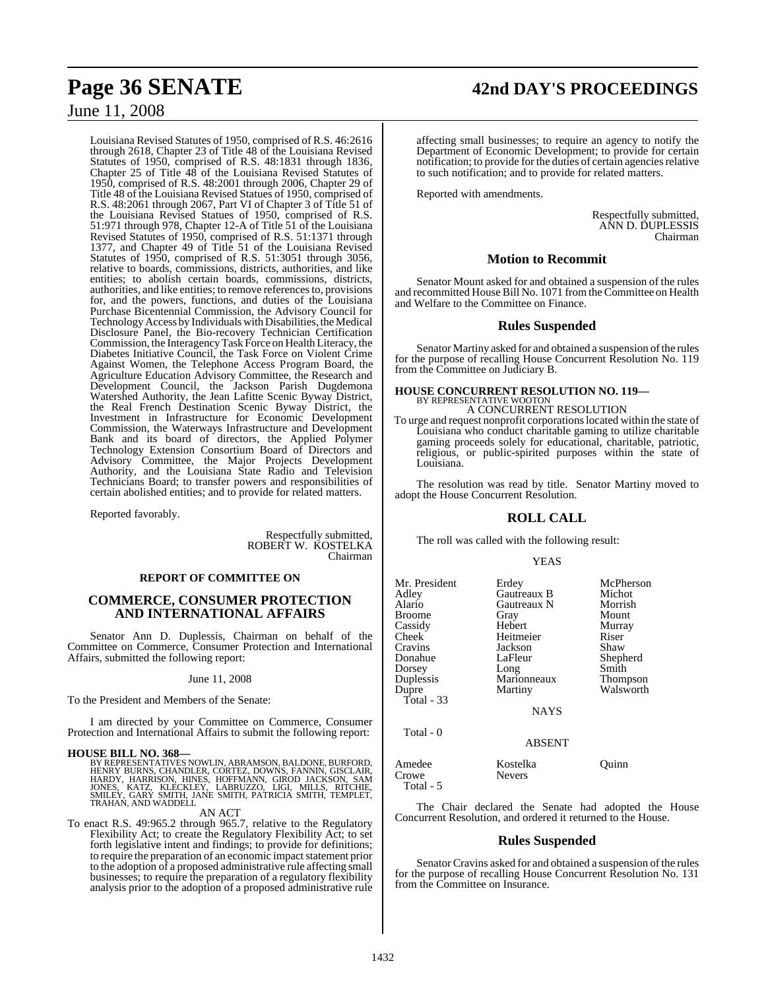## **Page 36 SENATE 42nd DAY'S PROCEEDINGS**

June 11, 2008

Louisiana Revised Statutes of 1950, comprised of R.S. 46:2616 through 2618, Chapter 23 of Title 48 of the Louisiana Revised Statutes of 1950, comprised of R.S. 48:1831 through 1836, Chapter 25 of Title 48 of the Louisiana Revised Statutes of 1950, comprised of R.S. 48:2001 through 2006, Chapter 29 of Title 48 of the Louisiana Revised Statues of 1950, comprised of R.S. 48:2061 through 2067, Part VI of Chapter 3 of Title 51 of the Louisiana Revised Statues of 1950, comprised of R.S. 51:971 through 978, Chapter 12-A of Title 51 of the Louisiana Revised Statutes of 1950, comprised of R.S. 51:1371 through 1377, and Chapter 49 of Title 51 of the Louisiana Revised Statutes of 1950, comprised of R.S. 51:3051 through 3056, relative to boards, commissions, districts, authorities, and like entities; to abolish certain boards, commissions, districts, authorities, and like entities; to remove referencesto, provisions for, and the powers, functions, and duties of the Louisiana Purchase Bicentennial Commission, the Advisory Council for Technology Access by Individuals with Disabilities, the Medical Disclosure Panel, the Bio-recovery Technician Certification Commission, the InteragencyTask Force on HealthLiteracy, the Diabetes Initiative Council, the Task Force on Violent Crime Against Women, the Telephone Access Program Board, the Agriculture Education Advisory Committee, the Research and Development Council, the Jackson Parish Dugdemona Watershed Authority, the Jean Lafitte Scenic Byway District, the Real French Destination Scenic Byway District, the Investment in Infrastructure for Economic Development Commission, the Waterways Infrastructure and Development Bank and its board of directors, the Applied Polymer Technology Extension Consortium Board of Directors and Advisory Committee, the Major Projects Development Authority, and the Louisiana State Radio and Television Technicians Board; to transfer powers and responsibilities of certain abolished entities; and to provide for related matters.

Reported favorably.

Respectfully submitted, ROBERT W. KOSTELKA Chairman

## **REPORT OF COMMITTEE ON**

## **COMMERCE, CONSUMER PROTECTION AND INTERNATIONAL AFFAIRS**

Senator Ann D. Duplessis, Chairman on behalf of the Committee on Commerce, Consumer Protection and International Affairs, submitted the following report:

### June 11, 2008

To the President and Members of the Senate:

I am directed by your Committee on Commerce, Consumer Protection and International Affairs to submit the following report:

## **HOUSE BILL NO. 368—**

BY REPRESENTATIVES NOWLIN, ABRAMSON, BALDONE, BURFORD, HENRY BURNS, CHANDLER, CORTEZ, DOWNS, FANNIN, GISCLAIR,<br>HARDY, HARRISON, HINES, HOFFMANN, GIROD JACKSON, SAM<br>JONES, KATZ, KLECKLEY, LABRUZZO, LIGI, MILLS, RITCHIE,<br>SMILEY, GARY SMITH, JANE SMITH, PATRICIA SMITH, TEMPLET,<br>T

### AN ACT

To enact R.S. 49:965.2 through 965.7, relative to the Regulatory Flexibility Act; to create the Regulatory Flexibility Act; to set forth legislative intent and findings; to provide for definitions; to require the preparation of an economic impact statement prior to the adoption of a proposed administrative rule affecting small businesses; to require the preparation of a regulatory flexibility analysis prior to the adoption of a proposed administrative rule

affecting small businesses; to require an agency to notify the Department of Economic Development; to provide for certain notification; to provide for the duties of certain agencies relative to such notification; and to provide for related matters.

Reported with amendments.

Respectfully submitted, ANN D. DUPLESSIS Chairman

## **Motion to Recommit**

Senator Mount asked for and obtained a suspension of the rules and recommitted House Bill No. 1071 fromthe Committee on Health and Welfare to the Committee on Finance.

## **Rules Suspended**

Senator Martiny asked for and obtained a suspension of the rules for the purpose of recalling House Concurrent Resolution No. 119 from the Committee on Judiciary B.

## **HOUSE CONCURRENT RESOLUTION NO. 119—** BY REPRESENTATIVE WOOTON

A CONCURRENT RESOLUTION To urge and request nonprofit corporationslocated within the state of Louisiana who conduct charitable gaming to utilize charitable gaming proceeds solely for educational, charitable, patriotic, religious, or public-spirited purposes within the state of Louisiana.

The resolution was read by title. Senator Martiny moved to adopt the House Concurrent Resolution.

## **ROLL CALL**

The roll was called with the following result:

## YEAS

| Mr. President<br>Adley<br>Alario<br>Broome<br>Cassidy<br>Cheek <sup>-</sup><br>Cravins<br>Donahue<br>Dorsey<br>Duplessis<br>Dupre<br>Total - 33 | Erdey<br>Gautreaux B<br>Gautreaux N<br>Gray<br>Hebert<br>Heitmeier<br>Jackson<br>LaFleur<br>Long<br>Marionneaux<br>Martiny<br><b>NAYS</b> | McPherson<br>Michot<br>Morrish<br>Mount<br>Murray<br>Riser<br>Shaw<br>Shepherd<br>Smith<br>Thompson<br>Walsworth |
|-------------------------------------------------------------------------------------------------------------------------------------------------|-------------------------------------------------------------------------------------------------------------------------------------------|------------------------------------------------------------------------------------------------------------------|
| Total - 0                                                                                                                                       | <b>ABSENT</b>                                                                                                                             |                                                                                                                  |
| Amedee<br>Crowe<br>Total - 5                                                                                                                    | Kostelka<br><b>Nevers</b>                                                                                                                 | Ouinn                                                                                                            |

The Chair declared the Senate had adopted the House Concurrent Resolution, and ordered it returned to the House.

## **Rules Suspended**

Senator Cravins asked for and obtained a suspension of the rules for the purpose of recalling House Concurrent Resolution No. 131 from the Committee on Insurance.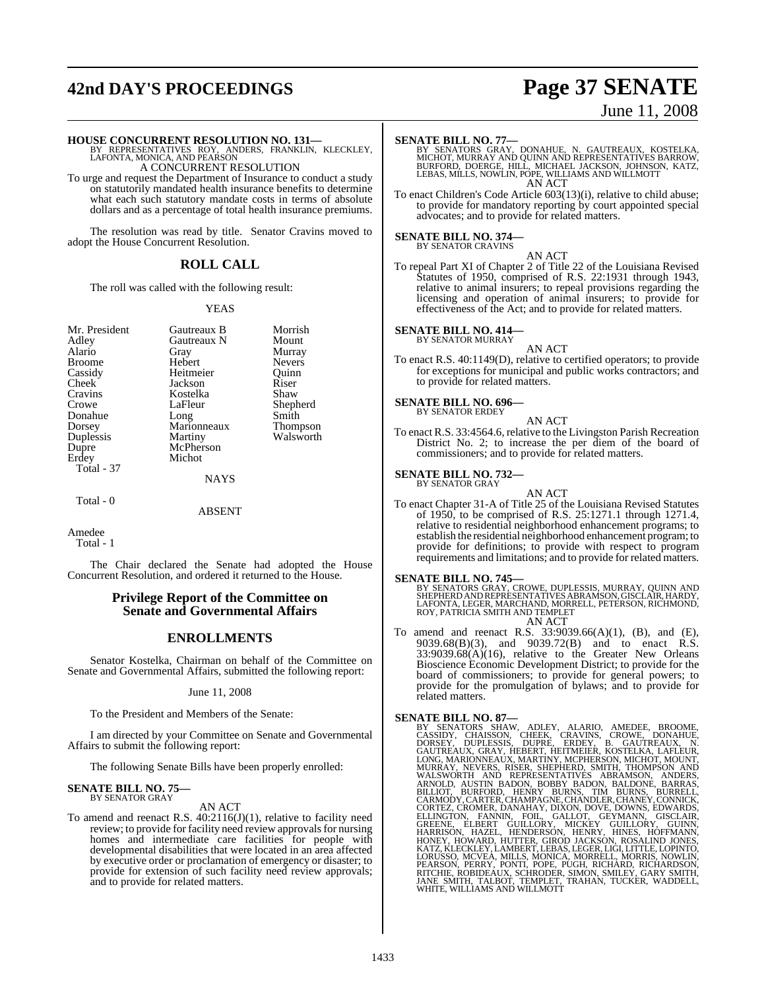## **42nd DAY'S PROCEEDINGS Page 37 SENATE**

**HOUSE CONCURRENT RESOLUTION NO. 131—** BY REPRESENTATIVES ROY, ANDERS, FRANKLIN, KLECKLEY, LAFONTA, MONICA, AND PEARSON A CONCURRENT RESOLUTION

To urge and request the Department of Insurance to conduct a study on statutorily mandated health insurance benefits to determine what each such statutory mandate costs in terms of absolute dollars and as a percentage of total health insurance premiums.

The resolution was read by title. Senator Cravins moved to adopt the House Concurrent Resolution.

## **ROLL CALL**

The roll was called with the following result:

### YEAS

| Mr. President<br>Adley<br>Alario<br><b>Broome</b><br>Cassidy<br>Cheek<br>Cravins<br>Crowe<br>Donahue | Gautreaux B<br>Gautreaux N<br>Gray<br>Hebert<br>Heitmeier<br>Jackson<br>Kostelka<br>LaFleur<br>Long | Morrish<br>Mount<br>Murray<br><b>Nevers</b><br>Ouinn<br>Riser<br>Shaw<br>Shephe<br>Smith |
|------------------------------------------------------------------------------------------------------|-----------------------------------------------------------------------------------------------------|------------------------------------------------------------------------------------------|
| Dorsey<br>Duplessis                                                                                  | Marionneaux<br>Martiny                                                                              | <b>Thomps</b><br>Walswo                                                                  |
| Dupre                                                                                                | McPherson                                                                                           |                                                                                          |
| Erdey                                                                                                | Michot                                                                                              |                                                                                          |
| Total - 37                                                                                           |                                                                                                     |                                                                                          |
|                                                                                                      | <b>NAYS</b>                                                                                         |                                                                                          |
|                                                                                                      |                                                                                                     |                                                                                          |

Gautreaux B Morrish<br>Gautreaux N Mount Hebert Nevers<br>
Heitmeier Ouinn Heitmeier Quinn<br>
Iackson Riser Jackson Riser<br>Kostelka Shaw Shepherd<br>Smith Long Smith<br>Marionneaux Thompson Walsworth

Total - 0

ABSENT

Amedee Total - 1

The Chair declared the Senate had adopted the House Concurrent Resolution, and ordered it returned to the House.

## **Privilege Report of the Committee on Senate and Governmental Affairs**

## **ENROLLMENTS**

Senator Kostelka, Chairman on behalf of the Committee on Senate and Governmental Affairs, submitted the following report:

## June 11, 2008

To the President and Members of the Senate:

I am directed by your Committee on Senate and Governmental Affairs to submit the following report:

The following Senate Bills have been properly enrolled:

### **SENATE BILL NO. 75—** BY SENATOR GRAY

## AN ACT

To amend and reenact R.S. 40:2116(J)(1), relative to facility need review; to provide for facility need review approvals for nursing homes and intermediate care facilities for people with developmental disabilities that were located in an area affected by executive order or proclamation of emergency or disaster; to provide for extension of such facility need review approvals; and to provide for related matters.

## June 11, 2008

SENATE BILL NO. 77—<br>BY SENATORS GRAY, DONAHUE, N. GAUTREAUX, KOSTELKA<br>MICHOT, MURRAY AND QUINN AND REPRESENTATIVES BARROW,<br>BURFORD, DOERGE, HILL, MICHAEL JACKSON, JOHNSON, KATZ,<br>LEBAS, MILLS, NOWLIN, POPE, WILLIAMS AND WIL AN ACT

To enact Children's Code Article 603(13)(i), relative to child abuse; to provide for mandatory reporting by court appointed special advocates; and to provide for related matters.

### **SENATE BILL NO. 374—** BY SENATOR CRAVINS

AN ACT

To repeal Part XI of Chapter 2 of Title 22 of the Louisiana Revised Statutes of 1950, comprised of R.S. 22:1931 through 1943, relative to animal insurers; to repeal provisions regarding the licensing and operation of animal insurers; to provide for effectiveness of the Act; and to provide for related matters.

### **SENATE BILL NO. 414—** BY SENATOR MURRAY

AN ACT

To enact R.S. 40:1149(D), relative to certified operators; to provide for exceptions for municipal and public works contractors; and to provide for related matters.

### **SENATE BILL NO. 696—** BY SENATOR ERDEY

AN ACT To enact R.S. 33:4564.6, relative to the Livingston Parish Recreation District No. 2; to increase the per diem of the board of commissioners; and to provide for related matters.

## **SENATE BILL NO. 732—**

BY SENATOR GRAY

AN ACT

To enact Chapter 31-A of Title 25 of the Louisiana Revised Statutes of 1950, to be comprised of R.S. 25:1271.1 through 1271.4, relative to residential neighborhood enhancement programs; to establish the residential neighborhood enhancement program; to provide for definitions; to provide with respect to program requirements and limitations; and to provide for related matters.

## **SENATE BILL NO. 745—**

BY SENATORS GRAY, CROWE, DUPLESSIS, MURRAY, QUINN AND<br>SHEPHERD AND REPRESENTATIVES ABRAMSON, GISCLAIR, HARDY,<br>LAFONTA, LEGER, MARCHAND, MORRELL, PETERSON, RICHMOND, ROY, PATRICIA SMITH AND TEMPLET AN ACT

To amend and reenact R.S. 33:9039.66(A)(1), (B), and (E), 9039.68(B)(3), and 9039.72(B) and to enact R.S.  $33:9039.68(A)(16)$ , relative to the Greater New Orleans Bioscience Economic Development District; to provide for the board of commissioners; to provide for general powers; to provide for the promulgation of bylaws; and to provide for related matters.

**SENATE BILL NO. 87—**<br>BY SENATORS SHAW, ADLEY, ALARIO, AMEDEE, BROOME,<br>CASSIDY, CHAISSON, CHEEK, CRAVINS, CROWE, DONAHUE,<br>DORSEY, DUPLESSIS, DUPRE, ERDEY, B. GAUTREAUX, N.<br>GAUTREAUX, GRAY, HEBERT, HEITMEIER, KOSTELKA, LAFL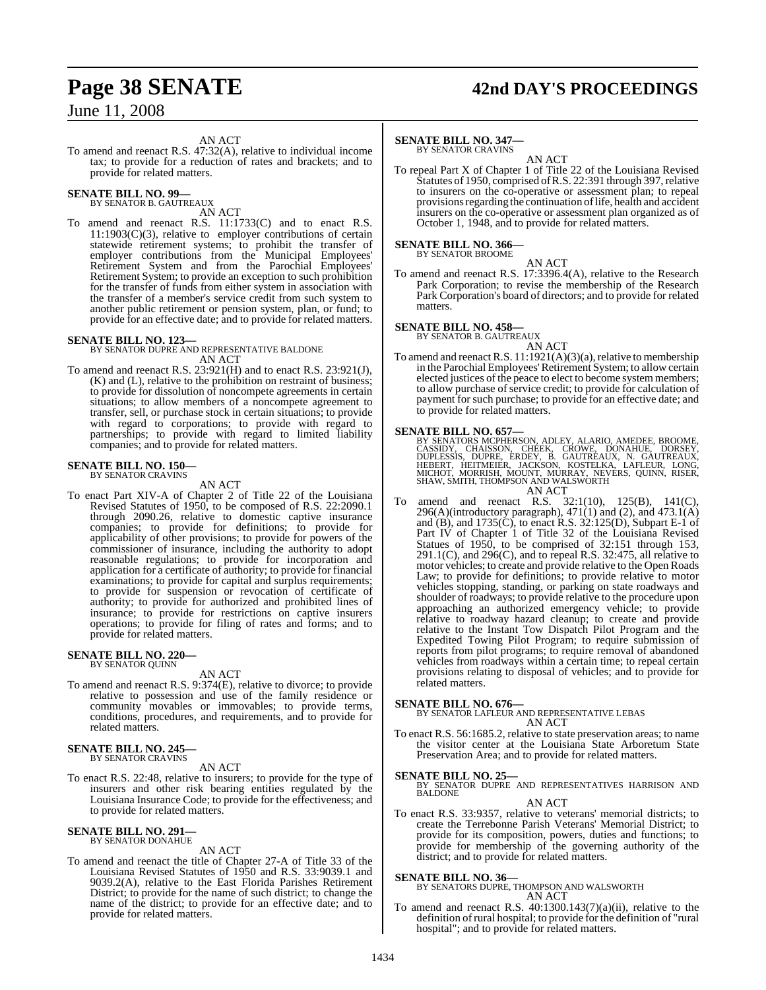## **Page 38 SENATE 42nd DAY'S PROCEEDINGS**

June 11, 2008

AN ACT

To amend and reenact R.S. 47:32(A), relative to individual income tax; to provide for a reduction of rates and brackets; and to provide for related matters.

### **SENATE BILL NO. 99—** BY SENATOR B. GAUTREAUX

AN ACT

To amend and reenact R.S. 11:1733(C) and to enact R.S.  $11:1903(C)(3)$ , relative to employer contributions of certain statewide retirement systems; to prohibit the transfer of employer contributions from the Municipal Employees' Retirement System and from the Parochial Employees' Retirement System; to provide an exception to such prohibition for the transfer of funds from either system in association with the transfer of a member's service credit from such system to another public retirement or pension system, plan, or fund; to provide for an effective date; and to provide for related matters.

## **SENATE BILL NO. 123—**

BY SENATOR DUPRE AND REPRESENTATIVE BALDONE AN ACT

To amend and reenact R.S. 23:921(H) and to enact R.S. 23:921(J), (K) and (L), relative to the prohibition on restraint of business; to provide for dissolution of noncompete agreements in certain situations; to allow members of a noncompete agreement to transfer, sell, or purchase stock in certain situations; to provide with regard to corporations; to provide with regard to partnerships; to provide with regard to limited liability companies; and to provide for related matters.

## **SENATE BILL NO. 150—** BY SENATOR CRAVINS

AN ACT

To enact Part XIV-A of Chapter 2 of Title 22 of the Louisiana Revised Statutes of 1950, to be composed of R.S. 22:2090.1 through 2090.26, relative to domestic captive insurance companies; to provide for definitions; to provide for applicability of other provisions; to provide for powers of the commissioner of insurance, including the authority to adopt reasonable regulations; to provide for incorporation and application for a certificate of authority; to provide for financial examinations; to provide for capital and surplus requirements; to provide for suspension or revocation of certificate of authority; to provide for authorized and prohibited lines of insurance; to provide for restrictions on captive insurers operations; to provide for filing of rates and forms; and to provide for related matters.

## **SENATE BILL NO. 220—**

BY SENATOR QUINN

AN ACT

To amend and reenact R.S. 9:374(E), relative to divorce; to provide relative to possession and use of the family residence or community movables or immovables; to provide terms, conditions, procedures, and requirements, and to provide for related matters.

### **SENATE BILL NO. 245—** BY SENATOR CRAVINS

AN ACT

To enact R.S. 22:48, relative to insurers; to provide for the type of insurers and other risk bearing entities regulated by the Louisiana Insurance Code; to provide for the effectiveness; and to provide for related matters.

### **SENATE BILL NO. 291** BY SENATOR DONAHUE

AN ACT

To amend and reenact the title of Chapter 27-A of Title 33 of the Louisiana Revised Statutes of 1950 and R.S. 33:9039.1 and 9039.2(A), relative to the East Florida Parishes Retirement District; to provide for the name of such district; to change the name of the district; to provide for an effective date; and to provide for related matters.

## **SENATE BILL NO. 347—**

BY SENATOR CRAVINS

AN ACT To repeal Part X of Chapter 1 of Title 22 of the Louisiana Revised Statutes of 1950, comprised of R.S. 22:391 through 397, relative to insurers on the co-operative or assessment plan; to repeal provisions regarding the continuation of life, health and accident insurers on the co-operative or assessment plan organized as of October 1, 1948, and to provide for related matters.

## **SENATE BILL NO. 366—** BY SENATOR BROOME

AN ACT

To amend and reenact R.S. 17:3396.4(A), relative to the Research Park Corporation; to revise the membership of the Research Park Corporation's board of directors; and to provide for related matters.

## **SENATE BILL NO. 458—** BY SENATOR B. GAUTREAUX

AN ACT To amend and reenact R.S.  $11:1921(A)(3)(a)$ , relative to membership in the Parochial Employees'Retirement System; to allow certain elected justices of the peace to elect to become system members; to allow purchase of service credit; to provide for calculation of payment for such purchase; to provide for an effective date; and to provide for related matters.

- SENATE BILL NO. 657—<br>
BY SENATORS MCPHERSON, ADLEY, ALARIO, AMEDEE, BROOME, CASSIDY, CHAISSON, CHEEK, CROWE, DONAHUE, DORSEY,<br>
DUPLESSIS, DUPRE, ERDEY, B. GAUTRÉAUX, N. GAUTREAUX,<br>
HEBERT, HEITMEIER, JACKSON, KOSTELKA, LAF SHAW, SMITH, THOMPSON AND WALSWORTH AN ACT
- amend and reenact R.S. 32:1(10), 125(B), 141(C), 296(A)(introductory paragraph),  $471(1)$  and (2), and  $473.1(A)$ and (B), and 1735(C), to enact R.S. 32:125(D), Subpart E-1 of Part IV of Chapter 1 of Title 32 of the Louisiana Revised Statues of 1950, to be comprised of 32:151 through 153,  $291.1(C)$ , and  $296(C)$ , and to repeal R.S. 32:475, all relative to motor vehicles; to create and provide relative to the Open Roads Law; to provide for definitions; to provide relative to motor vehicles stopping, standing, or parking on state roadways and shoulder of roadways; to provide relative to the procedure upon approaching an authorized emergency vehicle; to provide relative to roadway hazard cleanup; to create and provide relative to the Instant Tow Dispatch Pilot Program and the Expedited Towing Pilot Program; to require submission of reports from pilot programs; to require removal of abandoned vehicles from roadways within a certain time; to repeal certain provisions relating to disposal of vehicles; and to provide for related matters.

**SENATE BILL NO. 676—** BY SENATOR LAFLEUR AND REPRESENTATIVE LEBAS AN ACT

To enact R.S. 56:1685.2, relative to state preservation areas; to name the visitor center at the Louisiana State Arboretum State Preservation Area; and to provide for related matters.

## **SENATE BILL NO. 25—**

BY SENATOR DUPRE AND REPRESENTATIVES HARRISON AND BALDONE

### AN ACT

To enact R.S. 33:9357, relative to veterans' memorial districts; to create the Terrebonne Parish Veterans' Memorial District; to provide for its composition, powers, duties and functions; to provide for membership of the governing authority of the district; and to provide for related matters.

**SENATE BILL NO. 36—** BY SENATORS DUPRE, THOMPSON AND WALSWORTH AN ACT

To amend and reenact R.S.  $40:1300.143(7)(a)(ii)$ , relative to the definition of rural hospital; to provide for the definition of "rural hospital"; and to provide for related matters.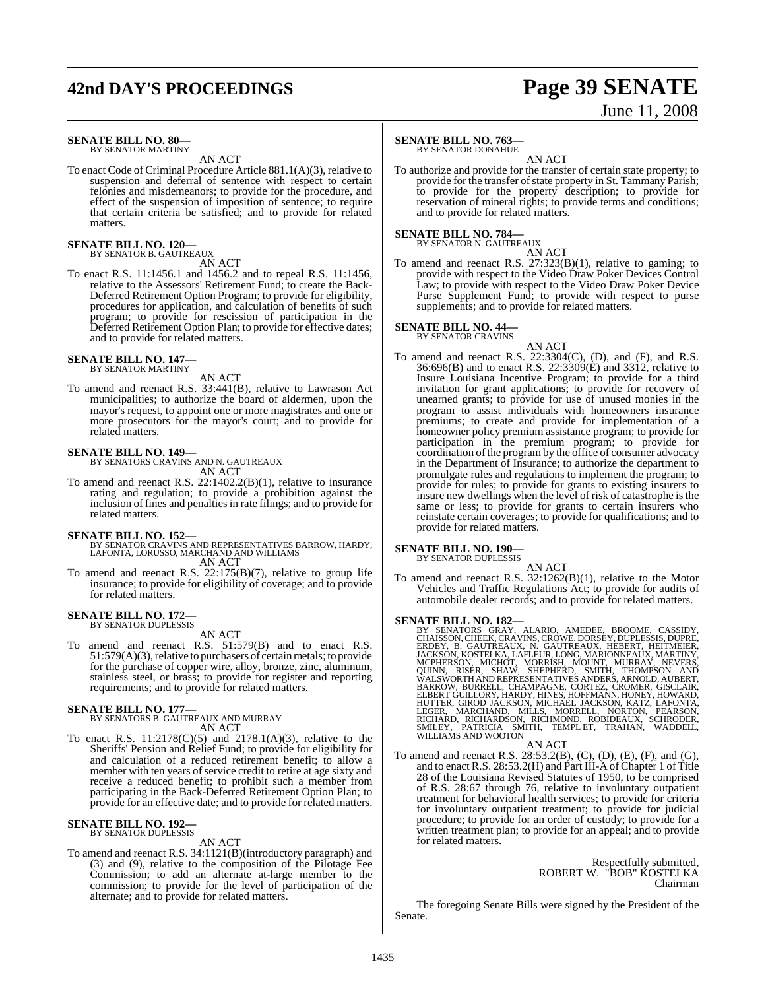## **42nd DAY'S PROCEEDINGS Page 39 SENATE**

# June 11, 2008

### **SENATE BILL NO. 80—** BY SENATOR MARTINY

AN ACT

To enact Code of Criminal Procedure Article 881.1(A)(3), relative to suspension and deferral of sentence with respect to certain felonies and misdemeanors; to provide for the procedure, and effect of the suspension of imposition of sentence; to require that certain criteria be satisfied; and to provide for related matters.

## **SENATE BILL NO. 120—** BY SENATOR B. GAUTREAUX

AN ACT

To enact R.S. 11:1456.1 and 1456.2 and to repeal R.S. 11:1456, relative to the Assessors' Retirement Fund; to create the Back-Deferred Retirement Option Program; to provide for eligibility, procedures for application, and calculation of benefits of such program; to provide for rescission of participation in the Deferred Retirement Option Plan; to provide for effective dates; and to provide for related matters.

### **SENATE BILL NO. 147—** BY SENATOR MARTINY

AN ACT

To amend and reenact R.S. 33:441(B), relative to Lawrason Act municipalities; to authorize the board of aldermen, upon the mayor's request, to appoint one or more magistrates and one or more prosecutors for the mayor's court; and to provide for related matters.

**SENATE BILL NO. 149—** BY SENATORS CRAVINS AND N. GAUTREAUX AN ACT

To amend and reenact R.S. 22:1402.2(B)(1), relative to insurance rating and regulation; to provide a prohibition against the inclusion of fines and penalties in rate filings; and to provide for related matters.

## **SENATE BILL NO. 152—**

BY SENATOR CRAVINS AND REPRESENTATIVES BARROW, HARDY, LAFONTA, LORUSSO, MARCHAND AND WILLIAMS AN ACT

To amend and reenact R.S. 22:175(B)(7), relative to group life insurance; to provide for eligibility of coverage; and to provide for related matters.

## **SENATE BILL NO. 172—** BY SENATOR DUPLESSIS

AN ACT

To amend and reenact R.S. 51:579(B) and to enact R.S. 51:579(A)(3), relative to purchasers of certain metals; to provide for the purchase of copper wire, alloy, bronze, zinc, aluminum, stainless steel, or brass; to provide for register and reporting requirements; and to provide for related matters.

## **SENATE BILL NO. 177—**

BY SENATORS B. GAUTREAUX AND MURRAY AN ACT

To enact R.S. 11:2178(C)(5) and 2178.1(A)(3), relative to the Sheriffs' Pension and Relief Fund; to provide for eligibility for and calculation of a reduced retirement benefit; to allow a member with ten years of service credit to retire at age sixty and receive a reduced benefit; to prohibit such a member from participating in the Back-Deferred Retirement Option Plan; to provide for an effective date; and to provide for related matters.

### **SENATE BILL NO. 192—** BY SENATOR DUPLESSIS

AN ACT

To amend and reenact R.S. 34:1121(B)(introductory paragraph) and (3) and (9), relative to the composition of the Pilotage Fee Commission; to add an alternate at-large member to the commission; to provide for the level of participation of the alternate; and to provide for related matters.

## **SENATE BILL NO. 763—**

BY SENATOR DONAHUE

AN ACT To authorize and provide for the transfer of certain state property; to provide for the transfer of state property in St. Tammany Parish; to provide for the property description; to provide for reservation of mineral rights; to provide terms and conditions; and to provide for related matters.

### **SENATE BILL NO. 784—** BY SENATOR N. GAUTREAUX

AN ACT

To amend and reenact R.S. 27:323(B)(1), relative to gaming; to provide with respect to the Video Draw Poker Devices Control Law; to provide with respect to the Video Draw Poker Device Purse Supplement Fund; to provide with respect to purse supplements; and to provide for related matters.

## **SENATE BILL NO. 44—** BY SENATOR CRAVINS

AN ACT To amend and reenact R.S. 22:3304(C), (D), and (F), and R.S.  $36:696(B)$  and to enact R.S. 22:3309(E) and 3312, relative to Insure Louisiana Incentive Program; to provide for a third invitation for grant applications; to provide for recovery of unearned grants; to provide for use of unused monies in the program to assist individuals with homeowners insurance premiums; to create and provide for implementation of a homeowner policy premium assistance program; to provide for participation in the premium program; to provide for coordination of the program by the office of consumer advocacy in the Department of Insurance; to authorize the department to promulgate rules and regulations to implement the program; to provide for rules; to provide for grants to existing insurers to insure new dwellings when the level of risk of catastrophe is the same or less; to provide for grants to certain insurers who reinstate certain coverages; to provide for qualifications; and to provide for related matters.

## **SENATE BILL NO. 190—** BY SENATOR DUPLESSIS

AN ACT To amend and reenact R.S. 32:1262(B)(1), relative to the Motor Vehicles and Traffic Regulations Act; to provide for audits of automobile dealer records; and to provide for related matters.

SENATE BILL NO. 182-<br>BY SENATORS GRAY, ALARIO, AMEDEE, BROOME, CASSIDY, THAISSON, CHEEK, CRAVINS, CROWE, DORSEY, DUPLESSIS, DUPRE,<br>ERDEY, B. GAUTREAUX, N. GAUTREAUX, HEBERT, HEITMEIER,<br>JACKSON, KOSTELKA, LAFLEUR, LONG, MAR

AN ACT

To amend and reenact R.S. 28:53.2(B), (C), (D), (E), (F), and (G), and to enact R.S. 28:53.2(H) and Part III-A of Chapter 1 of Title 28 of the Louisiana Revised Statutes of 1950, to be comprised of R.S. 28:67 through 76, relative to involuntary outpatient treatment for behavioral health services; to provide for criteria for involuntary outpatient treatment; to provide for judicial procedure; to provide for an order of custody; to provide for a written treatment plan; to provide for an appeal; and to provide for related matters.

> Respectfully submitted, ROBERT W. "BOB" KOSTELKA Chairman

The foregoing Senate Bills were signed by the President of the Senate.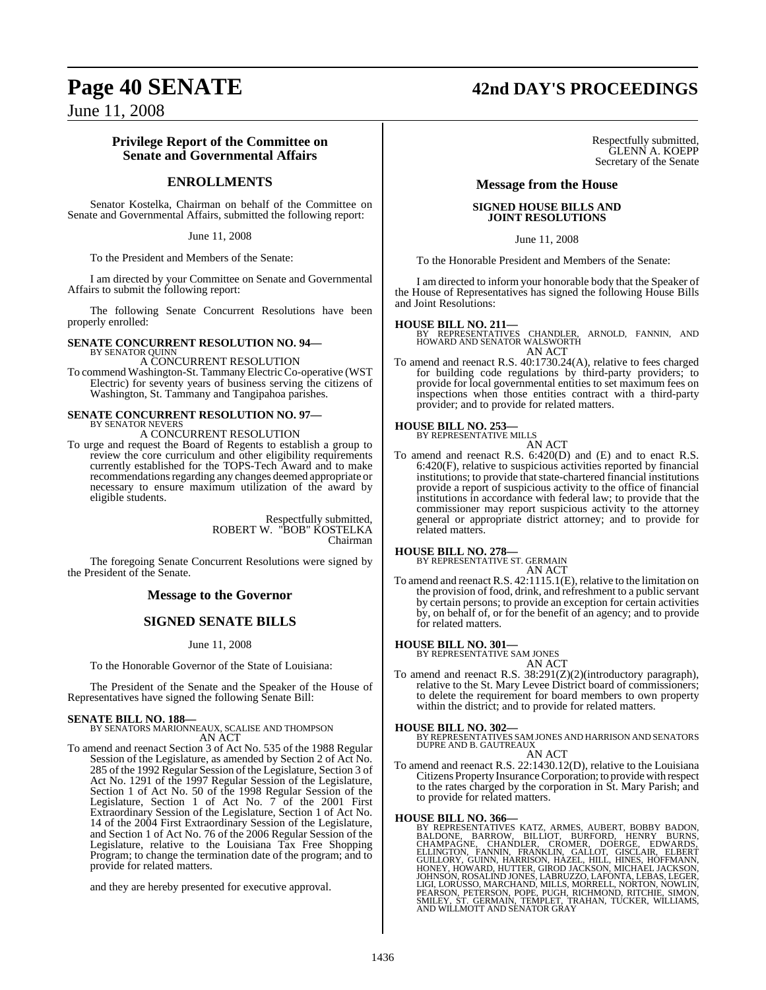## **Page 40 SENATE 42nd DAY'S PROCEEDINGS**

June 11, 2008

## **Privilege Report of the Committee on Senate and Governmental Affairs**

## **ENROLLMENTS**

Senator Kostelka, Chairman on behalf of the Committee on Senate and Governmental Affairs, submitted the following report:

June 11, 2008

To the President and Members of the Senate:

I am directed by your Committee on Senate and Governmental Affairs to submit the following report:

The following Senate Concurrent Resolutions have been properly enrolled:

### **SENATE CONCURRENT RESOLUTION NO. 94—** BY SENATOR QUINN

A CONCURRENT RESOLUTION

To commend Washington-St. TammanyElectric Co-operative (WST Electric) for seventy years of business serving the citizens of Washington, St. Tammany and Tangipahoa parishes.

### **SENATE CONCURRENT RESOLUTION NO. 97—** BY SENATOR NEVERS

A CONCURRENT RESOLUTION

To urge and request the Board of Regents to establish a group to review the core curriculum and other eligibility requirements currently established for the TOPS-Tech Award and to make recommendations regarding any changes deemed appropriate or necessary to ensure maximum utilization of the award by eligible students.

> Respectfully submitted, ROBERT W. "BOB" KOSTELKA Chairman

The foregoing Senate Concurrent Resolutions were signed by the President of the Senate.

## **Message to the Governor**

## **SIGNED SENATE BILLS**

June 11, 2008

To the Honorable Governor of the State of Louisiana:

The President of the Senate and the Speaker of the House of Representatives have signed the following Senate Bill:

**SENATE BILL NO. 188—** BY SENATORS MARIONNEAUX, SCALISE AND THOMPSON AN ACT

To amend and reenact Section 3 of Act No. 535 of the 1988 Regular Session of the Legislature, as amended by Section 2 of Act No. 285 of the 1992 Regular Session of the Legislature, Section 3 of Act No. 1291 of the 1997 Regular Session of the Legislature, Section 1 of Act No. 50 of the 1998 Regular Session of the Legislature, Section 1 of Act No. 7 of the 2001 First Extraordinary Session of the Legislature, Section 1 of Act No. 14 of the 2004 First Extraordinary Session of the Legislature, and Section 1 of Act No. 76 of the 2006 Regular Session of the Legislature, relative to the Louisiana Tax Free Shopping Program; to change the termination date of the program; and to provide for related matters.

and they are hereby presented for executive approval.

### Respectfully submitted, GLENN A. KOEPP Secretary of the Senate

## **Message from the House**

## **SIGNED HOUSE BILLS AND JOINT RESOLUTIONS**

## June 11, 2008

To the Honorable President and Members of the Senate:

I am directed to inform your honorable body that the Speaker of the House of Representatives has signed the following House Bills and Joint Resolutions:

**HOUSE BILL NO. 211—** BY REPRESENTATIVES CHANDLER, ARNOLD, FANNIN, AND HOWARD AND SENATOR WALSWORTH AN ACT

To amend and reenact R.S. 40:1730.24(A), relative to fees charged for building code regulations by third-party providers; to provide for local governmental entities to set maximum fees on inspections when those entities contract with a third-party provider; and to provide for related matters.

## **HOUSE BILL NO. 253—**

BY REPRESENTATIVE MILLS AN ACT

To amend and reenact R.S. 6:420(D) and (E) and to enact R.S. 6:420(F), relative to suspicious activities reported by financial institutions; to provide that state-chartered financial institutions provide a report of suspicious activity to the office of financial institutions in accordance with federal law; to provide that the commissioner may report suspicious activity to the attorney general or appropriate district attorney; and to provide for related matters.

## **HOUSE BILL NO. 278—**

BY REPRESENTATIVE ST. GERMAIN AN ACT

To amend and reenact R.S. 42:1115.1(E), relative to the limitation on the provision of food, drink, and refreshment to a public servant by certain persons; to provide an exception for certain activities by, on behalf of, or for the benefit of an agency; and to provide for related matters.

**HOUSE BILL NO. 301—** BY REPRESENTATIVE SAM JONES

## AN ACT

To amend and reenact R.S. 38:291(Z)(2)(introductory paragraph), relative to the St. Mary Levee District board of commissioners; to delete the requirement for board members to own property within the district; and to provide for related matters.

## **HOUSE BILL NO. 302—**

BY REPRESENTATIVES SAM JONES AND HARRISON AND SENATORS DUPRE AND B. GAUTREAUX AN ACT

To amend and reenact R.S. 22:1430.12(D), relative to the Louisiana Citizens Property InsuranceCorporation; to provide with respect to the rates charged by the corporation in St. Mary Parish; and to provide for related matters.

HOUSE BILL NO. 366—<br>BY REPRESENTATIVES KATZ, ARMES, AUBERT, BOBBY BADON, BALDONE, BARROW, BILLIOT, BURFORD, HENRY BURNS,<br>CHAMPAGNE, CHANDLER, CROMER, DOERGE, EDWARDS,<br>ELLINGTON, FANNIN, FRANKLIN, GALLOT, GISCLAIR, ELBERT<br>G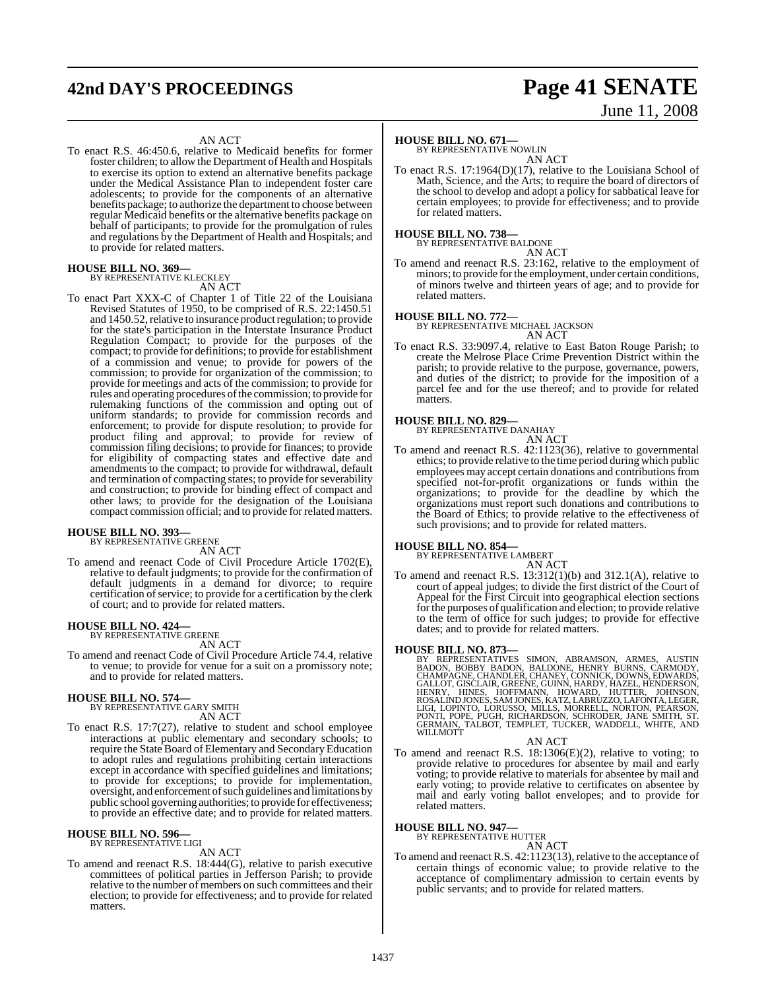## **42nd DAY'S PROCEEDINGS Page 41 SENATE**

# June 11, 2008

### AN ACT

To enact R.S. 46:450.6, relative to Medicaid benefits for former foster children; to allow the Department of Health and Hospitals to exercise its option to extend an alternative benefits package under the Medical Assistance Plan to independent foster care adolescents; to provide for the components of an alternative benefits package; to authorize the department to choose between regular Medicaid benefits or the alternative benefits package on behalf of participants; to provide for the promulgation of rules and regulations by the Department of Health and Hospitals; and to provide for related matters.

## **HOUSE BILL NO. 369—** BY REPRESENTATIVE KLECKLEY

AN ACT

To enact Part XXX-C of Chapter 1 of Title 22 of the Louisiana Revised Statutes of 1950, to be comprised of R.S. 22:1450.51 and 1450.52, relative to insurance product regulation; to provide for the state's participation in the Interstate Insurance Product Regulation Compact; to provide for the purposes of the compact; to provide for definitions; to provide for establishment of a commission and venue; to provide for powers of the commission; to provide for organization of the commission; to provide for meetings and acts of the commission; to provide for rules and operating procedures of the commission; to provide for rulemaking functions of the commission and opting out of uniform standards; to provide for commission records and enforcement; to provide for dispute resolution; to provide for product filing and approval; to provide for review of commission filing decisions; to provide for finances; to provide for eligibility of compacting states and effective date and amendments to the compact; to provide for withdrawal, default and termination of compacting states; to provide for severability and construction; to provide for binding effect of compact and other laws; to provide for the designation of the Louisiana compact commission official; and to provide for related matters.

## **HOUSE BILL NO. 393—**

BY REPRESENTATIVE GREENE AN ACT

To amend and reenact Code of Civil Procedure Article 1702(E), relative to default judgments; to provide for the confirmation of default judgments in a demand for divorce; to require certification of service; to provide for a certification by the clerk of court; and to provide for related matters.

## **HOUSE BILL NO. 424—** BY REPRESENTATIVE GREENE

AN ACT

To amend and reenact Code of Civil Procedure Article 74.4, relative to venue; to provide for venue for a suit on a promissory note; and to provide for related matters.

## **HOUSE BILL NO. 574—** BY REPRESENTATIVE GARY SMITH

AN ACT

To enact R.S. 17:7(27), relative to student and school employee interactions at public elementary and secondary schools; to require the State Board of Elementary and Secondary Education to adopt rules and regulations prohibiting certain interactions except in accordance with specified guidelines and limitations; to provide for exceptions; to provide for implementation, oversight, and enforcement of such guidelines and limitations by public school governing authorities; to provide for effectiveness; to provide an effective date; and to provide for related matters.

### **HOUSE BILL NO. 596—** BY REPRESENTATIVE LIGI

AN ACT

To amend and reenact R.S. 18:444(G), relative to parish executive committees of political parties in Jefferson Parish; to provide relative to the number of members on such committees and their election; to provide for effectiveness; and to provide for related matters.

## **HOUSE BILL NO. 671—**

BY REPRESENTATIVE NOWLIN AN ACT

To enact R.S. 17:1964(D)(17), relative to the Louisiana School of Math, Science, and the Arts; to require the board of directors of the school to develop and adopt a policy for sabbatical leave for certain employees; to provide for effectiveness; and to provide for related matters.

### **HOUSE BILL NO. 738—** BY REPRESENTATIVE BALDONE

AN ACT

To amend and reenact R.S. 23:162, relative to the employment of minors; to provide for the employment, under certain conditions, of minors twelve and thirteen years of age; and to provide for related matters.

### **HOUSE BILL NO. 772—**

BY REPRESENTATIVE MICHAEL JACKSON

- AN ACT
- To enact R.S. 33:9097.4, relative to East Baton Rouge Parish; to create the Melrose Place Crime Prevention District within the parish; to provide relative to the purpose, governance, powers, and duties of the district; to provide for the imposition of a parcel fee and for the use thereof; and to provide for related matters.

## **HOUSE BILL NO. 829—**

BY REPRESENTATIVE DANAHAY AN ACT

To amend and reenact R.S. 42:1123(36), relative to governmental ethics; to provide relative to the time period during which public employees may accept certain donations and contributions from specified not-for-profit organizations or funds within the organizations; to provide for the deadline by which the organizations must report such donations and contributions to the Board of Ethics; to provide relative to the effectiveness of such provisions; and to provide for related matters.

## **HOUSE BILL NO. 854—** BY REPRESENTATIVE LAMBERT

AN ACT To amend and reenact R.S. 13:312(1)(b) and 312.1(A), relative to court of appeal judges; to divide the first district of the Court of Appeal for the First Circuit into geographical election sections for the purposes of qualification and election; to provide relative to the term of office for such judges; to provide for effective dates; and to provide for related matters.

### **HOUSE BILL NO. 873—**

BY REPRESENTATIVES SIMON, ABRAMSON, ARMES, AUSTIN<br>BADON, BOBBY BADON, BALDÓNE, HENRY BURNS, CARMODY,<br>CHAMPAGNE, CHANDLER,CHANEY,CONNICK,DOWNS,EDWARDS,<br>GALLOT,GISCLAIR,GREENE,GUINN,HARDY,HAZEL,HENDERSON,<br>HENRY, HINES, HOFFM LIGI, LOPINTO, LORUSSO, MILLS, MORRELL, NORTON, PEARSON,<br>PONTI, POPE, PUGH, RICHARDSON, SCHRODER, JANE SMITH, ST.<br>GERMAIN, TALBOT, TEMPLET, TUCKER, WADDELL, WHITE, AND<br>WILLMOTT

## AN ACT

To amend and reenact R.S. 18:1306(E)(2), relative to voting; to provide relative to procedures for absentee by mail and early voting; to provide relative to materials for absentee by mail and early voting; to provide relative to certificates on absentee by mail and early voting ballot envelopes; and to provide for related matters.

### **HOUSE BILL NO. 947—**

BY REPRESENTATIVE HUTTER

AN ACT To amend and reenact R.S. 42:1123(13), relative to the acceptance of certain things of economic value; to provide relative to the acceptance of complimentary admission to certain events by public servants; and to provide for related matters.